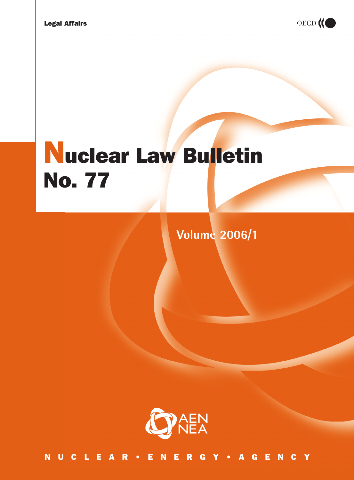

# Nuclear Law Bulletin No. 77

**Volume 2006/1**



NUCLEAR•ENERGY•AGENCY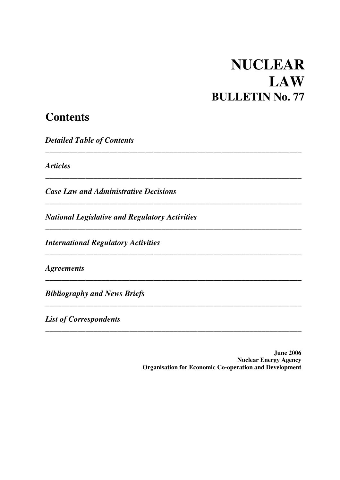# **NUCLEAR LAW BULLETIN No. 77**

# **Contents**

 *Detailed Ta ble of Contents* 

 *Articles* 

*Case Law and Administrative Decisions* 

 *National Legislative and Regulatory Activities* 

 *\_\_\_\_\_\_\_\_\_\_\_\_\_\_\_\_\_\_\_\_\_\_\_\_\_\_\_\_\_\_\_\_\_\_\_\_\_\_\_\_\_\_\_\_\_\_\_\_\_\_\_\_\_\_\_\_\_\_\_\_\_\_\_\_* 

 *\_\_\_\_\_\_\_\_\_\_\_\_\_\_\_\_\_\_\_\_\_\_\_\_\_\_\_\_\_\_\_\_\_\_\_\_\_\_\_\_\_\_\_\_\_\_\_\_\_\_\_\_\_\_\_\_\_\_\_\_\_\_\_\_* 

 *\_\_\_\_\_\_\_\_\_\_\_\_\_\_\_\_\_\_\_\_\_\_\_\_\_\_\_\_\_\_\_\_\_\_\_\_\_\_\_\_\_\_\_\_\_\_\_\_\_\_\_\_\_\_\_\_\_\_\_\_\_\_\_\_* 

 *\_\_\_\_\_\_\_\_\_\_\_\_\_\_\_\_\_\_\_\_\_\_\_\_\_\_\_\_\_\_\_\_\_\_\_\_\_\_\_\_\_\_\_\_\_\_\_\_\_\_\_\_\_\_\_\_\_\_\_\_\_\_\_\_* 

 *\_\_\_\_\_\_\_\_\_\_\_\_\_\_\_\_\_\_\_\_\_\_\_\_\_\_\_\_\_\_\_\_\_\_\_\_\_\_\_\_\_\_\_\_\_\_\_\_\_\_\_\_\_\_\_\_\_\_\_\_\_\_\_\_* 

 *\_\_\_\_\_\_\_\_\_\_\_\_\_\_\_\_\_\_\_\_\_\_\_\_\_\_\_\_\_\_\_\_\_\_\_\_\_\_\_\_\_\_\_\_\_\_\_\_\_\_\_\_\_\_\_\_\_\_\_\_\_\_\_\_* 

 *\_\_\_\_\_\_\_\_\_\_\_\_\_\_\_\_\_\_\_\_\_\_\_\_\_\_\_\_\_\_\_\_\_\_\_\_\_\_\_\_\_\_\_\_\_\_\_\_\_\_\_\_\_\_\_\_\_\_\_\_\_\_\_\_* 

 **\_\_\_\_\_\_\_\_\_\_\_\_\_\_\_\_\_\_\_\_\_\_\_\_\_\_\_\_\_\_\_\_\_\_\_\_\_\_\_\_\_\_\_\_\_\_\_\_\_\_\_\_\_\_\_\_\_\_\_\_\_\_\_\_** 

 *International Regulatory Activities* 

 *Agreements* 

 *Bibliography and News Briefs* 

*List of Correspondents* 

**June 2006 Nuclear Energy Agency Organisation for Economic Co-operation and Development**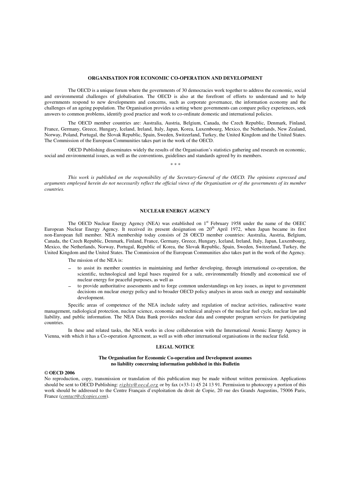#### **ORGANISATION FOR ECONOMIC CO-OPERATION AND DEVELOPMENT**

 The OECD is a unique forum where the governments of 30 democracies work together to address the economic, social and environmental challenges of globalisation. The OECD is also at the forefront of efforts to understand and to help governments respond to new developments and concerns, such as corporate governance, the information economy and the challenges of an ageing population. The Organisation provides a setting where governments can compare policy experiences, seek answers to common problems, identify good practice and work to co-ordinate domestic and international policies.

 The OECD member countries are: Australia, Austria, Belgium, Canada, the Czech Republic, Denmark, Finland, France, Germany, Greece, Hungary, Iceland, Ireland, Italy, Japan, Korea, Luxembourg, Mexico, the Netherlands, New Zealand, Norway, Poland, Portugal, the Slovak Republic, Spain, Sweden, Switzerland, Turkey, the United Kingdom and the United States. The Commission of the European Communities takes part in the work of the OECD.

 OECD Publishing disseminates widely the results of the Organisation's statistics gathering and research on economic, social and environmental issues, as well as the conventions, guidelines and standards agreed by its members. *\* \* \** 

 *This work is published on the responsibility of the Secretary-General of the OECD. The opinions expressed and arguments employed herein do not necessarily reflect the official views of the Organisation or of the governments of its member countries.* 

#### **NUCLEAR ENERGY AGENCY**

The OECD Nuclear Energy Agency (NEA) was established on 1<sup>st</sup> February 1958 under the name of the OEEC European Nuclear Energy Agency. It received its present designation on 20th April 1972, when Japan became its first non-European full member. NEA membership today consists of 28 OECD member countries: Australia, Austria, Belgium, Canada, the Czech Republic, Denmark, Finland, France, Germany, Greece, Hungary, Iceland, Ireland, Italy, Japan, Luxembourg, Mexico, the Netherlands, Norway, Portugal, Republic of Korea, the Slovak Republic, Spain, Sweden, Switzerland, Turkey, the United Kingdom and the United States. The Commission of the European Communities also takes part in the work of the Agency.

The mission of the NEA is:

- to assist its member countries in maintaining and further developing, through international co-operation, the scientific, technological and legal bases required for a safe, environmentally friendly and economical use of nuclear energy for peaceful purposes, as well as
- to provide authoritative assessments and to forge common understandings on key issues, as input to government decisions on nuclear energy policy and to broader OECD policy analyses in areas such as energy and sustainable development.

 Specific areas of competence of the NEA include safety and regulation of nuclear activities, radioactive waste management, radiological protection, nuclear science, economic and technical analyses of the nuclear fuel cycle, nuclear law and liability, and public information. The NEA Data Bank provides nuclear data and computer program services for participating countries.

 In these and related tasks, the NEA works in close collaboration with the International Atomic Energy Agency in Vienna, with which it has a Co-operation Agreement, as well as with other international organisations in the nuclear field.

#### **LEGAL NOTICE**

#### **The Organisation for Economic Co-operation and Development assumes no liability concerning information published in this Bulletin**

#### *©* **OECD 2006**

No reproduction, copy, transmission or translation of this publication may be made without written permission. Applications should be sent to OECD Publishing: *rights@oecd.org* or by fax (+33-1) 45 24 13 91. Permission to photocopy a portion of this work should be addressed to the Centre Français d'exploitation du droit de Copie, 20 rue des Grands Augustins, 75006 Paris, France (*contact@cfcopies.com*).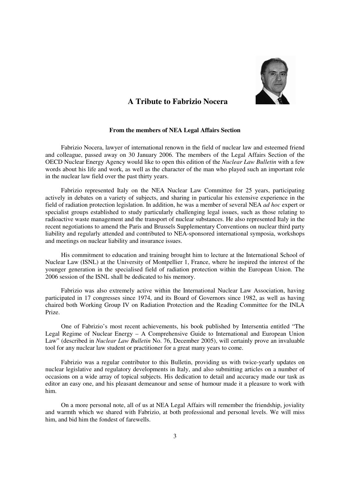

### **A Tribute to Fabrizio Nocera**

#### **From the members of NEA Legal Affairs Section**

Fabrizio Nocera, lawyer of international renown in the field of nuclear law and esteemed friend and colleague, passed away on 30 January 2006. The members of the Legal Affairs Section of the OECD Nuclear Energy Agency would like to open this edition of the *Nuclear Law Bulletin* with a few words about his life and work, as well as the character of the man who played such an important role in the nuclear law field over the past thirty years.

Fabrizio represented Italy on the NEA Nuclear Law Committee for 25 years, participating actively in debates on a variety of subjects, and sharing in particular his extensive experience in the field of radiation protection legislation. In addition, he was a member of several NEA *ad hoc* expert or specialist groups established to study particularly challenging legal issues, such as those relating to radioactive waste management and the transport of nuclear substances. He also represented Italy in the recent negotiations to amend the Paris and Brussels Supplementary Conventions on nuclear third party liability and regularly attended and contributed to NEA-sponsored international symposia, workshops and meetings on nuclear liability and insurance issues.

His commitment to education and training brought him to lecture at the International School of Nuclear Law (ISNL) at the University of Montpellier 1, France, where he inspired the interest of the younger generation in the specialised field of radiation protection within the European Union. The 2006 session of the ISNL shall be dedicated to his memory.

Fabrizio was also extremely active within the International Nuclear Law Association, having participated in 17 congresses since 1974, and its Board of Governors since 1982, as well as having chaired both Working Group IV on Radiation Protection and the Reading Committee for the INLA Prize.

One of Fabrizio's most recent achievements, his book published by Intersentia entitled "The Legal Regime of Nuclear Energy – A Comprehensive Guide to International and European Union Law" (described in *Nuclear Law Bulletin* No. 76, December 2005), will certainly prove an invaluable tool for any nuclear law student or practitioner for a great many years to come.

Fabrizio was a regular contributor to this Bulletin, providing us with twice-yearly updates on nuclear legislative and regulatory developments in Italy, and also submitting articles on a number of occasions on a wide array of topical subjects. His dedication to detail and accuracy made our task as editor an easy one, and his pleasant demeanour and sense of humour made it a pleasure to work with him.

On a more personal note, all of us at NEA Legal Affairs will remember the friendship, joviality and warmth which we shared with Fabrizio, at both professional and personal levels. We will miss him, and bid him the fondest of farewells.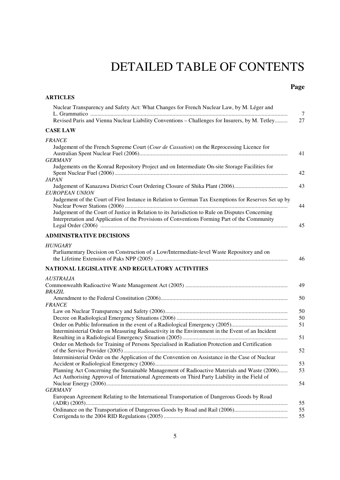# DETAILED TABLE OF CONTENTS

### **Page**

| <b>ARTICLES</b>                                                                                                                                                                                   |                |
|---------------------------------------------------------------------------------------------------------------------------------------------------------------------------------------------------|----------------|
| Nuclear Transparency and Safety Act: What Changes for French Nuclear Law, by M. Léger and<br>Revised Paris and Vienna Nuclear Liability Conventions - Challenges for Insurers, by M. Tetley       | $\tau$<br>27   |
| <b>CASE LAW</b>                                                                                                                                                                                   |                |
| <b>FRANCE</b><br>Judgement of the French Supreme Court (Cour de Cassation) on the Reprocessing Licence for                                                                                        | 41             |
| <b>GERMANY</b><br>Judgements on the Konrad Repository Project and on Intermediate On-site Storage Facilities for                                                                                  | 42             |
| <b>JAPAN</b><br><b>EUROPEAN UNION</b>                                                                                                                                                             | 43             |
| Judgement of the Court of First Instance in Relation to German Tax Exemptions for Reserves Set up by                                                                                              | 44             |
| Judgement of the Court of Justice in Relation to its Jurisdiction to Rule on Disputes Concerning<br>Interpretation and Application of the Provisions of Conventions Forming Part of the Community | 45             |
| <b>ADMINISTRATIVE DECISIONS</b>                                                                                                                                                                   |                |
| <b>HUNGARY</b><br>Parliamentary Decision on Construction of a Low/Intermediate-level Waste Repository and on                                                                                      | 46             |
| NATIONAL LEGISLATIVE AND REGULATORY ACTIVITIES                                                                                                                                                    |                |
| <i>AUSTRALIA</i><br><b>BRAZIL</b>                                                                                                                                                                 | 49<br>50       |
| <b>FRANCE</b>                                                                                                                                                                                     |                |
|                                                                                                                                                                                                   | 50             |
| Interministerial Order on Measuring Radioactivity in the Environment in the Event of an Incident                                                                                                  | 50<br>51<br>51 |
| Order on Methods for Training of Persons Specialised in Radiation Protection and Certification                                                                                                    | 52             |
| Interministerial Order on the Application of the Convention on Assistance in the Case of Nuclear<br>Planning Act Concerning the Sustainable Management of Radioactive Materials and Waste (2006)  | 53<br>53       |
| Act Authorising Approval of International Agreements on Third Party Liability in the Field of                                                                                                     | 54             |
| <b>GERMANY</b>                                                                                                                                                                                    |                |
| European Agreement Relating to the International Transportation of Dangerous Goods by Road                                                                                                        | 55             |
|                                                                                                                                                                                                   | 55<br>55       |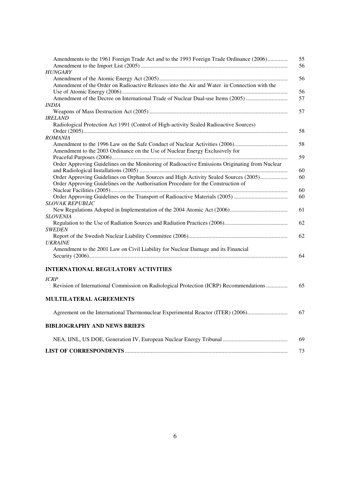| Amendments to the 1961 Foreign Trade Act and to the 1993 Foreign Trade Ordinance (2006)        | 55 |
|------------------------------------------------------------------------------------------------|----|
|                                                                                                | 56 |
| <b>HUNGARY</b>                                                                                 |    |
|                                                                                                | 56 |
| Amendment of the Order on Radioactive Releases into the Air and Water in Connection with the   |    |
|                                                                                                | 56 |
| Amendment of the Decree on International Trade of Nuclear Dual-use Items (2005)                | 57 |
| <i>INDIA</i>                                                                                   |    |
|                                                                                                | 57 |
| <i>IRELAND</i>                                                                                 |    |
| Radiological Protection Act 1991 (Control of High-activity Sealed Radioactive Sources)         |    |
|                                                                                                | 58 |
| <b>ROMANIA</b>                                                                                 |    |
|                                                                                                | 58 |
| Amendment to the 2003 Ordinance on the Use of Nuclear Energy Exclusively for                   |    |
|                                                                                                | 59 |
| Order Approving Guidelines on the Monitoring of Radioactive Emissions Originating from Nuclear |    |
|                                                                                                | 60 |
| Order Approving Guidelines on Orphan Sources and High Activity Sealed Sources (2005)           | 60 |
| Order Approving Guidelines on the Authorisation Procedure for the Construction of              |    |
|                                                                                                | 60 |
| Order Approving Guidelines on the Transport of Radioactive Materials (2005)                    | 60 |
| <b>SLOVAK REPUBLIC</b>                                                                         |    |
|                                                                                                | 61 |
| <b>SLOVENIA</b>                                                                                |    |
|                                                                                                | 62 |
| <b>SWEDEN</b>                                                                                  |    |
|                                                                                                | 62 |
| <b>UKRAINE</b>                                                                                 |    |
| Amendment to the 2001 Law on Civil Liability for Nuclear Damage and its Financial              |    |
|                                                                                                | 64 |
|                                                                                                |    |
| <b>INTERNATIONAL REGULATORY ACTIVITIES</b>                                                     |    |
| <b>ICRP</b>                                                                                    |    |
| Revision of International Commission on Radiological Protection (ICRP) Recommendations         | 65 |
|                                                                                                |    |
|                                                                                                |    |
| <b>MULTILATERAL AGREEMENTS</b>                                                                 |    |
| Agreement on the International Thermonuclear Experimental Reactor (ITER) (2006)                | 67 |
|                                                                                                |    |
| <b>BIBLIOGRAPHY AND NEWS BRIEFS</b>                                                            |    |
|                                                                                                |    |
|                                                                                                | 69 |
|                                                                                                |    |
|                                                                                                | 73 |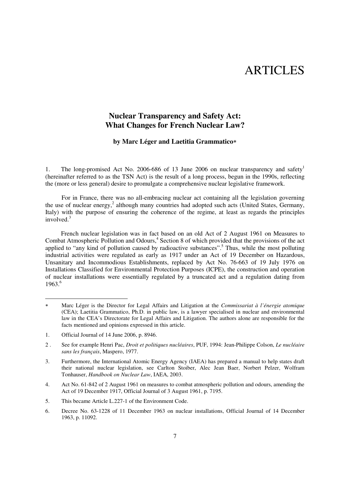## ARTICLES

### **Nuclear Transparency and Safety Act: What Changes for French Nuclear Law?**

#### **by Marc Léger and Laetitia Grammatico\***

1. The long-promised Act No. 2006-686 of 13 June 2006 on nuclear transparency and safety<sup>1</sup> (hereinafter referred to as the TSN Act) is the result of a long process, begun in the 1990s, reflecting the (more or less general) desire to promulgate a comprehensive nuclear legislative framework.

For in France, there was no all-embracing nuclear act containing all the legislation governing the use of nuclear energy,<sup>2</sup> although many countries had adopted such acts (United States, Germany, Italy) with the purpose of ensuring the coherence of the regime, at least as regards the principles involved. $3$ 

French nuclear legislation was in fact based on an old Act of 2 August 1961 on Measures to Combat Atmospheric Pollution and Odours,<sup>4</sup> Section 8 of which provided that the provisions of the act applied to "any kind of pollution caused by radioactive substances".<sup>5</sup> Thus, while the most polluting industrial activities were regulated as early as 1917 under an Act of 19 December on Hazardous, Unsanitary and Incommodious Establishments, replaced by Act No. 76-663 of 19 July 1976 on Installations Classified for Environmental Protection Purposes (ICPE), the construction and operation of nuclear installations were essentially regulated by a truncated act and a regulation dating from 1963.6

1. Official Journal of 14 June 2006, p. 8946.

-

- 4. Act No. 61-842 of 2 August 1961 on measures to combat atmospheric pollution and odours, amending the Act of 19 December 1917, Official Journal of 3 August 1961, p. 7195.
- 5. This became Article L.227-1 of the Environment Code.

 $\ast$  Marc Léger is the Director for Legal Affairs and Litigation at the *Commissariat à l'énergie atomique* (CEA); Laetitia Grammatico, Ph.D. in public law, is a lawyer specialised in nuclear and environmental law in the CEA's Directorate for Legal Affairs and Litigation. The authors alone are responsible for the facts mentioned and opinions expressed in this article.

<sup>2 .</sup> See for example Henri Pac, *Droit et politiques nucléaires*, PUF, 1994: Jean-Philippe Colson, *Le nucléaire sans les français*, Maspero, 1977.

<sup>3.</sup> Furthermore, the International Atomic Energy Agency (IAEA) has prepared a manual to help states draft their national nuclear legislation, see Carlton Stoiber, Alec Jean Baer, Norbert Pelzer, Wolfram Tonhauser, *Handbook on Nuclear Law*, IAEA, 2003.

<sup>6.</sup> Decree No. 63-1228 of 11 December 1963 on nuclear installations, Official Journal of 14 December 1963, p. 11092.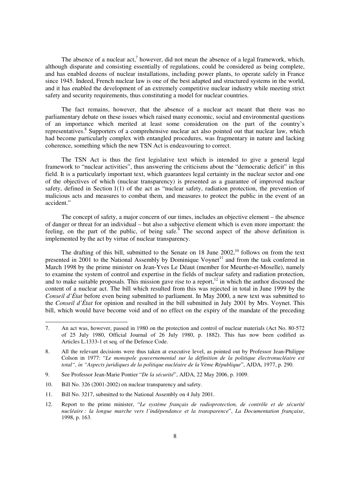The absence of a nuclear  $act<sub>i</sub><sup>7</sup>$  however, did not mean the absence of a legal framework, which, although disparate and consisting essentially of regulations, could be considered as being complete, and has enabled dozens of nuclear installations, including power plants, to operate safely in France since 1945. Indeed, French nuclear law is one of the best adapted and structured systems in the world, and it has enabled the development of an extremely competitive nuclear industry while meeting strict safety and security requirements, thus constituting a model for nuclear countries.

The fact remains, however, that the absence of a nuclear act meant that there was no parliamentary debate on these issues which raised many economic, social and environmental questions of an importance which merited at least some consideration on the part of the country's representatives.<sup>8</sup> Supporters of a comprehensive nuclear act also pointed out that nuclear law, which had become particularly complex with entangled procedures, was fragmentary in nature and lacking coherence, something which the new TSN Act is endeavouring to correct.

The TSN Act is thus the first legislative text which is intended to give a general legal framework to "nuclear activities", thus answering the criticisms about the "democratic deficit" in this field. It is a particularly important text, which guarantees legal certainty in the nuclear sector and one of the objectives of which (nuclear transparency) is presented as a guarantee of improved nuclear safety, defined in Section 1(1) of the act as "nuclear safety, radiation protection, the prevention of malicious acts and measures to combat them, and measures to protect the public in the event of an accident."

The concept of safety, a major concern of our times, includes an objective element – the absence of danger or threat for an individual – but also a subjective element which is even more important: the feeling, on the part of the public, of being safe. The second aspect of the above definition is implemented by the act by virtue of nuclear transparency.

The drafting of this bill, submitted to the Senate on 18 June  $2002$ ,<sup>10</sup> follows on from the text presented in 2001 to the National Assembly by Dominique Voynet<sup>11</sup> and from the task conferred in March 1998 by the prime minister on Jean-Yves Le Déaut (member for Meurthe-et-Moselle), namely to examine the system of control and expertise in the fields of nuclear safety and radiation protection, and to make suitable proposals. This mission gave rise to a report, $12$  in which the author discussed the content of a nuclear act. The bill which resulted from this was rejected in total in June 1999 by the *Conseil d'État* before even being submitted to parliament. In May 2000, a new text was submitted to the *Conseil d'État* for opinion and resulted in the bill submitted in July 2001 by Mrs. Voynet. This bill, which would have become void and of no effect on the expiry of the mandate of the preceding

10. Bill No. 326 (2001-2002) on nuclear transparency and safety.

- 11. Bill No. 3217, submitted to the National Assembly on 4 July 2001.
- 12. Report to the prime minister, "*Le système français de radioprotection, de contrôle et de sécurité nucléaire : la longue marche vers l'indépendance et la transparence*", *La Documentation française*, 1998, p. 163.

<sup>7.</sup> An act was, however, passed in 1980 on the protection and control of nuclear materials (Act No. 80-572 of 25 July 1980, Official Journal of 26 July 1980, p. 1882). This has now been codified as Articles L.1333-1 et seq. of the Defence Code.

<sup>8.</sup> All the relevant decisions were thus taken at executive level, as pointed out by Professor Jean-Philippe Colson in 1977: "*Le monopole gouvernemental sur la définition de la politique électronucléaire est total", in "Aspects juridiques de la politique nucléaire de la Vème République*", AJDA, 1977, p. 290.

<sup>9.</sup> See Professor Jean-Marie Pontier "*De la sécurité*", AJDA, 22 May 2006, p. 1009.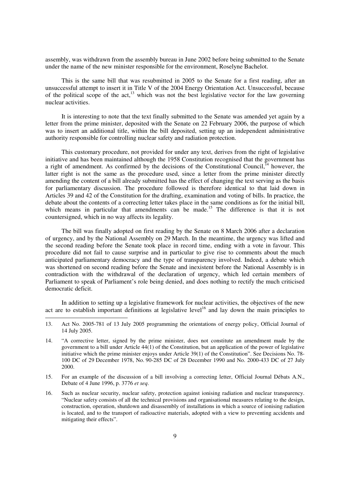assembly, was withdrawn from the assembly bureau in June 2002 before being submitted to the Senate under the name of the new minister responsible for the environment, Roselyne Bachelot.

This is the same bill that was resubmitted in 2005 to the Senate for a first reading, after an unsuccessful attempt to insert it in Title V of the 2004 Energy Orientation Act. Unsuccessful, because of the political scope of the act,<sup>13</sup> which was not the best legislative vector for the law governing nuclear activities.

It is interesting to note that the text finally submitted to the Senate was amended yet again by a letter from the prime minister, deposited with the Senate on 22 February 2006, the purpose of which was to insert an additional title, within the bill deposited, setting up an independent administrative authority responsible for controlling nuclear safety and radiation protection.

This customary procedure, not provided for under any text, derives from the right of legislative initiative and has been maintained although the 1958 Constitution recognised that the government has a right of amendment. As confirmed by the decisions of the Constitutional Council,  $^{14}$  however, the latter right is not the same as the procedure used, since a letter from the prime minister directly amending the content of a bill already submitted has the effect of changing the text serving as the basis for parliamentary discussion. The procedure followed is therefore identical to that laid down in Articles 39 and 42 of the Constitution for the drafting, examination and voting of bills. In practice, the debate about the contents of a correcting letter takes place in the same conditions as for the initial bill, which means in particular that amendments can be made.<sup>15</sup> The difference is that it is not countersigned, which in no way affects its legality.

The bill was finally adopted on first reading by the Senate on 8 March 2006 after a declaration of urgency, and by the National Assembly on 29 March. In the meantime, the urgency was lifted and the second reading before the Senate took place in record time, ending with a vote in favour. This procedure did not fail to cause surprise and in particular to give rise to comments about the much anticipated parliamentary democracy and the type of transparency involved. Indeed, a debate which was shortened on second reading before the Senate and inexistent before the National Assembly is in contradiction with the withdrawal of the declaration of urgency, which led certain members of Parliament to speak of Parliament's role being denied, and does nothing to rectify the much criticised democratic deficit.

In addition to setting up a legislative framework for nuclear activities, the objectives of the new act are to establish important definitions at legislative level<sup>16</sup> and lay down the main principles to

- 15. For an example of the discussion of a bill involving a correcting letter, Official Journal Débats A.N., Debate of 4 June 1996, p. 3776 *et seq*.
- 16. Such as nuclear security, nuclear safety, protection against ionising radiation and nuclear transparency. "Nuclear safety consists of all the technical provisions and organisational measures relating to the design, construction, operation, shutdown and disassembly of installations in which a source of ionising radiation is located, and to the transport of radioactive materials, adopted with a view to preventing accidents and mitigating their effects".

<sup>13.</sup> Act No. 2005-781 of 13 July 2005 programming the orientations of energy policy, Official Journal of 14 July 2005.

<sup>14. &</sup>quot;A corrective letter, signed by the prime minister, does not constitute an amendment made by the government to a bill under Article 44(1) of the Constitution, but an application of the power of legislative initiative which the prime minister enjoys under Article 39(1) of the Constitution". See Decisions No. 78- 100 DC of 29 December 1978, No. 90-285 DC of 28 December 1990 and No. 2000-433 DC of 27 July 2000.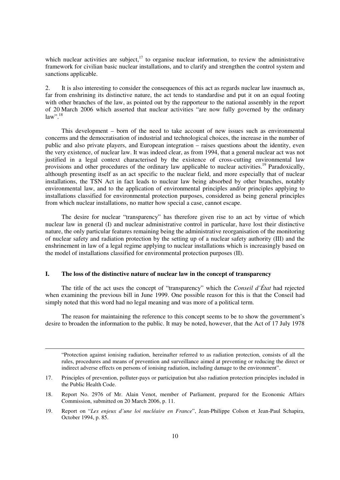which nuclear activities are subject, $17$  to organise nuclear information, to review the administrative framework for civilian basic nuclear installations, and to clarify and strengthen the control system and sanctions applicable.

2. It is also interesting to consider the consequences of this act as regards nuclear law inasmuch as, far from enshrining its distinctive nature, the act tends to standardise and put it on an equal footing with other branches of the law, as pointed out by the rapporteur to the national assembly in the report of 20 March 2006 which asserted that nuclear activities "are now fully governed by the ordinary law"<sup>, 18</sup>

This development – born of the need to take account of new issues such as environmental concerns and the democratisation of industrial and technological choices, the increase in the number of public and also private players, and European integration – raises questions about the identity, even the very existence, of nuclear law. It was indeed clear, as from 1994, that a general nuclear act was not justified in a legal context characterised by the existence of cross-cutting environmental law provisions and other procedures of the ordinary law applicable to nuclear activities.<sup>19</sup> Paradoxically, although presenting itself as an act specific to the nuclear field, and more especially that of nuclear installations, the TSN Act in fact leads to nuclear law being absorbed by other branches, notably environmental law, and to the application of environmental principles and/or principles applying to installations classified for environmental protection purposes, considered as being general principles from which nuclear installations, no matter how special a case, cannot escape.

The desire for nuclear "transparency" has therefore given rise to an act by virtue of which nuclear law in general (I) and nuclear administrative control in particular, have lost their distinctive nature, the only particular features remaining being the administrative reorganisation of the monitoring of nuclear safety and radiation protection by the setting up of a nuclear safety authority (III) and the enshrinement in law of a legal regime applying to nuclear installations which is increasingly based on the model of installations classified for environmental protection purposes (II).

#### **I. The loss of the distinctive nature of nuclear law in the concept of transparency**

1

The title of the act uses the concept of "transparency" which the *Conseil d'État* had rejected when examining the previous bill in June 1999. One possible reason for this is that the Conseil had simply noted that this word had no legal meaning and was more of a political term.

The reason for maintaining the reference to this concept seems to be to show the government's desire to broaden the information to the public. It may be noted, however, that the Act of 17 July 1978

 "Protection against ionising radiation, hereinafter referred to as radiation protection, consists of all the rules, procedures and means of prevention and surveillance aimed at preventing or reducing the direct or indirect adverse effects on persons of ionising radiation, including damage to the environment".

<sup>17.</sup> Principles of prevention, polluter-pays or participation but also radiation protection principles included in the Public Health Code.

<sup>18.</sup> Report No. 2976 of Mr. Alain Venot, member of Parliament, prepared for the Economic Affairs Commission, submitted on 20 March 2006, p. 11.

<sup>19.</sup> Report on "*Les enjeux d'une loi nucléaire en France*", Jean-Philippe Colson et Jean-Paul Schapira, October 1994, p. 85.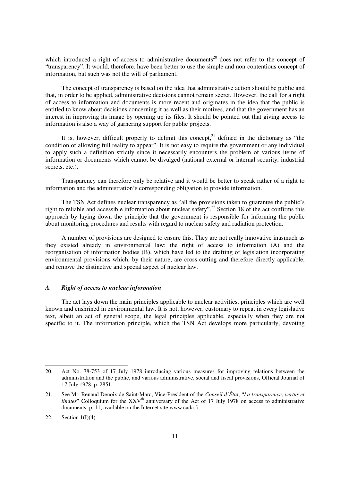which introduced a right of access to administrative documents<sup>20</sup> does not refer to the concept of "transparency". It would, therefore, have been better to use the simple and non-contentious concept of information, but such was not the will of parliament.

The concept of transparency is based on the idea that administrative action should be public and that, in order to be applied, administrative decisions cannot remain secret. However, the call for a right of access to information and documents is more recent and originates in the idea that the public is entitled to know about decisions concerning it as well as their motives, and that the government has an interest in improving its image by opening up its files. It should be pointed out that giving access to information is also a way of garnering support for public projects.

It is, however, difficult properly to delimit this concept, $^{21}$  defined in the dictionary as "the condition of allowing full reality to appear". It is not easy to require the government or any individual to apply such a definition strictly since it necessarily encounters the problem of various items of information or documents which cannot be divulged (national external or internal security, industrial secrets, etc.).

Transparency can therefore only be relative and it would be better to speak rather of a right to information and the administration's corresponding obligation to provide information.

The TSN Act defines nuclear transparency as "all the provisions taken to guarantee the public's right to reliable and accessible information about nuclear safety".<sup>22</sup> Section 18 of the act confirms this approach by laying down the principle that the government is responsible for informing the public about monitoring procedures and results with regard to nuclear safety and radiation protection.

A number of provisions are designed to ensure this. They are not really innovative inasmuch as they existed already in environmental law: the right of access to information (A) and the reorganisation of information bodies (B), which have led to the drafting of legislation incorporating environmental provisions which, by their nature, are cross-cutting and therefore directly applicable, and remove the distinctive and special aspect of nuclear law.

#### *A. Right of access to nuclear information*

The act lays down the main principles applicable to nuclear activities, principles which are well known and enshrined in environmental law. It is not, however, customary to repeat in every legislative text, albeit an act of general scope, the legal principles applicable, especially when they are not specific to it. The information principle, which the TSN Act develops more particularly, devoting

-

<sup>20.</sup> Act No. 78-753 of 17 July 1978 introducing various measures for improving relations between the administration and the public, and various administrative, social and fiscal provisions, Official Journal of 17 July 1978, p. 2851.

<sup>21.</sup> See Mr. Renaud Denoix de Saint-Marc, Vice-President of the *Conseil d'État*, "*La transparence, vertus et limites*" Colloquium for the XXV<sup>th</sup> anniversary of the Act of 17 July 1978 on access to administrative documents, p. 11, available on the Internet site www.cada.fr.

<sup>22.</sup> Section  $1(I)(4)$ .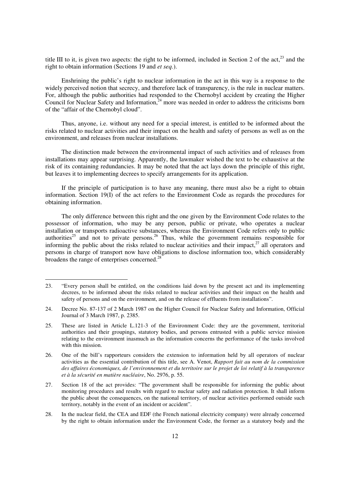title III to it, is given two aspects: the right to be informed, included in Section 2 of the  $act$ ,  $23$  and the right to obtain information (Sections 19 and *et seq.*).

Enshrining the public's right to nuclear information in the act in this way is a response to the widely perceived notion that secrecy, and therefore lack of transparency, is the rule in nuclear matters. For, although the public authorities had responded to the Chernobyl accident by creating the Higher Council for Nuclear Safety and Information,  $24$  more was needed in order to address the criticisms born of the "affair of the Chernobyl cloud".

Thus, anyone, i.e. without any need for a special interest, is entitled to be informed about the risks related to nuclear activities and their impact on the health and safety of persons as well as on the environment, and releases from nuclear installations.

The distinction made between the environmental impact of such activities and of releases from installations may appear surprising. Apparently, the lawmaker wished the text to be exhaustive at the risk of its containing redundancies. It may be noted that the act lays down the principle of this right, but leaves it to implementing decrees to specify arrangements for its application.

If the principle of participation is to have any meaning, there must also be a right to obtain information. Section 19(I) of the act refers to the Environment Code as regards the procedures for obtaining information.

The only difference between this right and the one given by the Environment Code relates to the possessor of information, who may be any person, public or private, who operates a nuclear installation or transports radioactive substances, whereas the Environment Code refers only to public authorities<sup>25</sup> and not to private persons.<sup>26</sup> Thus, while the government remains responsible for informing the public about the risks related to nuclear activities and their impact, $^{27}$  all operators and persons in charge of transport now have obligations to disclose information too, which considerably broadens the range of enterprises concerned.<sup>28</sup>

-

<sup>23. &</sup>quot;Every person shall be entitled, on the conditions laid down by the present act and its implementing decrees, to be informed about the risks related to nuclear activities and their impact on the health and safety of persons and on the environment, and on the release of effluents from installations".

<sup>24.</sup> Decree No. 87-137 of 2 March 1987 on the Higher Council for Nuclear Safety and Information, Official Journal of 3 March 1987, p. 2385.

<sup>25.</sup> These are listed in Article L.121-3 of the Environment Code: they are the government, territorial authorities and their groupings, statutory bodies, and persons entrusted with a public service mission relating to the environment inasmuch as the information concerns the performance of the tasks involved with this mission.

<sup>26.</sup> One of the bill's rapporteurs considers the extension to information held by all operators of nuclear activities as the essential contribution of this title, see A. Venot, *Rapport fait au nom de la commission des affaires économiques, de l'environnement et du territoire sur le projet de loi relatif à la transparence et à la sécurité en matière nucléaire*, No. 2976, p. 55.

<sup>27.</sup> Section 18 of the act provides: "The government shall be responsible for informing the public about monitoring procedures and results with regard to nuclear safety and radiation protection. It shall inform the public about the consequences, on the national territory, of nuclear activities performed outside such territory, notably in the event of an incident or accident".

<sup>28.</sup> In the nuclear field, the CEA and EDF (the French national electricity company) were already concerned by the right to obtain information under the Environment Code, the former as a statutory body and the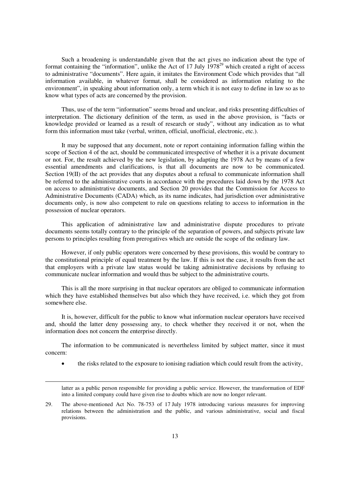Such a broadening is understandable given that the act gives no indication about the type of format containing the "information", unlike the Act of 17 July  $1978<sup>29</sup>$  which created a right of access to administrative "documents". Here again, it imitates the Environment Code which provides that "all information available, in whatever format, shall be considered as information relating to the environment", in speaking about information only, a term which it is not easy to define in law so as to know what types of acts are concerned by the provision.

Thus, use of the term "information" seems broad and unclear, and risks presenting difficulties of interpretation. The dictionary definition of the term, as used in the above provision, is "facts or knowledge provided or learned as a result of research or study", without any indication as to what form this information must take (verbal, written, official, unofficial, electronic, etc.).

It may be supposed that any document, note or report containing information falling within the scope of Section 4 of the act, should be communicated irrespective of whether it is a private document or not. For, the result achieved by the new legislation, by adapting the 1978 Act by means of a few essential amendments and clarifications, is that all documents are now to be communicated. Section 19(II) of the act provides that any disputes about a refusal to communicate information shall be referred to the administrative courts in accordance with the procedures laid down by the 1978 Act on access to administrative documents, and Section 20 provides that the Commission for Access to Administrative Documents (CADA) which, as its name indicates, had jurisdiction over administrative documents only, is now also competent to rule on questions relating to access to information in the possession of nuclear operators.

This application of administrative law and administrative dispute procedures to private documents seems totally contrary to the principle of the separation of powers, and subjects private law persons to principles resulting from prerogatives which are outside the scope of the ordinary law.

However, if only public operators were concerned by these provisions, this would be contrary to the constitutional principle of equal treatment by the law. If this is not the case, it results from the act that employers with a private law status would be taking administrative decisions by refusing to communicate nuclear information and would thus be subject to the administrative courts.

This is all the more surprising in that nuclear operators are obliged to communicate information which they have established themselves but also which they have received, i.e. which they got from somewhere else.

It is, however, difficult for the public to know what information nuclear operators have received and, should the latter deny possessing any, to check whether they received it or not, when the information does not concern the enterprise directly.

The information to be communicated is nevertheless limited by subject matter, since it must concern:

the risks related to the exposure to ionising radiation which could result from the activity,

latter as a public person responsible for providing a public service. However, the transformation of EDF into a limited company could have given rise to doubts which are now no longer relevant.

<sup>29.</sup> The above-mentioned Act No. 78-753 of 17 July 1978 introducing various measures for improving relations between the administration and the public, and various administrative, social and fiscal provisions.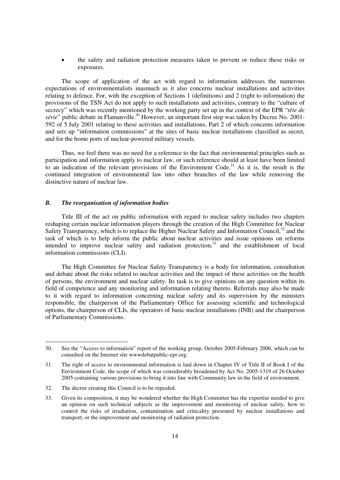the safety and radiation protection measures taken to prevent or reduce these risks or exposures.

The scope of application of the act with regard to information addresses the numerous expectations of environmentalists inasmuch as it also concerns nuclear installations and activities relating to defence. For, with the exception of Sections 1 (definitions) and 2 (right to information) the provisions of the TSN Act do not apply to such installations and activities, contrary to the "culture of secrecy" which was recently mentioned by the working party set up in the context of the EPR "*tête de série*" public debate in Flamanville.<sup>30</sup> However, an important first step was taken by Decree No. 2001-592 of 5 July 2001 relating to these activities and installations, Part 2 of which concerns information and sets up "information commissions" at the sites of basic nuclear installations classified as secret, and for the home ports of nuclear-powered military vessels.

Thus, we feel there was no need for a reference to the fact that environmental principles such as participation and information apply to nuclear law, or such reference should at least have been limited to an indication of the relevant provisions of the Environment Code.<sup>31</sup> As it is, the result is the continued integration of environmental law into other branches of the law while removing the distinctive nature of nuclear law.

#### *B. The reorganisation of information bodies*

Title III of the act on public information with regard to nuclear safety includes two chapters reshaping certain nuclear information players through the creation of the High Committee for Nuclear Safety Transparency, which is to replace the Higher Nuclear Safety and Information Council, $32$  and the task of which is to help inform the public about nuclear activities and issue opinions on reforms intended to improve nuclear safety and radiation protection, $33$  and the establishment of local information commissions (CLI).

The High Committee for Nuclear Safety Transparency is a body for information, consultation and debate about the risks related to nuclear activities and the impact of these activities on the health of persons, the environment and nuclear safety. Its task is to give opinions on any question within its field of competence and any monitoring and information relating thereto. Referrals may also be made to it with regard to information concerning nuclear safety and its supervision by the ministers responsible, the chairperson of the Parliamentary Office for assessing scientific and technological options, the chairperson of CLIs, the operators of basic nuclear installations (INB) and the chairperson of Parliamentary Commissions.

-

<sup>30.</sup> See the "Access to information" report of the working group, October 2005-February 2006, which can be consulted on the Internet site wwwdebatpublic-epr.org.

<sup>31.</sup> The right of access to environmental information is laid down in Chapter IV of Title II of Book I of the Environment Code, the scope of which was considerably broadened by Act No. 2005-1319 of 26 October 2005 containing various provisions to bring it into line with Community law in the field of environment.

<sup>32.</sup> The decree creating this Council is to be repealed.

<sup>33.</sup> Given its composition, it may be wondered whether the High Committee has the expertise needed to give an opinion on such technical subjects as the improvement and monitoring of nuclear safety, how to control the risks of irradiation, contamination and criticality presented by nuclear installations and transport, or the improvement and monitoring of radiation protection.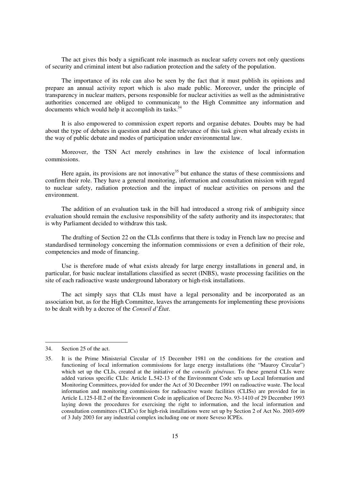The act gives this body a significant role inasmuch as nuclear safety covers not only questions of security and criminal intent but also radiation protection and the safety of the population.

The importance of its role can also be seen by the fact that it must publish its opinions and prepare an annual activity report which is also made public. Moreover, under the principle of transparency in nuclear matters, persons responsible for nuclear activities as well as the administrative authorities concerned are obliged to communicate to the High Committee any information and documents which would help it accomplish its tasks. $34$ 

It is also empowered to commission expert reports and organise debates. Doubts may be had about the type of debates in question and about the relevance of this task given what already exists in the way of public debate and modes of participation under environmental law.

Moreover, the TSN Act merely enshrines in law the existence of local information commissions.

Here again, its provisions are not innovative<sup>35</sup> but enhance the status of these commissions and confirm their role. They have a general monitoring, information and consultation mission with regard to nuclear safety, radiation protection and the impact of nuclear activities on persons and the environment.

The addition of an evaluation task in the bill had introduced a strong risk of ambiguity since evaluation should remain the exclusive responsibility of the safety authority and its inspectorates; that is why Parliament decided to withdraw this task.

The drafting of Section 22 on the CLIs confirms that there is today in French law no precise and standardised terminology concerning the information commissions or even a definition of their role, competencies and mode of financing.

Use is therefore made of what exists already for large energy installations in general and, in particular, for basic nuclear installations classified as secret (INBS), waste processing facilities on the site of each radioactive waste underground laboratory or high-risk installations.

The act simply says that CLIs must have a legal personality and be incorporated as an association but, as for the High Committee, leaves the arrangements for implementing these provisions to be dealt with by a decree of the *Conseil d'État*.

-

<sup>34.</sup> Section 25 of the act.

<sup>35.</sup> It is the Prime Ministerial Circular of 15 December 1981 on the conditions for the creation and functioning of local information commissions for large energy installations (the "Mauroy Circular") which set up the CLIs, created at the initiative of the *conseils généraux*. To these general CLIs were added various specific CLIs: Article L.542-13 of the Environment Code sets up Local Information and Monitoring Committees, provided for under the Act of 30 December 1991 on radioactive waste. The local information and monitoring commissions for radioactive waste facilities (CLISs) are provided for in Article L.125-I-II.2 of the Environment Code in application of Decree No. 93-1410 of 29 December 1993 laying down the procedures for exercising the right to information, and the local information and consultation committees (CLICs) for high-risk installations were set up by Section 2 of Act No. 2003-699 of 3 July 2003 for any industrial complex including one or more Seveso ICPEs.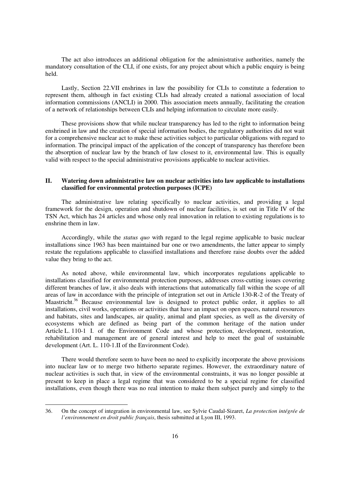The act also introduces an additional obligation for the administrative authorities, namely the mandatory consultation of the CLI, if one exists, for any project about which a public enquiry is being held.

Lastly, Section 22.VII enshrines in law the possibility for CLIs to constitute a federation to represent them, although in fact existing CLIs had already created a national association of local information commissions (ANCLI) in 2000. This association meets annually, facilitating the creation of a network of relationships between CLIs and helping information to circulate more easily.

These provisions show that while nuclear transparency has led to the right to information being enshrined in law and the creation of special information bodies, the regulatory authorities did not wait for a comprehensive nuclear act to make these activities subject to particular obligations with regard to information. The principal impact of the application of the concept of transparency has therefore been the absorption of nuclear law by the branch of law closest to it, environmental law. This is equally valid with respect to the special administrative provisions applicable to nuclear activities.

#### **II. Watering down administrative law on nuclear activities into law applicable to installations classified for environmental protection purposes (ICPE)**

The administrative law relating specifically to nuclear activities, and providing a legal framework for the design, operation and shutdown of nuclear facilities, is set out in Title IV of the TSN Act, which has 24 articles and whose only real innovation in relation to existing regulations is to enshrine them in law.

Accordingly, while the *status quo* with regard to the legal regime applicable to basic nuclear installations since 1963 has been maintained bar one or two amendments, the latter appear to simply restate the regulations applicable to classified installations and therefore raise doubts over the added value they bring to the act.

As noted above, while environmental law, which incorporates regulations applicable to installations classified for environmental protection purposes, addresses cross-cutting issues covering different branches of law, it also deals with interactions that automatically fall within the scope of all areas of law in accordance with the principle of integration set out in Article 130-R-2 of the Treaty of Maastricht.<sup>36</sup> Because environmental law is designed to protect public order, it applies to all installations, civil works, operations or activities that have an impact on open spaces, natural resources and habitats, sites and landscapes, air quality, animal and plant species, as well as the diversity of ecosystems which are defined as being part of the common heritage of the nation under Article L. 110-1 I. of the Environment Code and whose protection, development, restoration, rehabilitation and management are of general interest and help to meet the goal of sustainable development (Art. L. 110-1.II of the Environment Code).

There would therefore seem to have been no need to explicitly incorporate the above provisions into nuclear law or to merge two hitherto separate regimes. However, the extraordinary nature of nuclear activities is such that, in view of the environmental constraints, it was no longer possible at present to keep in place a legal regime that was considered to be a special regime for classified installations, even though there was no real intention to make them subject purely and simply to the

<sup>36.</sup> On the concept of integration in environmental law, see Sylvie Caudal-Sizaret, *La protection intégrée de l'environnement en droit public français*, thesis submitted at Lyon III, 1993.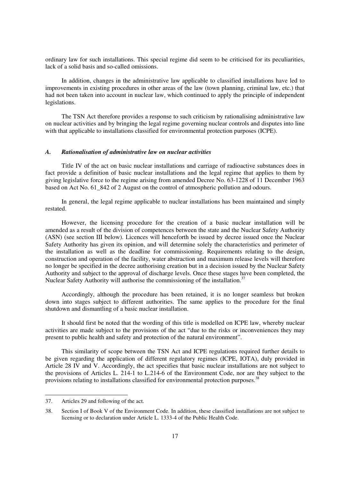ordinary law for such installations. This special regime did seem to be criticised for its peculiarities, lack of a solid basis and so-called omissions.

In addition, changes in the administrative law applicable to classified installations have led to improvements in existing procedures in other areas of the law (town planning, criminal law, etc.) that had not been taken into account in nuclear law, which continued to apply the principle of independent legislations.

The TSN Act therefore provides a response to such criticism by rationalising administrative law on nuclear activities and by bringing the legal regime governing nuclear controls and disputes into line with that applicable to installations classified for environmental protection purposes (ICPE).

#### *A. Rationalisation of administrative law on nuclear activities*

Title IV of the act on basic nuclear installations and carriage of radioactive substances does in fact provide a definition of basic nuclear installations and the legal regime that applies to them by giving legislative force to the regime arising from amended Decree No. 63-1228 of 11 December 1963 based on Act No. 61  $\,842$  of 2 August on the control of atmospheric pollution and odours.

In general, the legal regime applicable to nuclear installations has been maintained and simply restated.

However, the licensing procedure for the creation of a basic nuclear installation will be amended as a result of the division of competences between the state and the Nuclear Safety Authority (ASN) (see section III below). Licences will henceforth be issued by decree issued once the Nuclear Safety Authority has given its opinion, and will determine solely the characteristics and perimeter of the installation as well as the deadline for commissioning. Requirements relating to the design, construction and operation of the facility, water abstraction and maximum release levels will therefore no longer be specified in the decree authorising creation but in a decision issued by the Nuclear Safety Authority and subject to the approval of discharge levels. Once these stages have been completed, the Nuclear Safety Authority will authorise the commissioning of the installation.<sup>37</sup>

Accordingly, although the procedure has been retained, it is no longer seamless but broken down into stages subject to different authorities. The same applies to the procedure for the final shutdown and dismantling of a basic nuclear installation.

It should first be noted that the wording of this title is modelled on ICPE law, whereby nuclear activities are made subject to the provisions of the act "due to the risks or inconveniences they may present to public health and safety and protection of the natural environment".

This similarity of scope between the TSN Act and ICPE regulations required further details to be given regarding the application of different regulatory regimes (ICPE, IOTA), duly provided in Article 28 IV and V. Accordingly, the act specifies that basic nuclear installations are not subject to the provisions of Articles L. 214-1 to L.214-6 of the Environment Code, nor are they subject to the provisions relating to installations classified for environmental protection purposes.<sup>38</sup>

<sup>37.</sup> Articles 29 and following of the act.

<sup>38.</sup> Section I of Book V of the Environment Code. In addition, these classified installations are not subject to licensing or to declaration under Article L. 1333-4 of the Public Health Code.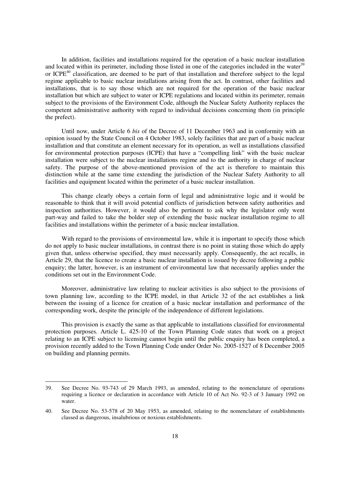In addition, facilities and installations required for the operation of a basic nuclear installation and located within its perimeter, including those listed in one of the categories included in the water $39$ or ICPE<sup>40</sup> classification, are deemed to be part of that installation and therefore subject to the legal regime applicable to basic nuclear installations arising from the act. In contrast, other facilities and installations, that is to say those which are not required for the operation of the basic nuclear installation but which are subject to water or ICPE regulations and located within its perimeter, remain subject to the provisions of the Environment Code, although the Nuclear Safety Authority replaces the competent administrative authority with regard to individual decisions concerning them (in principle the prefect).

Until now, under Article 6 *bis* of the Decree of 11 December 1963 and in conformity with an opinion issued by the State Council on 4 October 1983, solely facilities that are part of a basic nuclear installation and that constitute an element necessary for its operation, as well as installations classified for environmental protection purposes (ICPE) that have a "compelling link" with the basic nuclear installation were subject to the nuclear installations regime and to the authority in charge of nuclear safety. The purpose of the above-mentioned provision of the act is therefore to maintain this distinction while at the same time extending the jurisdiction of the Nuclear Safety Authority to all facilities and equipment located within the perimeter of a basic nuclear installation.

This change clearly obeys a certain form of legal and administrative logic and it would be reasonable to think that it will avoid potential conflicts of jurisdiction between safety authorities and inspection authorities. However, it would also be pertinent to ask why the legislator only went part-way and failed to take the bolder step of extending the basic nuclear installation regime to all facilities and installations within the perimeter of a basic nuclear installation.

With regard to the provisions of environmental law, while it is important to specify those which do not apply to basic nuclear installations, in contrast there is no point in stating those which do apply given that, unless otherwise specified, they must necessarily apply. Consequently, the act recalls, in Article 29, that the licence to create a basic nuclear installation is issued by decree following a public enquiry; the latter, however, is an instrument of environmental law that necessarily applies under the conditions set out in the Environment Code.

Moreover, administrative law relating to nuclear activities is also subject to the provisions of town planning law, according to the ICPE model, in that Article 32 of the act establishes a link between the issuing of a licence for creation of a basic nuclear installation and performance of the corresponding work, despite the principle of the independence of different legislations.

This provision is exactly the same as that applicable to installations classified for environmental protection purposes. Article L. 425-10 of the Town Planning Code states that work on a project relating to an ICPE subject to licensing cannot begin until the public enquiry has been completed, a provision recently added to the Town Planning Code under Order No. 2005-1527 of 8 December 2005 on building and planning permits.

<sup>39.</sup> See Decree No. 93-743 of 29 March 1993, as amended, relating to the nomenclature of operations requiring a licence or declaration in accordance with Article 10 of Act No. 92-3 of 3 January 1992 on water.

<sup>40.</sup> See Decree No. 53-578 of 20 May 1953, as amended, relating to the nomenclature of establishments classed as dangerous, insalubrious or noxious establishments.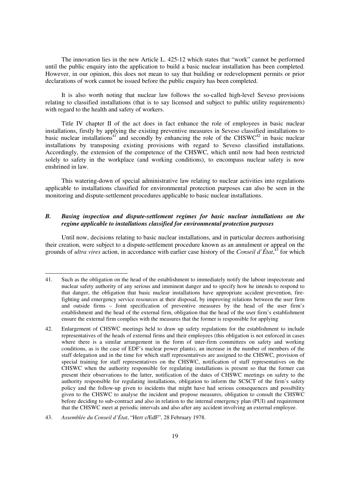The innovation lies in the new Article L. 425-12 which states that "work" cannot be performed until the public enquiry into the application to build a basic nuclear installation has been completed. However, in our opinion, this does not mean to say that building or redevelopment permits or prior declarations of work cannot be issued before the public enquiry has been completed.

It is also worth noting that nuclear law follows the so-called high-level Seveso provisions relating to classified installations (that is to say licensed and subject to public utility requirements) with regard to the health and safety of workers.

Title IV chapter II of the act does in fact enhance the role of employees in basic nuclear installations, firstly by applying the existing preventive measures in Seveso classified installations to basic nuclear installations<sup>41</sup> and secondly by enhancing the role of the CHSWC<sup>42</sup> in basic nuclear installations by transposing existing provisions with regard to Seveso classified installations. Accordingly, the extension of the competence of the CHSWC, which until now had been restricted solely to safety in the workplace (and working conditions), to encompass nuclear safety is now enshrined in law.

This watering-down of special administrative law relating to nuclear activities into regulations applicable to installations classified for environmental protection purposes can also be seen in the monitoring and dispute-settlement procedures applicable to basic nuclear installations.

#### *B. Basing inspection and dispute-settlement regimes for basic nuclear installations on the regime applicable to installations classified for environmental protection purposes*

Until now, decisions relating to basic nuclear installations, and in particular decrees authorising their creation, were subject to a dispute-settlement procedure known as an annulment or appeal on the grounds of *ultra vires* action, in accordance with earlier case history of the *Conseil d'État*, <sup>43</sup> for which

<sup>41.</sup> Such as the obligation on the head of the establishment to immediately notify the labour inspectorate and nuclear safety authority of any serious and imminent danger and to specify how he intends to respond to that danger, the obligation that basic nuclear installations have appropriate accident prevention, firefighting and emergency service resources at their disposal, by improving relations between the user firm and outside firms – Joint specification of preventive measures by the head of the user firm's establishment and the head of the external firm, obligation that the head of the user firm's establishment ensure the external firm complies with the measures that the former is responsible for applying

<sup>42.</sup> Enlargement of CHSWC meetings held to draw up safety regulations for the establishment to include representatives of the heads of external firms and their employees (this obligation is not enforced in cases where there is a similar arrangement in the form of inter-firm committees on safety and working conditions, as is the case of EDF's nuclear power plants), an increase in the number of members of the staff delegation and in the time for which staff representatives are assigned to the CHSWC, provision of special training for staff representatives on the CHSWC, notification of staff representatives on the CHSWC when the authority responsible for regulating installations is present so that the former can present their observations to the latter, notification of the dates of CHSWC meetings on safety to the authority responsible for regulating installations, obligation to inform the SCSCT of the firm's safety policy and the follow-up given to incidents that might have had serious consequences and possibility given to the CHSWC to analyse the incident and propose measures, obligation to consult the CHSWC before deciding to sub-contract and also in relation to the internal emergency plan (PUI) and requirement that the CHSWC meet at periodic intervals and also after any accident involving an external employee.

<sup>43.</sup> *Assemblée du Conseil d'État*, "Herr c/EdF", 28 February 1978.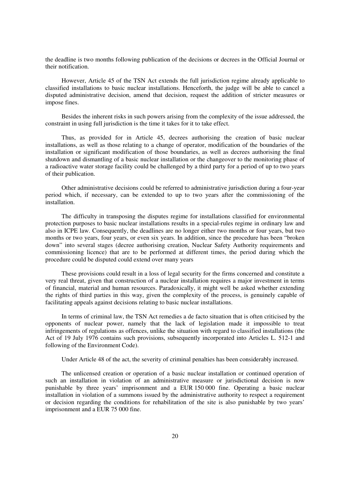the deadline is two months following publication of the decisions or decrees in the Official Journal or their notification.

However, Article 45 of the TSN Act extends the full jurisdiction regime already applicable to classified installations to basic nuclear installations. Henceforth, the judge will be able to cancel a disputed administrative decision, amend that decision, request the addition of stricter measures or impose fines.

Besides the inherent risks in such powers arising from the complexity of the issue addressed, the constraint in using full jurisdiction is the time it takes for it to take effect.

Thus, as provided for in Article 45, decrees authorising the creation of basic nuclear installations, as well as those relating to a change of operator, modification of the boundaries of the installation or significant modification of those boundaries, as well as decrees authorising the final shutdown and dismantling of a basic nuclear installation or the changeover to the monitoring phase of a radioactive water storage facility could be challenged by a third party for a period of up to two years of their publication.

Other administrative decisions could be referred to administrative jurisdiction during a four-year period which, if necessary, can be extended to up to two years after the commissioning of the installation.

The difficulty in transposing the disputes regime for installations classified for environmental protection purposes to basic nuclear installations results in a special-rules regime in ordinary law and also in ICPE law. Consequently, the deadlines are no longer either two months or four years, but two months or two years, four years, or even six years. In addition, since the procedure has been "broken down" into several stages (decree authorising creation, Nuclear Safety Authority requirements and commissioning licence) that are to be performed at different times, the period during which the procedure could be disputed could extend over many years

These provisions could result in a loss of legal security for the firms concerned and constitute a very real threat, given that construction of a nuclear installation requires a major investment in terms of financial, material and human resources. Paradoxically, it might well be asked whether extending the rights of third parties in this way, given the complexity of the process, is genuinely capable of facilitating appeals against decisions relating to basic nuclear installations.

In terms of criminal law, the TSN Act remedies a de facto situation that is often criticised by the opponents of nuclear power, namely that the lack of legislation made it impossible to treat infringements of regulations as offences, unlike the situation with regard to classified installations (the Act of 19 July 1976 contains such provisions, subsequently incorporated into Articles L. 512-1 and following of the Environment Code).

Under Article 48 of the act, the severity of criminal penalties has been considerably increased.

The unlicensed creation or operation of a basic nuclear installation or continued operation of such an installation in violation of an administrative measure or jurisdictional decision is now punishable by three years' imprisonment and a EUR 150 000 fine. Operating a basic nuclear installation in violation of a summons issued by the administrative authority to respect a requirement or decision regarding the conditions for rehabilitation of the site is also punishable by two years' imprisonment and a EUR 75 000 fine.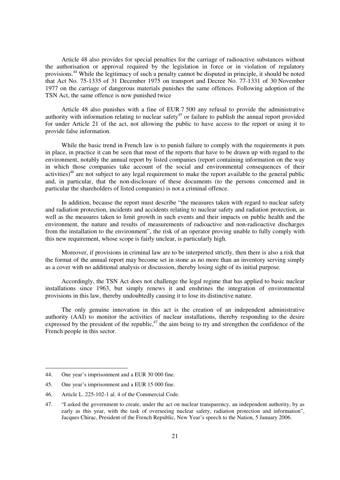Article 48 also provides for special penalties for the carriage of radioactive substances without the authorisation or approval required by the legislation in force or in violation of regulatory provisions.<sup>44</sup> While the legitimacy of such a penalty cannot be disputed in principle, it should be noted that Act No. 75-1335 of 31 December 1975 on transport and Decree No. 77-1331 of 30 November 1977 on the carriage of dangerous materials punishes the same offences. Following adoption of the TSN Act, the same offence is now punished twice

Article 48 also punishes with a fine of EUR 7 500 any refusal to provide the administrative authority with information relating to nuclear safety<sup>45</sup> or failure to publish the annual report provided for under Article 21 of the act, not allowing the public to have access to the report or using it to provide false information.

While the basic trend in French law is to punish failure to comply with the requirements it puts in place, in practice it can be seen that most of the reports that have to be drawn up with regard to the environment, notably the annual report by listed companies (report containing information on the way in which those companies take account of the social and environmental consequences of their activities)<sup>46</sup> are not subject to any legal requirement to make the report available to the general public and, in particular, that the non-disclosure of these documents (to the persons concerned and in particular the shareholders of listed companies) is not a criminal offence.

In addition, because the report must describe "the measures taken with regard to nuclear safety and radiation protection, incidents and accidents relating to nuclear safety and radiation protection, as well as the measures taken to limit growth in such events and their impacts on public health and the environment, the nature and results of measurements of radioactive and non-radioactive discharges from the installation to the environment", the risk of an operator proving unable to fully comply with this new requirement, whose scope is fairly unclear, is particularly high.

Moreover, if provisions in criminal law are to be interpreted strictly, then there is also a risk that the format of the annual report may become set in stone as no more than an inventory serving simply as a cover with no additional analysis or discussion, thereby losing sight of its initial purpose.

Accordingly, the TSN Act does not challenge the legal regime that has applied to basic nuclear installations since 1963, but simply renews it and enshrines the integration of environmental provisions in this law, thereby undoubtedly causing it to lose its distinctive nature.

The only genuine innovation in this act is the creation of an independent administrative authority (AAI) to monitor the activities of nuclear installations, thereby responding to the desire expressed by the president of the republic, $47$  the aim being to try and strengthen the confidence of the French people in this sector.

<sup>44.</sup> One year's imprisonment and a EUR 30 000 fine.

<sup>45.</sup> One year's imprisonment and a EUR 15 000 fine.

<sup>46.</sup> Article L. 225-102-1 al. 4 of the Commercial Code.

<sup>47. &</sup>quot;I asked the government to create, under the act on nuclear transparency, an independent authority, by as early as this year, with the task of overseeing nuclear safety, radiation protection and information", Jacques Chirac, President of the French Republic, New Year's speech to the Nation, 5 January 2006.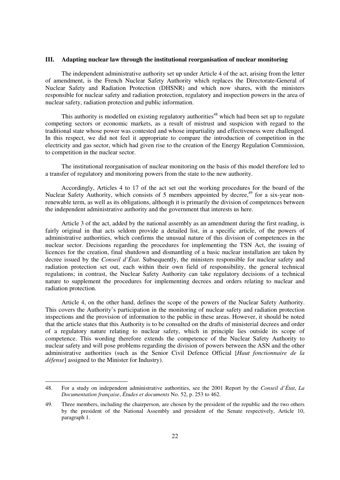#### **III. Adapting nuclear law through the institutional reorganisation of nuclear monitoring**

The independent administrative authority set up under Article 4 of the act, arising from the letter of amendment, is the French Nuclear Safety Authority which replaces the Directorate-General of Nuclear Safety and Radiation Protection (DHSNR) and which now shares, with the ministers responsible for nuclear safety and radiation protection, regulatory and inspection powers in the area of nuclear safety, radiation protection and public information.

This authority is modelled on existing regulatory authorities<sup>48</sup> which had been set up to regulate competing sectors or economic markets, as a result of mistrust and suspicion with regard to the traditional state whose power was contested and whose impartiality and effectiveness were challenged. In this respect, we did not feel it appropriate to compare the introduction of competition in the electricity and gas sector, which had given rise to the creation of the Energy Regulation Commission, to competition in the nuclear sector.

The institutional reorganisation of nuclear monitoring on the basis of this model therefore led to a transfer of regulatory and monitoring powers from the state to the new authority.

Accordingly, Articles 4 to 17 of the act set out the working procedures for the board of the Nuclear Safety Authority, which consists of 5 members appointed by decree,<sup>49</sup> for a six-year nonrenewable term, as well as its obligations, although it is primarily the division of competences between the independent administrative authority and the government that interests us here.

Article 3 of the act, added by the national assembly as an amendment during the first reading, is fairly original in that acts seldom provide a detailed list, in a specific article, of the powers of administrative authorities, which confirms the unusual nature of this division of competences in the nuclear sector. Decisions regarding the procedures for implementing the TSN Act, the issuing of licences for the creation, final shutdown and dismantling of a basic nuclear installation are taken by decree issued by the *Conseil d'État*. Subsequently, the ministers responsible for nuclear safety and radiation protection set out, each within their own field of responsibility, the general technical regulations; in contrast, the Nuclear Safety Authority can take regulatory decisions of a technical nature to supplement the procedures for implementing decrees and orders relating to nuclear and radiation protection.

Article 4, on the other hand, defines the scope of the powers of the Nuclear Safety Authority. This covers the Authority's participation in the monitoring of nuclear safety and radiation protection inspections and the provision of information to the public in these areas. However, it should be noted that the article states that this Authority is to be consulted on the drafts of ministerial decrees and order of a regulatory nature relating to nuclear safety, which in principle lies outside its scope of competence. This wording therefore extends the competence of the Nuclear Safety Authority to nuclear safety and will pose problems regarding the division of powers between the ASN and the other administrative authorities (such as the Senior Civil Defence Official [*Haut fonctionnaire de la défense*] assigned to the Minister for Industry).

<sup>48.</sup> For a study on independent administrative authorities, see the 2001 Report by the *Conseil d'État*, *La Documentation française*, *Études et documents* No. 52, p. 253 to 462.

<sup>49.</sup> Three members, including the chairperson, are chosen by the president of the republic and the two others by the president of the National Assembly and president of the Senate respectively, Article 10, paragraph 1.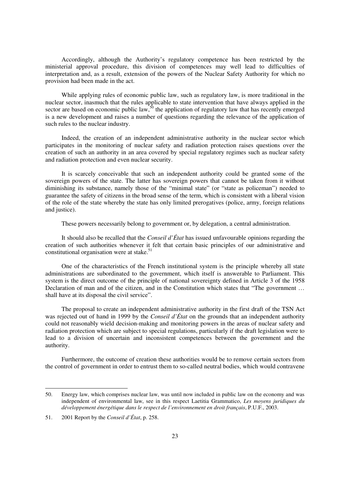Accordingly, although the Authority's regulatory competence has been restricted by the ministerial approval procedure, this division of competences may well lead to difficulties of interpretation and, as a result, extension of the powers of the Nuclear Safety Authority for which no provision had been made in the act.

While applying rules of economic public law, such as regulatory law, is more traditional in the nuclear sector, inasmuch that the rules applicable to state intervention that have always applied in the sector are based on economic public law,  $50$  the application of regulatory law that has recently emerged is a new development and raises a number of questions regarding the relevance of the application of such rules to the nuclear industry.

Indeed, the creation of an independent administrative authority in the nuclear sector which participates in the monitoring of nuclear safety and radiation protection raises questions over the creation of such an authority in an area covered by special regulatory regimes such as nuclear safety and radiation protection and even nuclear security.

It is scarcely conceivable that such an independent authority could be granted some of the sovereign powers of the state. The latter has sovereign powers that cannot be taken from it without diminishing its substance, namely those of the "minimal state" (or "state as policeman") needed to guarantee the safety of citizens in the broad sense of the term, which is consistent with a liberal vision of the role of the state whereby the state has only limited prerogatives (police, army, foreign relations and justice).

These powers necessarily belong to government or, by delegation, a central administration.

It should also be recalled that the *Conseil d'État* has issued unfavourable opinions regarding the creation of such authorities whenever it felt that certain basic principles of our administrative and constitutional organisation were at stake. $51$ 

One of the characteristics of the French institutional system is the principle whereby all state administrations are subordinated to the government, which itself is answerable to Parliament. This system is the direct outcome of the principle of national sovereignty defined in Article 3 of the 1958 Declaration of man and of the citizen, and in the Constitution which states that "The government … shall have at its disposal the civil service".

The proposal to create an independent administrative authority in the first draft of the TSN Act was rejected out of hand in 1999 by the *Conseil d'État* on the grounds that an independent authority could not reasonably wield decision-making and monitoring powers in the areas of nuclear safety and radiation protection which are subject to special regulations, particularly if the draft legislation were to lead to a division of uncertain and inconsistent competences between the government and the authority.

Furthermore, the outcome of creation these authorities would be to remove certain sectors from the control of government in order to entrust them to so-called neutral bodies, which would contravene

-

<sup>50.</sup> Energy law, which comprises nuclear law, was until now included in public law on the economy and was independent of environmental law, see in this respect Laetitia Grammatico, *Les moyens juridiques du développement énergétique dans le respect de l'environnement en droit français*, P.U.F., 2003.

<sup>51. 2001</sup> Report by the *Conseil d'État*, p. 258.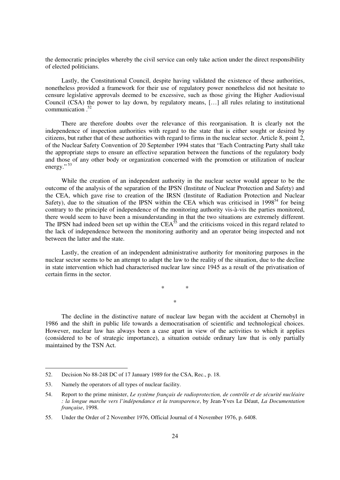the democratic principles whereby the civil service can only take action under the direct responsibility of elected politicians.

Lastly, the Constitutional Council, despite having validated the existence of these authorities, nonetheless provided a framework for their use of regulatory power nonetheless did not hesitate to censure legislative approvals deemed to be excessive, such as those giving the Higher Audiovisual Council (CSA) the power to lay down, by regulatory means, […] all rules relating to institutional communication  $52$ 

There are therefore doubts over the relevance of this reorganisation. It is clearly not the independence of inspection authorities with regard to the state that is either sought or desired by citizens, but rather that of these authorities with regard to firms in the nuclear sector. Article 8, point 2, of the Nuclear Safety Convention of 20 September 1994 states that "Each Contracting Party shall take the appropriate steps to ensure an effective separation between the functions of the regulatory body and those of any other body or organization concerned with the promotion or utilization of nuclear energy."<sup>53</sup>

While the creation of an independent authority in the nuclear sector would appear to be the outcome of the analysis of the separation of the IPSN (Institute of Nuclear Protection and Safety) and the CEA, which gave rise to creation of the IRSN (Institute of Radiation Protection and Nuclear Safety), due to the situation of the IPSN within the CEA which was criticised in  $1998<sup>54</sup>$  for being contrary to the principle of independence of the monitoring authority vis-à-vis the parties monitored, there would seem to have been a misunderstanding in that the two situations are extremely different. The IPSN had indeed been set up within the CEA<sup>55</sup> and the criticisms voiced in this regard related to the lack of independence between the monitoring authority and an operator being inspected and not between the latter and the state.

Lastly, the creation of an independent administrative authority for monitoring purposes in the nuclear sector seems to be an attempt to adapt the law to the reality of the situation, due to the decline in state intervention which had characterised nuclear law since 1945 as a result of the privatisation of certain firms in the sector.

> \* \* \*

The decline in the distinctive nature of nuclear law began with the accident at Chernobyl in 1986 and the shift in public life towards a democratisation of scientific and technological choices. However, nuclear law has always been a case apart in view of the activities to which it applies (considered to be of strategic importance), a situation outside ordinary law that is only partially maintained by the TSN Act.

<sup>52.</sup> Decision No 88-248 DC of 17 January 1989 for the CSA, Rec., p. 18.

<sup>53.</sup> Namely the operators of all types of nuclear facility.

<sup>54.</sup> Report to the prime minister, *Le système français de radioprotection, de contrôle et de sécurité nucléaire : la longue marche vers l'indépendance et la transparence*, by Jean-Yves Le Déaut, *La Documentation française*, 1998.

<sup>55.</sup> Under the Order of 2 November 1976, Official Journal of 4 November 1976, p. 6408.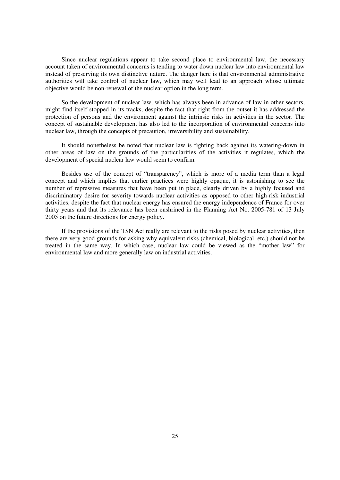Since nuclear regulations appear to take second place to environmental law, the necessary account taken of environmental concerns is tending to water down nuclear law into environmental law instead of preserving its own distinctive nature. The danger here is that environmental administrative authorities will take control of nuclear law, which may well lead to an approach whose ultimate objective would be non-renewal of the nuclear option in the long term.

So the development of nuclear law, which has always been in advance of law in other sectors, might find itself stopped in its tracks, despite the fact that right from the outset it has addressed the protection of persons and the environment against the intrinsic risks in activities in the sector. The concept of sustainable development has also led to the incorporation of environmental concerns into nuclear law, through the concepts of precaution, irreversibility and sustainability.

It should nonetheless be noted that nuclear law is fighting back against its watering-down in other areas of law on the grounds of the particularities of the activities it regulates, which the development of special nuclear law would seem to confirm.

Besides use of the concept of "transparency", which is more of a media term than a legal concept and which implies that earlier practices were highly opaque, it is astonishing to see the number of repressive measures that have been put in place, clearly driven by a highly focused and discriminatory desire for severity towards nuclear activities as opposed to other high-risk industrial activities, despite the fact that nuclear energy has ensured the energy independence of France for over thirty years and that its relevance has been enshrined in the Planning Act No. 2005-781 of 13 July 2005 on the future directions for energy policy.

If the provisions of the TSN Act really are relevant to the risks posed by nuclear activities, then there are very good grounds for asking why equivalent risks (chemical, biological, etc.) should not be treated in the same way. In which case, nuclear law could be viewed as the "mother law" for environmental law and more generally law on industrial activities.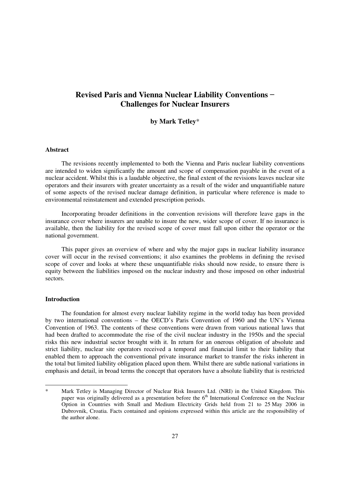### **Revised Paris and Vienna Nuclear Liability Conventions - Challenges for Nuclear Insurers**

#### **by Mark Tetley**\*

#### **Abstract**

The revisions recently implemented to both the Vienna and Paris nuclear liability conventions are intended to widen significantly the amount and scope of compensation payable in the event of a nuclear accident. Whilst this is a laudable objective, the final extent of the revisions leaves nuclear site operators and their insurers with greater uncertainty as a result of the wider and unquantifiable nature of some aspects of the revised nuclear damage definition, in particular where reference is made to environmental reinstatement and extended prescription periods.

Incorporating broader definitions in the convention revisions will therefore leave gaps in the insurance cover where insurers are unable to insure the new, wider scope of cover. If no insurance is available, then the liability for the revised scope of cover must fall upon either the operator or the national government.

This paper gives an overview of where and why the major gaps in nuclear liability insurance cover will occur in the revised conventions; it also examines the problems in defining the revised scope of cover and looks at where these unquantifiable risks should now reside, to ensure there is equity between the liabilities imposed on the nuclear industry and those imposed on other industrial sectors.

#### **Introduction**

1

The foundation for almost every nuclear liability regime in the world today has been provided by two international conventions – the OECD's Paris Convention of 1960 and the UN's Vienna Convention of 1963. The contents of these conventions were drawn from various national laws that had been drafted to accommodate the rise of the civil nuclear industry in the 1950s and the special risks this new industrial sector brought with it. In return for an onerous obligation of absolute and strict liability, nuclear site operators received a temporal and financial limit to their liability that enabled them to approach the conventional private insurance market to transfer the risks inherent in the total but limited liability obligation placed upon them. Whilst there are subtle national variations in emphasis and detail, in broad terms the concept that operators have a absolute liability that is restricted

Mark Tetley is Managing Director of Nuclear Risk Insurers Ltd. (NRI) in the United Kingdom. This paper was originally delivered as a presentation before the  $6<sup>th</sup>$  International Conference on the Nuclear Option in Countries with Small and Medium Electricity Grids held from 21 to 25 May 2006 in Dubrovnik, Croatia. Facts contained and opinions expressed within this article are the responsibility of the author alone.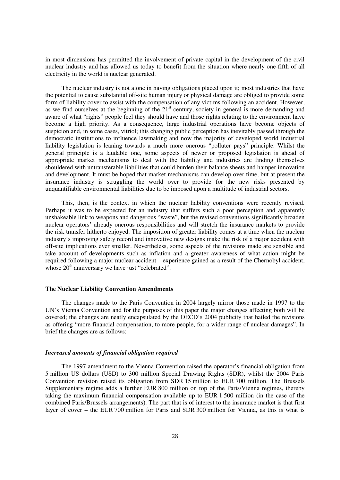in most dimensions has permitted the involvement of private capital in the development of the civil nuclear industry and has allowed us today to benefit from the situation where nearly one-fifth of all electricity in the world is nuclear generated.

The nuclear industry is not alone in having obligations placed upon it; most industries that have the potential to cause substantial off-site human injury or physical damage are obliged to provide some form of liability cover to assist with the compensation of any victims following an accident. However, as we find ourselves at the beginning of the 21<sup>st</sup> century, society in general is more demanding and aware of what "rights" people feel they should have and those rights relating to the environment have become a high priority. As a consequence, large industrial operations have become objects of suspicion and, in some cases, vitriol; this changing public perception has inevitably passed through the democratic institutions to influence lawmaking and now the majority of developed world industrial liability legislation is leaning towards a much more onerous "polluter pays" principle. Whilst the general principle is a laudable one, some aspects of newer or proposed legislation is ahead of appropriate market mechanisms to deal with the liability and industries are finding themselves shouldered with untransferable liabilities that could burden their balance sheets and hamper innovation and development. It must be hoped that market mechanisms can develop over time, but at present the insurance industry is struggling the world over to provide for the new risks presented by unquantifiable environmental liabilities due to be imposed upon a multitude of industrial sectors.

This, then, is the context in which the nuclear liability conventions were recently revised. Perhaps it was to be expected for an industry that suffers such a poor perception and apparently unshakeable link to weapons and dangerous "waste", but the revised conventions significantly broaden nuclear operators' already onerous responsibilities and will stretch the insurance markets to provide the risk transfer hitherto enjoyed. The imposition of greater liability comes at a time when the nuclear industry's improving safety record and innovative new designs make the risk of a major accident with off-site implications ever smaller. Nevertheless, some aspects of the revisions made are sensible and take account of developments such as inflation and a greater awareness of what action might be required following a major nuclear accident – experience gained as a result of the Chernobyl accident, whose  $20<sup>th</sup>$  anniversary we have just "celebrated".

#### **The Nuclear Liability Convention Amendments**

The changes made to the Paris Convention in 2004 largely mirror those made in 1997 to the UN's Vienna Convention and for the purposes of this paper the major changes affecting both will be covered; the changes are neatly encapsulated by the OECD's 2004 publicity that hailed the revisions as offering "more financial compensation, to more people, for a wider range of nuclear damages". In brief the changes are as follows:

#### *Increased amounts of financial obligation required*

The 1997 amendment to the Vienna Convention raised the operator's financial obligation from 5 million US dollars (USD) to 300 million Special Drawing Rights (SDR), whilst the 2004 Paris Convention revision raised its obligation from SDR 15 million to EUR 700 million. The Brussels Supplementary regime adds a further EUR 800 million on top of the Paris/Vienna regimes, thereby taking the maximum financial compensation available up to EUR 1 500 million (in the case of the combined Paris/Brussels arrangements). The part that is of interest to the insurance market is that first layer of cover – the EUR 700 million for Paris and SDR 300 million for Vienna, as this is what is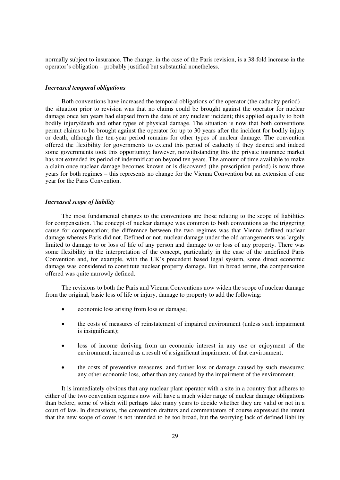normally subject to insurance. The change, in the case of the Paris revision, is a 38-fold increase in the operator's obligation – probably justified but substantial nonetheless.

#### *Increased temporal obligations*

Both conventions have increased the temporal obligations of the operator (the caducity period) – the situation prior to revision was that no claims could be brought against the operator for nuclear damage once ten years had elapsed from the date of any nuclear incident; this applied equally to both bodily injury/death and other types of physical damage. The situation is now that both conventions permit claims to be brought against the operator for up to 30 years after the incident for bodily injury or death, although the ten-year period remains for other types of nuclear damage. The convention offered the flexibility for governments to extend this period of caducity if they desired and indeed some governments took this opportunity; however, notwithstanding this the private insurance market has not extended its period of indemnification beyond ten years. The amount of time available to make a claim once nuclear damage becomes known or is discovered (the prescription period) is now three years for both regimes – this represents no change for the Vienna Convention but an extension of one year for the Paris Convention.

#### *Increased scope of liability*

The most fundamental changes to the conventions are those relating to the scope of liabilities for compensation. The concept of nuclear damage was common to both conventions as the triggering cause for compensation; the difference between the two regimes was that Vienna defined nuclear damage whereas Paris did not. Defined or not, nuclear damage under the old arrangements was largely limited to damage to or loss of life of any person and damage to or loss of any property. There was some flexibility in the interpretation of the concept, particularly in the case of the undefined Paris Convention and, for example, with the UK's precedent based legal system, some direct economic damage was considered to constitute nuclear property damage. But in broad terms, the compensation offered was quite narrowly defined.

The revisions to both the Paris and Vienna Conventions now widen the scope of nuclear damage from the original, basic loss of life or injury, damage to property to add the following:

- $\bullet$ economic loss arising from loss or damage;
- $\bullet$  the costs of measures of reinstatement of impaired environment (unless such impairment is insignificant);
- loss of income deriving from an economic interest in any use or enjoyment of the environment, incurred as a result of a significant impairment of that environment;
- $\bullet$  the costs of preventive measures, and further loss or damage caused by such measures; any other economic loss, other than any caused by the impairment of the environment.

It is immediately obvious that any nuclear plant operator with a site in a country that adheres to either of the two convention regimes now will have a much wider range of nuclear damage obligations than before, some of which will perhaps take many years to decide whether they are valid or not in a court of law. In discussions, the convention drafters and commentators of course expressed the intent that the new scope of cover is not intended to be too broad, but the worrying lack of defined liability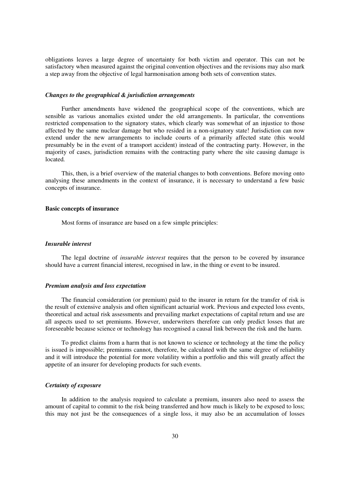obligations leaves a large degree of uncertainty for both victim and operator. This can not be satisfactory when measured against the original convention objectives and the revisions may also mark a step away from the objective of legal harmonisation among both sets of convention states.

#### *Changes to the geographical & jurisdiction arrangements*

Further amendments have widened the geographical scope of the conventions, which are sensible as various anomalies existed under the old arrangements. In particular, the conventions restricted compensation to the signatory states, which clearly was somewhat of an injustice to those affected by the same nuclear damage but who resided in a non-signatory state! Jurisdiction can now extend under the new arrangements to include courts of a primarily affected state (this would presumably be in the event of a transport accident) instead of the contracting party. However, in the majority of cases, jurisdiction remains with the contracting party where the site causing damage is located*.* 

This, then, is a brief overview of the material changes to both conventions. Before moving onto analysing these amendments in the context of insurance, it is necessary to understand a few basic concepts of insurance.

#### **Basic concepts of insurance**

Most forms of insurance are based on a few simple principles:

#### *Insurable interest*

The legal doctrine of *insurable interest* requires that the person to be covered by insurance should have a current financial interest, recognised in law, in the thing or event to be insured.

#### *Premium analysis and loss expectation*

The financial consideration (or premium) paid to the insurer in return for the transfer of risk is the result of extensive analysis and often significant actuarial work. Previous and expected loss events, theoretical and actual risk assessments and prevailing market expectations of capital return and use are all aspects used to set premiums. However, underwriters therefore can only predict losses that are foreseeable because science or technology has recognised a causal link between the risk and the harm.

To predict claims from a harm that is not known to science or technology at the time the policy is issued is impossible; premiums cannot, therefore, be calculated with the same degree of reliability and it will introduce the potential for more volatility within a portfolio and this will greatly affect the appetite of an insurer for developing products for such events.

#### *Certainty of exposure*

In addition to the analysis required to calculate a premium, insurers also need to assess the amount of capital to commit to the risk being transferred and how much is likely to be exposed to loss; this may not just be the consequences of a single loss, it may also be an accumulation of losses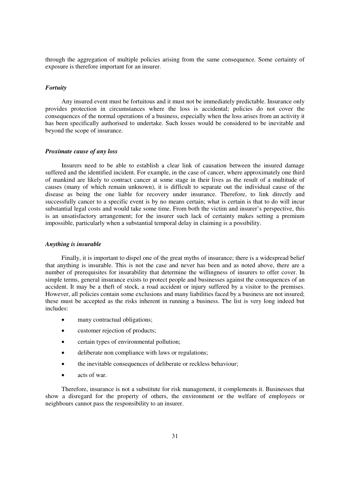through the aggregation of multiple policies arising from the same consequence. Some certainty of exposure is therefore important for an insurer.

#### *Fortuity*

Any insured event must be fortuitous and it must not be immediately predictable. Insurance only provides protection in circumstances where the loss is accidental; policies do not cover the consequences of the normal operations of a business, especially when the loss arises from an activity it has been specifically authorised to undertake. Such losses would be considered to be inevitable and beyond the scope of insurance.

#### *Proximate cause of any loss*

Insurers need to be able to establish a clear link of causation between the insured damage suffered and the identified incident. For example, in the case of cancer, where approximately one third of mankind are likely to contract cancer at some stage in their lives as the result of a multitude of causes (many of which remain unknown), it is difficult to separate out the individual cause of the disease as being the one liable for recovery under insurance. Therefore, to link directly and successfully cancer to a specific event is by no means certain; what is certain is that to do will incur substantial legal costs and would take some time. From both the victim and insurer's perspective, this is an unsatisfactory arrangement; for the insurer such lack of certainty makes setting a premium impossible, particularly when a substantial temporal delay in claiming is a possibility.

#### *Anything is insurable*

Finally, it is important to dispel one of the great myths of insurance; there is a widespread belief that anything is insurable. This is not the case and never has been and as noted above, there are a number of prerequisites for insurability that determine the willingness of insurers to offer cover. In simple terms, general insurance exists to protect people and businesses against the consequences of an accident. It may be a theft of stock, a road accident or injury suffered by a visitor to the premises. However, all policies contain some exclusions and many liabilities faced by a business are not insured; these must be accepted as the risks inherent in running a business. The list is very long indeed but includes:

- $\bullet$ many contractual obligations;
- $\blacksquare$ customer rejection of products;
- $\bullet$ certain types of environmental pollution;
- $\bullet$ deliberate non compliance with laws or regulations;
- $\bullet$ the inevitable consequences of deliberate or reckless behaviour;
- acts of war.

Therefore, insurance is not a substitute for risk management, it complements it. Businesses that show a disregard for the property of others, the environment or the welfare of employees or neighbours cannot pass the responsibility to an insurer.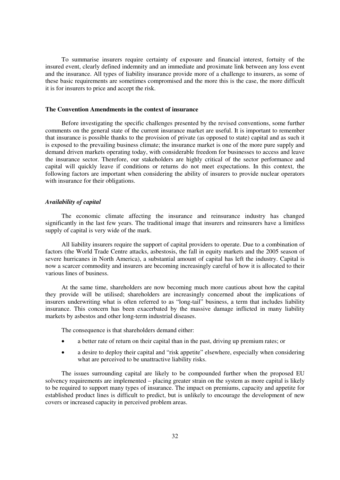To summarise insurers require certainty of exposure and financial interest, fortuity of the insured event, clearly defined indemnity and an immediate and proximate link between any loss event and the insurance. All types of liability insurance provide more of a challenge to insurers, as some of these basic requirements are sometimes compromised and the more this is the case, the more difficult it is for insurers to price and accept the risk.

#### **The Convention Amendments in the context of insurance**

Before investigating the specific challenges presented by the revised conventions, some further comments on the general state of the current insurance market are useful. It is important to remember that insurance is possible thanks to the provision of private (as opposed to state) capital and as such it is exposed to the prevailing business climate; the insurance market is one of the more pure supply and demand driven markets operating today, with considerable freedom for businesses to access and leave the insurance sector. Therefore, our stakeholders are highly critical of the sector performance and capital will quickly leave if conditions or returns do not meet expectations. In this context, the following factors are important when considering the ability of insurers to provide nuclear operators with insurance for their obligations.

#### *Availability of capital*

The economic climate affecting the insurance and reinsurance industry has changed significantly in the last few years. The traditional image that insurers and reinsurers have a limitless supply of capital is very wide of the mark.

All liability insurers require the support of capital providers to operate. Due to a combination of factors (the World Trade Centre attacks, asbestosis, the fall in equity markets and the 2005 season of severe hurricanes in North America), a substantial amount of capital has left the industry. Capital is now a scarcer commodity and insurers are becoming increasingly careful of how it is allocated to their various lines of business.

At the same time, shareholders are now becoming much more cautious about how the capital they provide will be utilised; shareholders are increasingly concerned about the implications of insurers underwriting what is often referred to as "long-tail" business, a term that includes liability insurance. This concern has been exacerbated by the massive damage inflicted in many liability markets by asbestos and other long-term industrial diseases.

The consequence is that shareholders demand either:

- a better rate of return on their capital than in the past, driving up premium rates; or
- $\bullet$  a desire to deploy their capital and "risk appetite" elsewhere, especially when considering what are perceived to be unattractive liability risks.

The issues surrounding capital are likely to be compounded further when the proposed EU solvency requirements are implemented – placing greater strain on the system as more capital is likely to be required to support many types of insurance. The impact on premiums, capacity and appetite for established product lines is difficult to predict, but is unlikely to encourage the development of new covers or increased capacity in perceived problem areas.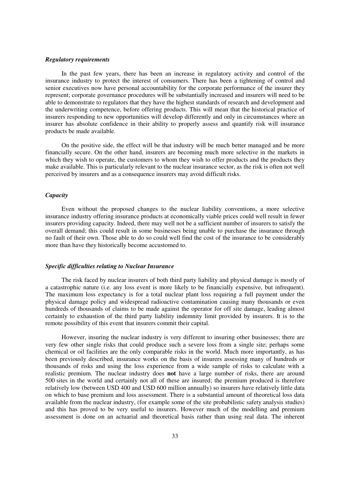#### *Regulatory requirements*

In the past few years, there has been an increase in regulatory activity and control of the insurance industry to protect the interest of consumers. There has been a tightening of control and senior executives now have personal accountability for the corporate performance of the insurer they represent; corporate governance procedures will be substantially increased and insurers will need to be able to demonstrate to regulators that they have the highest standards of research and development and the underwriting competence, before offering products. This will mean that the historical practice of insurers responding to new opportunities will develop differently and only in circumstances where an insurer has absolute confidence in their ability to properly assess and quantify risk will insurance products be made available.

On the positive side, the effect will be that industry will be much better managed and be more financially secure. On the other hand, insurers are becoming much more selective in the markets in which they wish to operate, the customers to whom they wish to offer products and the products they make available. This is particularly relevant to the nuclear insurance sector, as the risk is often not well perceived by insurers and as a consequence insurers may avoid difficult risks.

#### *Capacity*

Even without the proposed changes to the nuclear liability conventions, a more selective insurance industry offering insurance products at economically viable prices could well result in fewer insurers providing capacity. Indeed, there may well not be a sufficient number of insurers to satisfy the overall demand; this could result in some businesses being unable to purchase the insurance through no fault of their own. Those able to do so could well find the cost of the insurance to be considerably more than have they historically become accustomed to.

#### *Specific difficulties relating to Nuclear Insurance*

The risk faced by nuclear insurers of both third party liability and physical damage is mostly of a catastrophic nature (i.e. any loss event is more likely to be financially expensive, but infrequent). The maximum loss expectancy is for a total nuclear plant loss requiring a full payment under the physical damage policy and widespread radioactive contamination causing many thousands or even hundreds of thousands of claims to be made against the operator for off site damage, leading almost certainly to exhaustion of the third party liability indemnity limit provided by insurers. It is to the remote possibility of this event that insurers commit their capital.

However, insuring the nuclear industry is very different to insuring other businesses; there are very few other single risks that could produce such a severe loss from a single site; perhaps some chemical or oil facilities are the only comparable risks in the world. Much more importantly, as has been previously described, insurance works on the basis of insurers assessing many of hundreds or thousands of risks and using the loss experience from a wide sample of risks to calculate with a realistic premium. The nuclear industry does **not** have a large number of risks, there are around 500 sites in the world and certainly not all of these are insured; the premium produced is therefore relatively low (between USD 400 and USD 600 million annually) so insurers have relatively little data on which to base premium and loss assessment. There is a substantial amount of theoretical loss data available from the nuclear industry, (for example some of the site probabilistic safety analysis studies) and this has proved to be very useful to insurers. However much of the modelling and premium assessment is done on an actuarial and theoretical basis rather than using real data. The inherent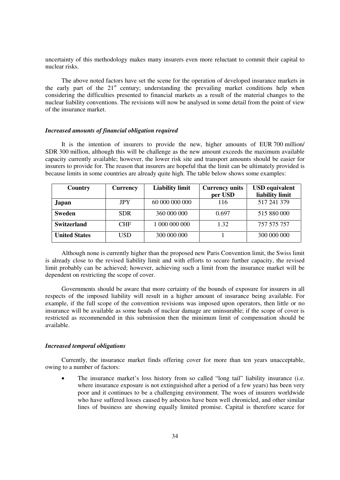uncertainty of this methodology makes many insurers even more reluctant to commit their capital to nuclear risks.

The above noted factors have set the scene for the operation of developed insurance markets in the early part of the  $21<sup>st</sup>$  century; understanding the prevailing market conditions help when considering the difficulties presented to financial markets as a result of the material changes to the nuclear liability conventions. The revisions will now be analysed in some detail from the point of view of the insurance market.

#### *Increased amounts of financial obligation required*

It is the intention of insurers to provide the new, higher amounts of EUR 700 million/ SDR 300 million, although this will be challenge as the new amount exceeds the maximum available capacity currently available; however, the lower risk site and transport amounts should be easier for insurers to provide for. The reason that insurers are hopeful that the limit can be ultimately provided is because limits in some countries are already quite high. The table below shows some examples:

| Country              | <b>Currency</b> | <b>Liability limit</b> | <b>Currency units</b> | <b>USD</b> equivalent |
|----------------------|-----------------|------------------------|-----------------------|-----------------------|
|                      |                 |                        | per USD               | liability limit       |
| Japan                | <b>JPY</b>      | 60 000 000 000         | 116                   | 517 241 379           |
| Sweden               | <b>SDR</b>      | 360 000 000            | 0.697                 | 515 880 000           |
| <b>Switzerland</b>   | <b>CHF</b>      | 1 000 000 000          | 1.32                  | 757 575 757           |
| <b>United States</b> | USD             | 300 000 000            |                       | 300 000 000           |

Although none is currently higher than the proposed new Paris Convention limit, the Swiss limit is already close to the revised liability limit and with efforts to secure further capacity, the revised limit probably can be achieved; however, achieving such a limit from the insurance market will be dependent on restricting the scope of cover.

Governments should be aware that more certainty of the bounds of exposure for insurers in all respects of the imposed liability will result in a higher amount of insurance being available. For example, if the full scope of the convention revisions was imposed upon operators, then little or no insurance will be available as some heads of nuclear damage are uninsurable; if the scope of cover is restricted as recommended in this submission then the minimum limit of compensation should be available.

#### *Increased temporal obligations*

Currently, the insurance market finds offering cover for more than ten years unacceptable, owing to a number of factors:

- The insurance market's loss history from so called "long tail" liability insurance (i.e. where insurance exposure is not extinguished after a period of a few years) has been very poor and it continues to be a challenging environment. The woes of insurers worldwide who have suffered losses caused by asbestos have been well chronicled, and other similar lines of business are showing equally limited promise. Capital is therefore scarce for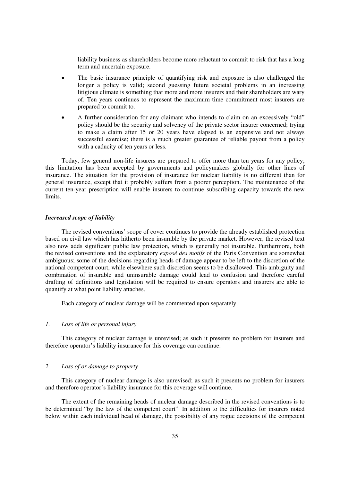liability business as shareholders become more reluctant to commit to risk that has a long term and uncertain exposure.

- - The basic insurance principle of quantifying risk and exposure is also challenged the longer a policy is valid; second guessing future societal problems in an increasing litigious climate is something that more and more insurers and their shareholders are wary of. Ten years continues to represent the maximum time commitment most insurers are prepared to commit to.
- $\bullet$  A further consideration for any claimant who intends to claim on an excessively "old" policy should be the security and solvency of the private sector insurer concerned; trying to make a claim after 15 or 20 years have elapsed is an expensive and not always successful exercise; there is a much greater guarantee of reliable payout from a policy with a caducity of ten years or less.

Today, few general non-life insurers are prepared to offer more than ten years for any policy; this limitation has been accepted by governments and policymakers globally for other lines of insurance. The situation for the provision of insurance for nuclear liability is no different than for general insurance, except that it probably suffers from a poorer perception. The maintenance of the current ten-year prescription will enable insurers to continue subscribing capacity towards the new limits.

#### *Increased scope of liability*

The revised conventions' scope of cover continues to provide the already established protection based on civil law which has hitherto been insurable by the private market. However, the revised text also now adds significant public law protection, which is generally not insurable. Furthermore, both the revised conventions and the explanatory *exposé des motifs* of the Paris Convention are somewhat ambiguous; some of the decisions regarding heads of damage appear to be left to the discretion of the national competent court, while elsewhere such discretion seems to be disallowed. This ambiguity and combination of insurable and uninsurable damage could lead to confusion and therefore careful drafting of definitions and legislation will be required to ensure operators and insurers are able to quantify at what point liability attaches.

Each category of nuclear damage will be commented upon separately.

#### *1. Loss of life or personal injury*

This category of nuclear damage is unrevised; as such it presents no problem for insurers and therefore operator's liability insurance for this coverage can continue.

#### *2. Loss of or damage to property*

This category of nuclear damage is also unrevised; as such it presents no problem for insurers and therefore operator's liability insurance for this coverage will continue.

The extent of the remaining heads of nuclear damage described in the revised conventions is to be determined "by the law of the competent court". In addition to the difficulties for insurers noted below within each individual head of damage, the possibility of any rogue decisions of the competent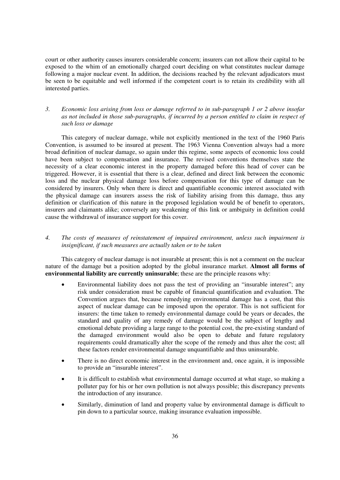court or other authority causes insurers considerable concern; insurers can not allow their capital to be exposed to the whim of an emotionally charged court deciding on what constitutes nuclear damage following a major nuclear event. In addition, the decisions reached by the relevant adjudicators must be seen to be equitable and well informed if the competent court is to retain its credibility with all interested parties.

#### *3. Economic loss arising from loss or damage referred to in sub-paragraph 1 or 2 above insofar as not included in those sub-paragraphs, if incurred by a person entitled to claim in respect of such loss or damage*

This category of nuclear damage, while not explicitly mentioned in the text of the 1960 Paris Convention, is assumed to be insured at present. The 1963 Vienna Convention always had a more broad definition of nuclear damage, so again under this regime, some aspects of economic loss could have been subject to compensation and insurance. The revised conventions themselves state the necessity of a clear economic interest in the property damaged before this head of cover can be triggered. However, it is essential that there is a clear, defined and direct link between the economic loss and the nuclear physical damage loss before compensation for this type of damage can be considered by insurers. Only when there is direct and quantifiable economic interest associated with the physical damage can insurers assess the risk of liability arising from this damage, thus any definition or clarification of this nature in the proposed legislation would be of benefit to operators, insurers and claimants alike; conversely any weakening of this link or ambiguity in definition could cause the withdrawal of insurance support for this cover.

#### *4. The costs of measures of reinstatement of impaired environment, unless such impairment is insignificant, if such measures are actually taken or to be taken*

This category of nuclear damage is not insurable at present; this is not a comment on the nuclear nature of the damage but a position adopted by the global insurance market. **Almost all forms of environmental liability are currently uninsurable**; these are the principle reasons why:

- - Environmental liability does not pass the test of providing an "insurable interest"; any risk under consideration must be capable of financial quantification and evaluation. The Convention argues that, because remedying environmental damage has a cost, that this aspect of nuclear damage can be imposed upon the operator. This is not sufficient for insurers: the time taken to remedy environmental damage could be years or decades, the standard and quality of any remedy of damage would be the subject of lengthy and emotional debate providing a large range to the potential cost, the pre-existing standard of the damaged environment would also be open to debate and future regulatory requirements could dramatically alter the scope of the remedy and thus alter the cost; all these factors render environmental damage unquantifiable and thus uninsurable.
- $\bullet$  There is no direct economic interest in the environment and, once again, it is impossible to provide an "insurable interest".
- - It is difficult to establish what environmental damage occurred at what stage, so making a polluter pay for his or her own pollution is not always possible; this discrepancy prevents the introduction of any insurance.
- $\bullet$  Similarly, diminution of land and property value by environmental damage is difficult to pin down to a particular source, making insurance evaluation impossible.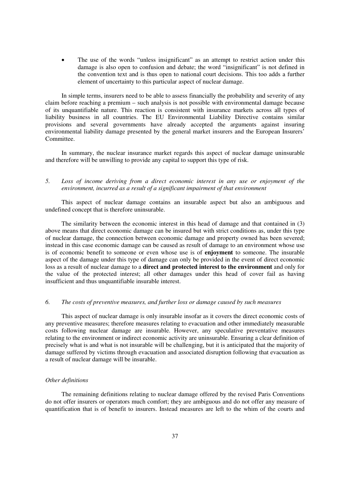$\bullet$  The use of the words "unless insignificant" as an attempt to restrict action under this damage is also open to confusion and debate; the word "insignificant" is not defined in the convention text and is thus open to national court decisions. This too adds a further element of uncertainty to this particular aspect of nuclear damage.

In simple terms, insurers need to be able to assess financially the probability and severity of any claim before reaching a premium – such analysis is not possible with environmental damage because of its unquantifiable nature. This reaction is consistent with insurance markets across all types of liability business in all countries. The EU Environmental Liability Directive contains similar provisions and several governments have already accepted the arguments against insuring environmental liability damage presented by the general market insurers and the European Insurers' Committee.

In summary, the nuclear insurance market regards this aspect of nuclear damage uninsurable and therefore will be unwilling to provide any capital to support this type of risk.

#### *5. Loss of income deriving from a direct economic interest in any use or enjoyment of the environment, incurred as a result of a significant impairment of that environment*

This aspect of nuclear damage contains an insurable aspect but also an ambiguous and undefined concept that is therefore uninsurable.

The similarity between the economic interest in this head of damage and that contained in (3) above means that direct economic damage can be insured but with strict conditions as, under this type of nuclear damage, the connection between economic damage and property owned has been severed; instead in this case economic damage can be caused as result of damage to an environment whose use is of economic benefit to someone or even whose use is of **enjoyment** to someone. The insurable aspect of the damage under this type of damage can only be provided in the event of direct economic loss as a result of nuclear damage to a **direct and protected interest to the environment** and only for the value of the protected interest; all other damages under this head of cover fail as having insufficient and thus unquantifiable insurable interest.

#### *6. The costs of preventive measures, and further loss or damage caused by such measures*

This aspect of nuclear damage is only insurable insofar as it covers the direct economic costs of any preventive measures; therefore measures relating to evacuation and other immediately measurable costs following nuclear damage are insurable. However, any speculative preventative measures relating to the environment or indirect economic activity are uninsurable. Ensuring a clear definition of precisely what is and what is not insurable will be challenging, but it is anticipated that the majority of damage suffered by victims through evacuation and associated disruption following that evacuation as a result of nuclear damage will be insurable.

#### *Other definitions*

The remaining definitions relating to nuclear damage offered by the revised Paris Conventions do not offer insurers or operators much comfort; they are ambiguous and do not offer any measure of quantification that is of benefit to insurers. Instead measures are left to the whim of the courts and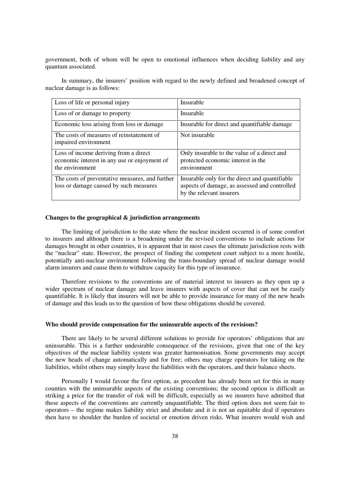government, both of whom will be open to emotional influences when deciding liability and any quantum associated.

In summary, the insurers' position with regard to the newly defined and broadened concept of nuclear damage is as follows:

| Loss of life or personal injury                                                                          | Insurable                                                                                                                   |
|----------------------------------------------------------------------------------------------------------|-----------------------------------------------------------------------------------------------------------------------------|
| Loss of or damage to property                                                                            | Insurable                                                                                                                   |
| Economic loss arising from loss or damage                                                                | Insurable for direct and quantifiable damage                                                                                |
| The costs of measures of reinstatement of<br>impaired environment                                        | Not insurable                                                                                                               |
| Loss of income deriving from a direct<br>economic interest in any use or enjoyment of<br>the environment | Only insurable to the value of a direct and<br>protected economic interest in the<br>environment                            |
| The costs of preventative measures, and further<br>loss or damage caused by such measures                | Insurable only for the direct and quantifiable<br>aspects of damage, as assessed and controlled<br>by the relevant insurers |

#### **Changes to the geographical & jurisdiction arrangements**

The limiting of jurisdiction to the state where the nuclear incident occurred is of some comfort to insurers and although there is a broadening under the revised conventions to include actions for damages brought in other countries, it is apparent that in most cases the ultimate jurisdiction rests with the "nuclear" state. However, the prospect of finding the competent court subject to a more hostile, potentially anti-nuclear environment following the trans-boundary spread of nuclear damage would alarm insurers and cause them to withdraw capacity for this type of insurance.

Therefore revisions to the conventions are of material interest to insurers as they open up a wider spectrum of nuclear damage and leave insurers with aspects of cover that can not be easily quantifiable. It is likely that insurers will not be able to provide insurance for many of the new heads of damage and this leads us to the question of how these obligations should be covered.

#### **Who should provide compensation for the uninsurable aspects of the revisions?**

There are likely to be several different solutions to provide for operators' obligations that are uninsurable. This is a further undesirable consequence of the revisions, given that one of the key objectives of the nuclear liability system was greater harmonisation. Some governments may accept the new heads of change automatically and for free; others may charge operators for taking on the liabilities, whilst others may simply leave the liabilities with the operators, and their balance sheets.

Personally I would favour the first option, as precedent has already been set for this in many counties with the uninsurable aspects of the existing conventions; the second option is difficult as striking a price for the transfer of risk will be difficult, especially as we insurers have admitted that these aspects of the conventions are currently unquantifiable. The third option does not seem fair to operators – the regime makes liability strict and absolute and it is not an equitable deal if operators then have to shoulder the burden of societal or emotion driven risks. What insurers would wish and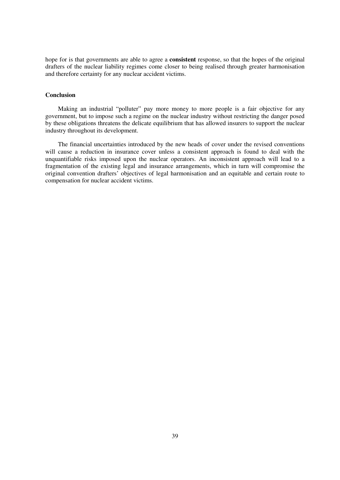hope for is that governments are able to agree a **consistent** response, so that the hopes of the original drafters of the nuclear liability regimes come closer to being realised through greater harmonisation and therefore certainty for any nuclear accident victims.

#### **Conclusion**

Making an industrial "polluter" pay more money to more people is a fair objective for any government, but to impose such a regime on the nuclear industry without restricting the danger posed by these obligations threatens the delicate equilibrium that has allowed insurers to support the nuclear industry throughout its development.

The financial uncertainties introduced by the new heads of cover under the revised conventions will cause a reduction in insurance cover unless a consistent approach is found to deal with the unquantifiable risks imposed upon the nuclear operators. An inconsistent approach will lead to a fragmentation of the existing legal and insurance arrangements, which in turn will compromise the original convention drafters' objectives of legal harmonisation and an equitable and certain route to compensation for nuclear accident victims.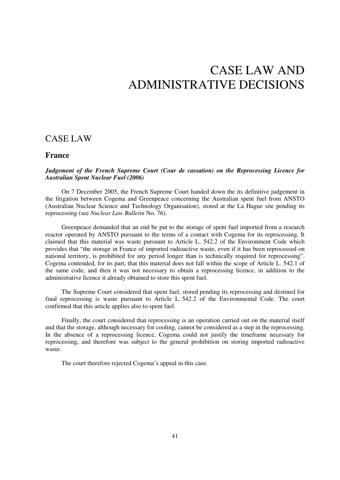# CASE LAW AND ADMINISTRATIVE DECISIONS

## CASE LAW

## **France**

#### *Judgement of the French Supreme Court (Cour de cassation) on the Reprocessing Licence for Australian Spent Nuclear Fuel (2006)*

On 7 December 2005, the French Supreme Court handed down the its definitive judgement in the litigation between Cogema and Greenpeace concerning the Australian spent fuel from ANSTO (Australian Nuclear Science and Technology Organisation), stored at the La Hague site pending its reprocessing (see *Nuclear Law Bulletin* No. 76).

Greenpeace demanded that an end be put to the storage of spent fuel imported from a research reactor operated by ANSTO pursuant to the terms of a contact with Cogema for its reprocessing. It claimed that this material was waste pursuant to Article L. 542.2 of the Environment Code which provides that "the storage in France of imported radioactive waste, even if it has been reprocessed on national territory, is prohibited for any period longer than is technically required for reprocessing". Cogema contended, for its part, that this material does not fall within the scope of Article L. 542.1 of the same code, and then it was not necessary to obtain a reprocessing licence, in addition to the administrative licence it already obtained to store this spent fuel.

The Supreme Court considered that spent fuel, stored pending its reprocessing and destined for final reprocessing is waste pursuant to Article L. 542.2 of the Environmental Code. The court confirmed that this article applies also to spent fuel.

Finally, the court considered that reprocessing is an operation carried out on the material itself and that the storage, although necessary for cooling, cannot be considered as a step in the reprocessing. In the absence of a reprocessing licence, Cogema could not justify the timeframe necessary for reprocessing, and therefore was subject to the general prohibition on storing imported radioactive waste.

The court therefore rejected Cogema's appeal in this case.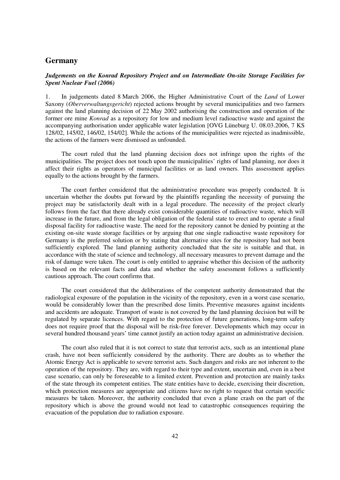## **Germany**

### *Judgements on the Konrad Repository Project and on Intermediate On-site Storage Facilities for Spent Nuclear Fuel (2006)*

1. In judgements dated 8 March 2006, the Higher Administrative Court of the *Land* of Lower Saxony (*Oberverwaltungsgericht*) rejected actions brought by several municipalities and two farmers against the land planning decision of 22 May 2002 authorising the construction and operation of the former ore mine *Konrad* as a repository for low and medium level radioactive waste and against the accompanying authorisation under applicable water legislation [OVG Lüneburg U. 08.03.2006, 7 KS 128/02, 145/02, 146/02, 154/02]. While the actions of the municipalities were rejected as inadmissible, the actions of the farmers were dismissed as unfounded.

The court ruled that the land planning decision does not infringe upon the rights of the municipalities. The project does not touch upon the municipalities' rights of land planning, nor does it affect their rights as operators of municipal facilities or as land owners. This assessment applies equally to the actions brought by the farmers.

The court further considered that the administrative procedure was properly conducted. It is uncertain whether the doubts put forward by the plaintiffs regarding the necessity of pursuing the project may be satisfactorily dealt with in a legal procedure. The necessity of the project clearly follows from the fact that there already exist considerable quantities of radioactive waste, which will increase in the future, and from the legal obligation of the federal state to erect and to operate a final disposal facility for radioactive waste. The need for the repository cannot be denied by pointing at the existing on-site waste storage facilities or by arguing that one single radioactive waste repository for Germany is the preferred solution or by stating that alternative sites for the repository had not been sufficiently explored. The land planning authority concluded that the site is suitable and that, in accordance with the state of science and technology, all necessary measures to prevent damage and the risk of damage were taken. The court is only entitled to appraise whether this decision of the authority is based on the relevant facts and data and whether the safety assessment follows a sufficiently cautious approach. The court confirms that.

The court considered that the deliberations of the competent authority demonstrated that the radiological exposure of the population in the vicinity of the repository, even in a worst case scenario, would be considerably lower than the prescribed dose limits. Preventive measures against incidents and accidents are adequate. Transport of waste is not covered by the land planning decision but will be regulated by separate licences. With regard to the protection of future generations, long-term safety does not require proof that the disposal will be risk-free forever. Developments which may occur in several hundred thousand years' time cannot justify an action today against an administrative decision.

The court also ruled that it is not correct to state that terrorist acts, such as an intentional plane crash, have not been sufficiently considered by the authority. There are doubts as to whether the Atomic Energy Act is applicable to severe terrorist acts. Such dangers and risks are not inherent to the operation of the repository. They are, with regard to their type and extent, uncertain and, even in a best case scenario, can only be foreseeable to a limited extent. Prevention and protection are mainly tasks of the state through its competent entities. The state entities have to decide, exercising their discretion, which protection measures are appropriate and citizens have no right to request that certain specific measures be taken. Moreover, the authority concluded that even a plane crash on the part of the repository which is above the ground would not lead to catastrophic consequences requiring the evacuation of the population due to radiation exposure.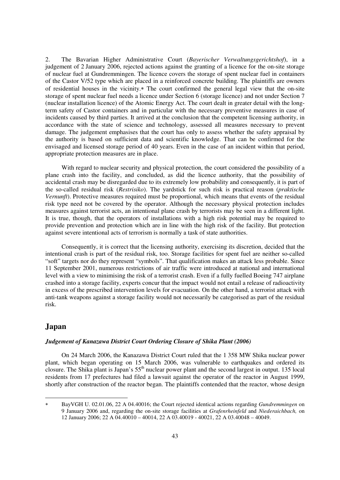2. The Bavarian Higher Administrative Court (*Bayerischer Verwaltungsgerichtshof*), in a judgement of 2 January 2006, rejected actions against the granting of a licence for the on-site storage of nuclear fuel at Gundremmingen. The licence covers the storage of spent nuclear fuel in containers of the Castor V/52 type which are placed in a reinforced concrete building. The plaintiffs are owners of residential houses in the vicinity.\* The court confirmed the general legal view that the on-site storage of spent nuclear fuel needs a licence under Section 6 (storage licence) and not under Section 7 (nuclear installation licence) of the Atomic Energy Act. The court dealt in greater detail with the longterm safety of Castor containers and in particular with the necessary preventive measures in case of incidents caused by third parties. It arrived at the conclusion that the competent licensing authority, in accordance with the state of science and technology, assessed all measures necessary to prevent damage. The judgement emphasises that the court has only to assess whether the safety appraisal by the authority is based on sufficient data and scientific knowledge. That can be confirmed for the envisaged and licensed storage period of 40 years. Even in the case of an incident within that period, appropriate protection measures are in place.

 With regard to nuclear security and physical protection, the court considered the possibility of a plane crash into the facility, and concluded, as did the licence authority, that the possibility of accidental crash may be disregarded due to its extremely low probability and consequently, it is part of the so-called residual risk (*Restrisiko*). The yardstick for such risk is practical reason (*praktische Vernunft*). Protective measures required must be proportional, which means that events of the residual risk type need not be covered by the operator. Although the necessary physical protection includes measures against terrorist acts, an intentional plane crash by terrorists may be seen in a different light. It is true, though, that the operators of installations with a high risk potential may be required to provide prevention and protection which are in line with the high risk of the facility. But protection against severe intentional acts of terrorism is normally a task of state authorities.

 Consequently, it is correct that the licensing authority, exercising its discretion, decided that the intentional crash is part of the residual risk, too. Storage facilities for spent fuel are neither so-called "soft" targets nor do they represent "symbols". That qualification makes an attack less probable. Since 11 September 2001, numerous restrictions of air traffic were introduced at national and international level with a view to minimising the risk of a terrorist crash. Even if a fully fuelled Boeing 747 airplane crashed into a storage facility, experts concur that the impact would not entail a release of radioactivity in excess of the prescribed intervention levels for evacuation. On the other hand, a terrorist attack with anti-tank weapons against a storage facility would not necessarily be categorised as part of the residual risk.

## **Japan**

-

#### *Judgement of Kanazawa District Court Ordering Closure of Shika Plant (2006)*

On 24 March 2006, the Kanazawa District Court ruled that the 1 358 MW Shika nuclear power plant, which began operating on 15 March 2006, was vulnerable to earthquakes and ordered its closure. The Shika plant is Japan's  $55<sup>th</sup>$  nuclear power plant and the second largest in output. 135 local residents from 17 prefectures had filed a lawsuit against the operator of the reactor in August 1999, shortly after construction of the reactor began. The plaintiffs contended that the reactor, whose design

 $\ast$  BayVGH U. 02.01.06, 22 A 04.40016; the Court rejected identical actions regarding *Gundremmingen* on 9 January 2006 and, regarding the on-site storage facilities at *Grafenrheinfeld* and *Niederaichbach,* on 12 January 2006; 22 A 04.40010 – 40014, 22 A 03.40019 - 40021, 22 A 03.40048 – 40049.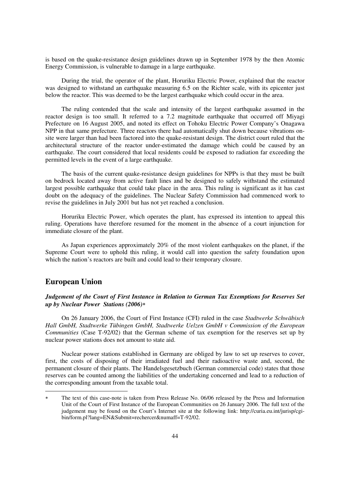is based on the quake-resistance design guidelines drawn up in September 1978 by the then Atomic Energy Commission, is vulnerable to damage in a large earthquake.

During the trial, the operator of the plant, Horuriku Electric Power, explained that the reactor was designed to withstand an earthquake measuring 6.5 on the Richter scale, with its epicenter just below the reactor. This was deemed to be the largest earthquake which could occur in the area.

The ruling contended that the scale and intensity of the largest earthquake assumed in the reactor design is too small. It referred to a 7.2 magnitude earthquake that occurred off Miyagi Prefecture on 16 August 2005, and noted its effect on Tohoku Electric Power Company's Onagawa NPP in that same prefecture. Three reactors there had automatically shut down because vibrations onsite were larger than had been factored into the quake-resistant design. The district court ruled that the architectural structure of the reactor under-estimated the damage which could be caused by an earthquake. The court considered that local residents could be exposed to radiation far exceeding the permitted levels in the event of a large earthquake.

The basis of the current quake-resistance design guidelines for NPPs is that they must be built on bedrock located away from active fault lines and be designed to safely withstand the estimated largest possible earthquake that could take place in the area. This ruling is significant as it has cast doubt on the adequacy of the guidelines. The Nuclear Safety Commission had commenced work to revise the guidelines in July 2001 but has not yet reached a conclusion.

Horuriku Electric Power, which operates the plant, has expressed its intention to appeal this ruling. Operations have therefore resumed for the moment in the absence of a court injunction for immediate closure of the plant.

As Japan experiences approximately 20% of the most violent earthquakes on the planet, if the Supreme Court were to uphold this ruling, it would call into question the safety foundation upon which the nation's reactors are built and could lead to their temporary closure.

## **European Union**

-

## *Judgement of the Court of First Instance in Relation to German Tax Exemptions for Reserves Set up by Nuclear Power Stations (2006)*-

On 26 January 2006, the Court of First Instance (CFI) ruled in the case *Stadtwerke Schwäbisch Hall GmbH, Stadtwerke Tübingen GmbH, Stadtwerke Uelzen GmbH v Commission of the European Communities* (Case T-92/02) that the German scheme of tax exemption for the reserves set up by nuclear power stations does not amount to state aid.

Nuclear power stations established in Germany are obliged by law to set up reserves to cover, first, the costs of disposing of their irradiated fuel and their radioactive waste and, second, the permanent closure of their plants. The Handelsgesetzbuch (German commercial code) states that those reserves can be counted among the liabilities of the undertaking concerned and lead to a reduction of the corresponding amount from the taxable total.

<sup>-</sup> The text of this case-note is taken from Press Release No. 06/06 released by the Press and Information Unit of the Court of First Instance of the European Communities on 26 January 2006. The full text of the judgement may be found on the Court's Internet site at the following link: http://curia.eu.int/jurisp/cgibin/form.pl?lang=EN&Submit=rechercer&numaff=T-92/02.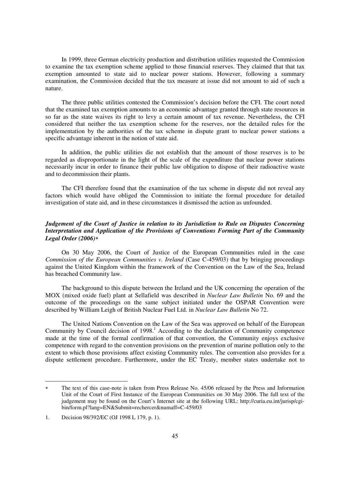In 1999, three German electricity production and distribution utilities requested the Commission to examine the tax exemption scheme applied to those financial reserves. They claimed that that tax exemption amounted to state aid to nuclear power stations. However, following a summary examination, the Commission decided that the tax measure at issue did not amount to aid of such a nature.

The three public utilities contested the Commission's decision before the CFI. The court noted that the examined tax exemption amounts to an economic advantage granted through state resources in so far as the state waives its right to levy a certain amount of tax revenue. Nevertheless, the CFI considered that neither the tax exemption scheme for the reserves, nor the detailed rules for the implementation by the authorities of the tax scheme in dispute grant to nuclear power stations a specific advantage inherent in the notion of state aid.

In addition, the public utilities die not establish that the amount of those reserves is to be regarded as disproportionate in the light of the scale of the expenditure that nuclear power stations necessarily incur in order to finance their public law obligation to dispose of their radioactive waste and to decommission their plants.

The CFI therefore found that the examination of the tax scheme in dispute did not reveal any factors which would have obliged the Commission to initiate the formal procedure for detailed investigation of state aid, and in these circumstances it dismissed the action as unfounded.

## *Judgement of the Court of Justice in relation to its Jurisdiction to Rule on Disputes Concerning Interpretation and Application of the Provisions of Conventions Forming Part of the Community Legal Order (2006)*-

On 30 May 2006, the Court of Justice of the European Communities ruled in the case *Commission of the European Communities v. Ireland* (Case C-459/03) that by bringing proceedings against the United Kingdom within the framework of the Convention on the Law of the Sea, Ireland has breached Community law.

The background to this dispute between the Ireland and the UK concerning the operation of the MOX (mixed oxide fuel) plant at Sellafield was described in *Nuclear Law Bulletin* No. 69 and the outcome of the proceedings on the same subject initiated under the OSPAR Convention were described by William Leigh of British Nuclear Fuel Ltd. in *Nuclear Law Bulletin* No 72.

The United Nations Convention on the Law of the Sea was approved on behalf of the European Community by Council decision of 1998.<sup>1</sup> According to the declaration of Community competence made at the time of the formal confirmation of that convention, the Community enjoys exclusive competence with regard to the convention provisions on the prevention of marine pollution only to the extent to which those provisions affect existing Community rules. The convention also provides for a dispute settlement procedure. Furthermore, under the EC Treaty, member states undertake not to

1

 $\ast$  The text of this case-note is taken from Press Release No. 45/06 released by the Press and Information Unit of the Court of First Instance of the European Communities on 30 May 2006. The full text of the judgement may be found on the Court's Internet site at the following URL: http://curia.eu.int/jurisp/cgibin/form.pl?lang=EN&Submit=rechercer&numaff=C-459/03

<sup>1.</sup> Decision 98/392/EC (OJ 1998 L 179, p. 1).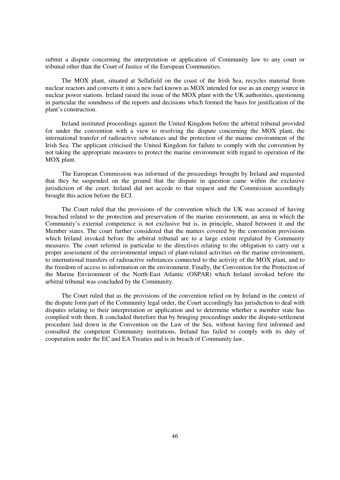submit a dispute concerning the interpretation or application of Community law to any court or tribunal other than the Court of Justice of the European Communities.

The MOX plant, situated at Sellafield on the coast of the Irish Sea, recycles material from nuclear reactors and converts it into a new fuel known as MOX intended for use as an energy source in nuclear power stations. Ireland raised the issue of the MOX plant with the UK authorities, questioning in particular the soundness of the reports and decisions which formed the basis for justification of the plant's construction.

Ireland instituted proceedings against the United Kingdom before the arbitral tribunal provided for under the convention with a view to resolving the dispute concerning the MOX plant, the international transfer of radioactive substances and the protection of the marine environment of the Irish Sea. The applicant criticised the United Kingdom for failure to comply with the convention by not taking the appropriate measures to protect the marine environment with regard to operation of the MOX plant.

The European Commission was informed of the proceedings brought by Ireland and requested that they be suspended on the ground that the dispute in question came within the exclusive jurisdiction of the court. Ireland did not accede to that request and the Commission accordingly brought this action before the ECJ.

The Court ruled that the provisions of the convention which the UK was accused of having breached related to the protection and preservation of the marine environment, an area in which the Community's external competence is not exclusive but is, in principle, shared between it and the Member states. The court further considered that the matters covered by the convention provisions which Ireland invoked before the arbitral tribunal are to a large extent regulated by Community measures. The court referred in particular to the directives relating to the obligation to carry out a proper assessment of the environmental impact of plant-related activities on the marine environment, to international transfers of radioactive substances connected to the activity of the MOX plant, and to the freedom of access to information on the environment. Finally, the Convention for the Protection of the Marine Environment of the North-East Atlantic (OSPAR) which Ireland invoked before the arbitral tribunal was concluded by the Community.

The Court ruled that as the provisions of the convention relied on by Ireland in the context of the dispute form part of the Community legal order, the Court accordingly has jurisdiction to deal with disputes relating to their interpretation or application and to determine whether a member state has complied with them. It concluded therefore that by bringing proceedings under the dispute-settlement procedure laid down in the Convention on the Law of the Sea, without having first informed and consulted the competent Community institutions, Ireland has failed to comply with its duty of cooperation under the EC and EA Treaties and is in breach of Community law.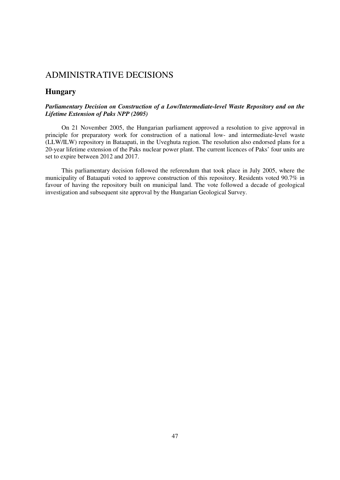## ADMINISTRATIVE DECISIONS

## **Hungary**

## *Parliamentary Decision on Construction of a Low/Intermediate-level Waste Repository and on the Lifetime Extension of Paks NPP (2005)*

On 21 November 2005, the Hungarian parliament approved a resolution to give approval in principle for preparatory work for construction of a national low- and intermediate-level waste (LLW/ILW) repository in Bataapati, in the Uveghuta region. The resolution also endorsed plans for a 20-year lifetime extension of the Paks nuclear power plant. The current licences of Paks' four units are set to expire between 2012 and 2017.

This parliamentary decision followed the referendum that took place in July 2005, where the municipality of Bataapati voted to approve construction of this repository. Residents voted 90.7% in favour of having the repository built on municipal land. The vote followed a decade of geological investigation and subsequent site approval by the Hungarian Geological Survey.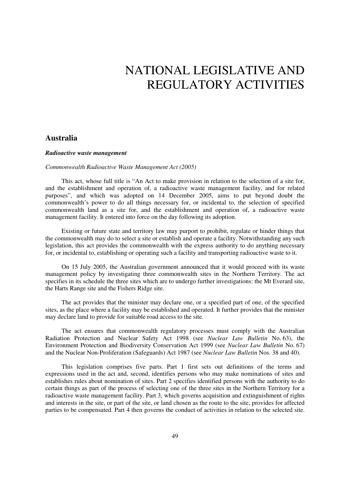# NATIONAL LEGISLATIVE AND REGULATORY ACTIVITIES

## **Australia**

#### *Radioactive waste management*

#### *Commonwealth Radioactive Waste Management Act (2005)*

This act, whose full title is "An Act to make provision in relation to the selection of a site for, and the establishment and operation of, a radioactive waste management facility, and for related purposes", and which was adopted on 14 December 2005, aims to put beyond doubt the commonwealth's power to do all things necessary for, or incidental to, the selection of specified commonwealth land as a site for, and the establishment and operation of, a radioactive waste management facility. It entered into force on the day following its adoption.

Existing or future state and territory law may purport to prohibit, regulate or hinder things that the commonwealth may do to select a site or establish and operate a facility. Notwithstanding any such legislation, this act provides the commonwealth with the express authority to do anything necessary for, or incidental to, establishing or operating such a facility and transporting radioactive waste to it.

On 15 July 2005, the Australian government announced that it would proceed with its waste management policy by investigating three commonwealth sites in the Northern Territory. The act specifies in its schedule the three sites which are to undergo further investigations: the Mt Everard site, the Harts Range site and the Fishers Ridge site.

The act provides that the minister may declare one, or a specified part of one, of the specified sites, as the place where a facility may be established and operated. It further provides that the minister may declare land to provide for suitable road access to the site.

The act ensures that commonwealth regulatory processes must comply with the Australian Radiation Protection and Nuclear Safety Act 1998 (see *Nuclear Law Bulletin* No. 63), the Environment Protection and Biodiversity Conservation Act 1999 (see *Nuclear Law Bulletin* No. 67) and the Nuclear Non-Proliferation (Safeguards) Act 1987 (see *Nuclear Law Bulletin* Nos. 38 and 40).

This legislation comprises five parts. Part 1 first sets out definitions of the terms and expressions used in the act and, second, identifies persons who may make nominations of sites and establishes rules about nomination of sites. Part 2 specifies identified persons with the authority to do certain things as part of the process of selecting one of the three sites in the Northern Territory for a radioactive waste management facility. Part 3, which governs acquisition and extinguishment of rights and interests in the site, or part of the site, or land chosen as the route to the site, provides for affected parties to be compensated. Part 4 then governs the conduct of activities in relation to the selected site.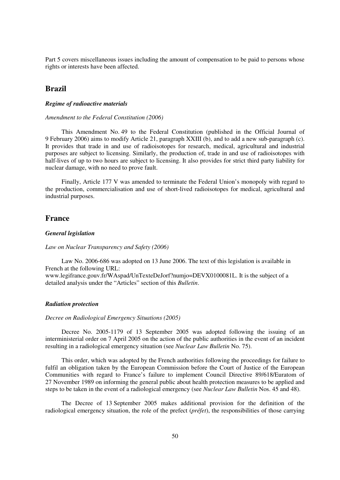Part 5 covers miscellaneous issues including the amount of compensation to be paid to persons whose rights or interests have been affected.

## **Brazil**

#### *Regime of radioactive materials*

#### *Amendment to the Federal Constitution (2006)*

This Amendment No. 49 to the Federal Constitution (published in the Official Journal of 9 February 2006) aims to modify Article 21, paragraph XXIII (b), and to add a new sub-paragraph (c). It provides that trade in and use of radioisotopes for research, medical, agricultural and industrial purposes are subject to licensing. Similarly, the production of, trade in and use of radioisotopes with half-lives of up to two hours are subject to licensing. It also provides for strict third party liability for nuclear damage, with no need to prove fault.

Finally, Article 177 V was amended to terminate the Federal Union's monopoly with regard to the production, commercialisation and use of short-lived radioisotopes for medical, agricultural and industrial purposes.

## **France**

#### *General legislation*

#### *Law on Nuclear Transparency and Safety (2006)*

Law No. 2006-686 was adopted on 13 June 2006. The text of this legislation is available in French at the following URL:

www.legifrance.gouv.fr/WAspad/UnTexteDeJorf?numjo=DEVX0100081L. It is the subject of a detailed analysis under the "Articles" section of this *Bulletin*.

#### *Radiation protection*

#### *Decree on Radiological Emergency Situations (2005)*

Decree No. 2005-1179 of 13 September 2005 was adopted following the issuing of an interministerial order on 7 April 2005 on the action of the public authorities in the event of an incident resulting in a radiological emergency situation (see *Nuclear Law Bulletin* No. 75).

This order, which was adopted by the French authorities following the proceedings for failure to fulfil an obligation taken by the European Commission before the Court of Justice of the European Communities with regard to France's failure to implement Council Directive 89/618/Euratom of 27 November 1989 on informing the general public about health protection measures to be applied and steps to be taken in the event of a radiological emergency (see *Nuclear Law Bulletin* Nos. 45 and 48).

The Decree of 13 September 2005 makes additional provision for the definition of the radiological emergency situation, the role of the prefect (*préfet*), the responsibilities of those carrying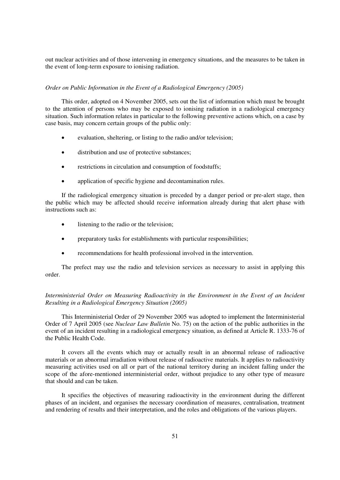out nuclear activities and of those intervening in emergency situations, and the measures to be taken in the event of long-term exposure to ionising radiation.

#### *Order on Public Information in the Event of a Radiological Emergency (2005)*

This order, adopted on 4 November 2005, sets out the list of information which must be brought to the attention of persons who may be exposed to ionising radiation in a radiological emergency situation. Such information relates in particular to the following preventive actions which, on a case by case basis, may concern certain groups of the public only:

- evaluation, sheltering, or listing to the radio and/or television;
- $\bullet$ distribution and use of protective substances;
- $\bullet$ restrictions in circulation and consumption of foodstuffs;
- $\bullet$ application of specific hygiene and decontamination rules.

If the radiological emergency situation is preceded by a danger period or pre-alert stage, then the public which may be affected should receive information already during that alert phase with instructions such as:

- $\bullet$ listening to the radio or the television;
- $\bullet$ preparatory tasks for establishments with particular responsibilities;
- $\bullet$ recommendations for health professional involved in the intervention.

The prefect may use the radio and television services as necessary to assist in applying this order.

### *Interministerial Order on Measuring Radioactivity in the Environment in the Event of an Incident Resulting in a Radiological Emergency Situation (2005)*

This Interministerial Order of 29 November 2005 was adopted to implement the Interministerial Order of 7 April 2005 (see *Nuclear Law Bulletin* No. 75) on the action of the public authorities in the event of an incident resulting in a radiological emergency situation, as defined at Article R. 1333-76 of the Public Health Code.

It covers all the events which may or actually result in an abnormal release of radioactive materials or an abnormal irradiation without release of radioactive materials. It applies to radioactivity measuring activities used on all or part of the national territory during an incident falling under the scope of the afore-mentioned interministerial order, without prejudice to any other type of measure that should and can be taken.

It specifies the objectives of measuring radioactivity in the environment during the different phases of an incident, and organises the necessary coordination of measures, centralisation, treatment and rendering of results and their interpretation, and the roles and obligations of the various players.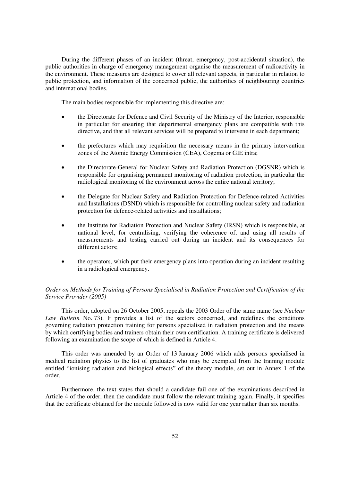During the different phases of an incident (threat, emergency, post-accidental situation), the public authorities in charge of emergency management organise the measurement of radioactivity in the environment. These measures are designed to cover all relevant aspects, in particular in relation to public protection, and information of the concerned public, the authorities of neighbouring countries and international bodies.

The main bodies responsible for implementing this directive are:

- the Directorate for Defence and Civil Security of the Ministry of the Interior, responsible in particular for ensuring that departmental emergency plans are compatible with this directive, and that all relevant services will be prepared to intervene in each department;
- $\bullet$  the prefectures which may requisition the necessary means in the primary intervention zones of the Atomic Energy Commission (CEA), Cogema or GIE intra;
- the Directorate-General for Nuclear Safety and Radiation Protection (DGSNR) which is responsible for organising permanent monitoring of radiation protection, in particular the radiological monitoring of the environment across the entire national territory;
- $\bullet$  the Delegate for Nuclear Safety and Radiation Protection for Defence-related Activities and Installations (DSND) which is responsible for controlling nuclear safety and radiation protection for defence-related activities and installations;
- $\bullet$  the Institute for Radiation Protection and Nuclear Safety (IRSN) which is responsible, at national level, for centralising, verifying the coherence of, and using all results of measurements and testing carried out during an incident and its consequences for different actors:
- $\bullet$  the operators, which put their emergency plans into operation during an incident resulting in a radiological emergency.

#### *Order on Methods for Training of Persons Specialised in Radiation Protection and Certification of the Service Provider (2005)*

This order, adopted on 26 October 2005, repeals the 2003 Order of the same name (see *Nuclear Law Bulletin* No. 73). It provides a list of the sectors concerned, and redefines the conditions governing radiation protection training for persons specialised in radiation protection and the means by which certifying bodies and trainers obtain their own certification. A training certificate is delivered following an examination the scope of which is defined in Article 4.

This order was amended by an Order of 13 January 2006 which adds persons specialised in medical radiation physics to the list of graduates who may be exempted from the training module entitled "ionising radiation and biological effects" of the theory module, set out in Annex 1 of the order.

Furthermore, the text states that should a candidate fail one of the examinations described in Article 4 of the order, then the candidate must follow the relevant training again. Finally, it specifies that the certificate obtained for the module followed is now valid for one year rather than six months.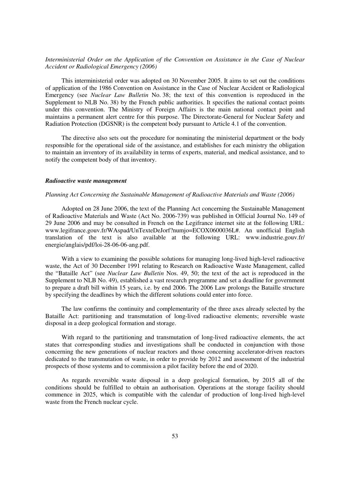#### *Interministerial Order on the Application of the Convention on Assistance in the Case of Nuclear Accident or Radiological Emergency (2006)*

This interministerial order was adopted on 30 November 2005. It aims to set out the conditions of application of the 1986 Convention on Assistance in the Case of Nuclear Accident or Radiological Emergency (see *Nuclear Law Bulletin* No. 38; the text of this convention is reproduced in the Supplement to NLB No. 38) by the French public authorities. It specifies the national contact points under this convention. The Ministry of Foreign Affairs is the main national contact point and maintains a permanent alert centre for this purpose. The Directorate-General for Nuclear Safety and Radiation Protection (DGSNR) is the competent body pursuant to Article 4.1 of the convention.

The directive also sets out the procedure for nominating the ministerial department or the body responsible for the operational side of the assistance, and establishes for each ministry the obligation to maintain an inventory of its availability in terms of experts, material, and medical assistance, and to notify the competent body of that inventory.

#### *Radioactive waste management*

#### *Planning Act Concerning the Sustainable Management of Radioactive Materials and Waste (2006)*

Adopted on 28 June 2006, the text of the Planning Act concerning the Sustainable Management of Radioactive Materials and Waste (Act No. 2006-739) was published in Official Journal No. 149 of 29 June 2006 and may be consulted in French on the Legifrance internet site at the following URL: www.legifrance.gouv.fr/WAspad/UnTexteDeJorf?numjo=ECOX0600036L#. An unofficial English translation of the text is also available at the following URL: www.industrie.gouv.fr/ energie/anglais/pdf/loi-28-06-06-ang.pdf.

With a view to examining the possible solutions for managing long-lived high-level radioactive waste, the Act of 30 December 1991 relating to Research on Radioactive Waste Management, called the "Bataille Act" (see *Nuclear Law Bulletin* Nos. 49, 50; the text of the act is reproduced in the Supplement to NLB No. 49), established a vast research programme and set a deadline for government to prepare a draft bill within 15 years, i.e. by end 2006. The 2006 Law prolongs the Bataille structure by specifying the deadlines by which the different solutions could enter into force.

The law confirms the continuity and complementarity of the three axes already selected by the Bataille Act: partitioning and transmutation of long-lived radioactive elements; reversible waste disposal in a deep geological formation and storage.

With regard to the partitioning and transmutation of long-lived radioactive elements, the act states that corresponding studies and investigations shall be conducted in conjunction with those concerning the new generations of nuclear reactors and those concerning accelerator-driven reactors dedicated to the transmutation of waste, in order to provide by 2012 and assessment of the industrial prospects of those systems and to commission a pilot facility before the end of 2020.

As regards reversible waste disposal in a deep geological formation, by 2015 all of the conditions should be fulfilled to obtain an authorisation. Operations at the storage facility should commence in 2025, which is compatible with the calendar of production of long-lived high-level waste from the French nuclear cycle.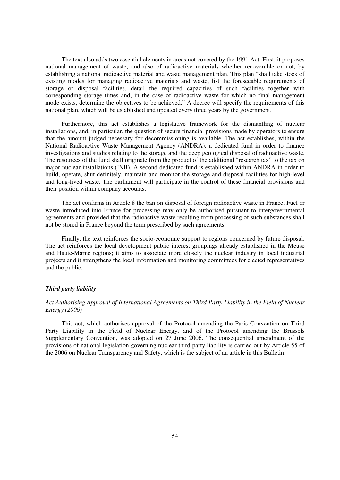The text also adds two essential elements in areas not covered by the 1991 Act. First, it proposes national management of waste, and also of radioactive materials whether recoverable or not, by establishing a national radioactive material and waste management plan. This plan "shall take stock of existing modes for managing radioactive materials and waste, list the foreseeable requirements of storage or disposal facilities, detail the required capacities of such facilities together with corresponding storage times and, in the case of radioactive waste for which no final management mode exists, determine the objectives to be achieved." A decree will specify the requirements of this national plan, which will be established and updated every three years by the government.

Furthermore, this act establishes a legislative framework for the dismantling of nuclear installations, and, in particular, the question of secure financial provisions made by operators to ensure that the amount judged necessary for decommissioning is available. The act establishes, within the National Radioactive Waste Management Agency (ANDRA), a dedicated fund in order to finance investigations and studies relating to the storage and the deep geological disposal of radioactive waste. The resources of the fund shall originate from the product of the additional "research tax" to the tax on major nuclear installations (INB). A second dedicated fund is established within ANDRA in order to build, operate, shut definitely, maintain and monitor the storage and disposal facilities for high-level and long-lived waste. The parliament will participate in the control of these financial provisions and their position within company accounts.

The act confirms in Article 8 the ban on disposal of foreign radioactive waste in France. Fuel or waste introduced into France for processing may only be authorised pursuant to intergovernmental agreements and provided that the radioactive waste resulting from processing of such substances shall not be stored in France beyond the term prescribed by such agreements.

Finally, the text reinforces the socio-economic support to regions concerned by future disposal. The act reinforces the local development public interest groupings already established in the Meuse and Haute-Marne regions; it aims to associate more closely the nuclear industry in local industrial projects and it strengthens the local information and monitoring committees for elected representatives and the public.

#### *Third party liability*

### *Act Authorising Approval of International Agreements on Third Party Liability in the Field of Nuclear Energy (2006)*

This act, which authorises approval of the Protocol amending the Paris Convention on Third Party Liability in the Field of Nuclear Energy, and of the Protocol amending the Brussels Supplementary Convention, was adopted on 27 June 2006. The consequential amendment of the provisions of national legislation governing nuclear third party liability is carried out by Article 55 of the 2006 on Nuclear Transparency and Safety, which is the subject of an article in this Bulletin.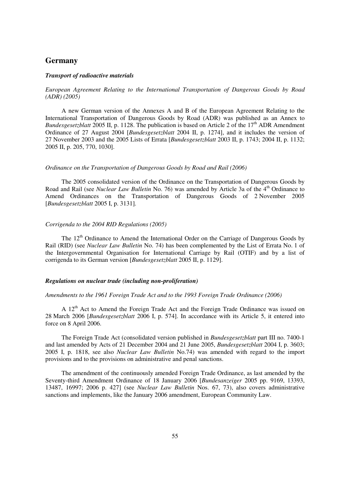## **Germany**

#### *Transport of radioactive materials*

### *European Agreement Relating to the International Transportation of Dangerous Goods by Road (ADR) (2005)*

A new German version of the Annexes A and B of the European Agreement Relating to the International Transportation of Dangerous Goods by Road (ADR) was published as an Annex to *Bundesgesetzblatt* 2005 II, p. 1128. The publication is based on Article 2 of the 17<sup>th</sup> ADR Amendment Ordinance of 27 August 2004 [*Bundesgesetzblatt* 2004 II, p. 1274], and it includes the version of 27 November 2003 and the 2005 Lists of Errata [*Bundesgesetzblatt* 2003 II, p. 1743; 2004 II, p. 1132; 2005 II, p. 205, 770, 1030].

#### *Ordinance on the Transportation of Dangerous Goods by Road and Rail (2006)*

The 2005 consolidated version of the Ordinance on the Transportation of Dangerous Goods by Road and Rail (see *Nuclear Law Bulletin* No. 76) was amended by Article 3a of the 4<sup>th</sup> Ordinance to Amend Ordinances on the Transportation of Dangerous Goods of 2 November 2005 [*Bundesgesetzblatt* 2005 I, p. 3131].

#### *Corrigenda to the 2004 RID Regulations (2005)*

The  $12<sup>th</sup>$  Ordinance to Amend the International Order on the Carriage of Dangerous Goods by Rail (RID) (see *Nuclear Law Bulletin* No. 74) has been complemented by the List of Errata No. 1 of the Intergovernmental Organisation for International Carriage by Rail (OTIF) and by a list of corrigenda to its German version [*Bundesgesetzblatt* 2005 II, p. 1129].

#### *Regulations on nuclear trade (including non-proliferation)*

#### *Amendments to the 1961 Foreign Trade Act and to the 1993 Foreign Trade Ordinance (2006)*

A 12<sup>th</sup> Act to Amend the Foreign Trade Act and the Foreign Trade Ordinance was issued on 28 March 2006 [*Bundesgesetzblatt* 2006 I, p. 574]. In accordance with its Article 5, it entered into force on 8 April 2006.

The Foreign Trade Act (consolidated version published in *Bundesgesetzblatt* part III no. 7400-1 and last amended by Acts of 21 December 2004 and 21 June 2005, *Bundesgesetzblatt* 2004 I, p. 3603; 2005 I, p. 1818, see also *Nuclear Law Bulletin* No.74) was amended with regard to the import provisions and to the provisions on administrative and penal sanctions.

The amendment of the continuously amended Foreign Trade Ordinance, as last amended by the Seventy-third Amendment Ordinance of 18 January 2006 [*Bundesanzeiger* 2005 pp. 9169, 13393, 13487, 16997; 2006 p. 427] (see *Nuclear Law Bulletin* Nos. 67, 73), also covers administrative sanctions and implements, like the January 2006 amendment, European Community Law.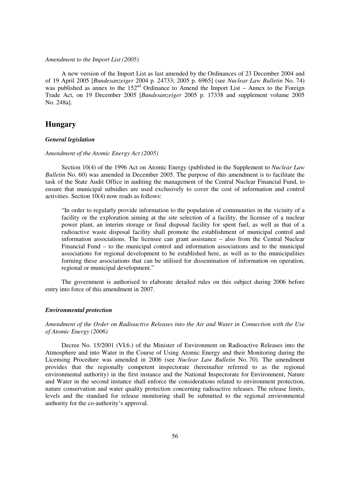#### *Amendment to the Import List (2005)*

A new version of the Import List as last amended by the Ordinances of 23 December 2004 and of 19 April 2005 [*Bundesanzeiger* 2004 p. 24733; 2005 p. 6965] (see *Nuclear Law Bulletin* No. 74) was published as annex to the  $152<sup>nd</sup>$  Ordinance to Amend the Import List – Annex to the Foreign Trade Act, on 19 December 2005 [*Bundesanzeiger* 2005 p. 17338 and supplement volume 2005 No. 248a].

## **Hungary**

#### *General legislation*

#### *Amendment of the Atomic Energy Act (2005)*

Section 10(4) of the 1996 Act on Atomic Energy (published in the Supplement to *Nuclear Law Bulletin* No. 60) was amended in December 2005. The purpose of this amendment is to facilitate the task of the State Audit Office in auditing the management of the Central Nuclear Financial Fund, to ensure that municipal subsidies are used exclusively to cover the cost of information and control activities. Section 10(4) now reads as follows:

"In order to regularly provide information to the population of communities in the vicinity of a facility or the exploration aiming at the site selection of a facility, the licensee of a nuclear power plant, an interim storage or final disposal facility for spent fuel, as well as that of a radioactive waste disposal facility shall promote the establishment of municipal control and information associations. The licensee can grant assistance – also from the Central Nuclear Financial Fund – to the municipal control and information associations and to the municipal associations for regional development to be established here, as well as to the municipalities forming these associations that can be utilised for dissemination of information on operation, regional or municipal development."

The government is authorised to elaborate detailed rules on this subject during 2006 before entry into force of this amendment in 2007.

#### *Environmental protection*

*Amendment of the Order on Radioactive Releases into the Air and Water in Connection with the Use of Atomic Energy (2006)* 

Decree No. 15/2001 (VI.6.) of the Minister of Environment on Radioactive Releases into the Atmosphere and into Water in the Course of Using Atomic Energy and their Monitoring during the Licensing Procedure was amended in 2006 (see *Nuclear Law Bulletin* No. 70). The amendment provides that the regionally competent inspectorate (hereinafter referred to as the regional environmental authority) in the first instance and the National Inspectorate for Environment, Nature and Water in the second instance shall enforce the considerations related to environment protection, nature conservation and water quality protection concerning radioactive releases. The release limits, levels and the standard for release monitoring shall be submitted to the regional environmental authority for the co-authority's approval.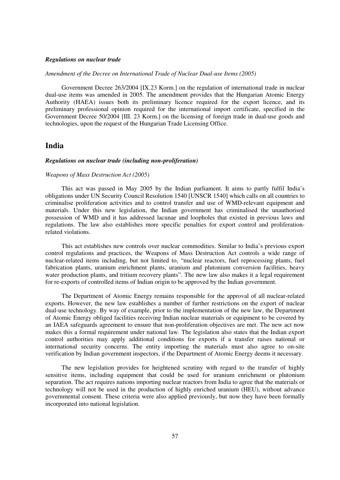#### *Regulations on nuclear trade*

*Amendment of the Decree on International Trade of Nuclear Dual-use Items (2005)* 

Government Decree 263/2004 [IX.23 Korm.] on the regulation of international trade in nuclear dual-use items was amended in 2005. The amendment provides that the Hungarian Atomic Energy Authority (HAEA) issues both its preliminary licence required for the export licence, and its preliminary professional opinion required for the international import certificate, specified in the Government Decree 50/2004 [III. 23 Korm.] on the licensing of foreign trade in dual-use goods and technologies, upon the request of the Hungarian Trade Licensing Office.

## **India**

#### *Regulations on nuclear trade (including non-proliferation)*

#### *Weapons of Mass Destruction Act (2005)*

This act was passed in May 2005 by the Indian parliament. It aims to partly fulfil India's obligations under UN Security Council Resolution 1540 [UNSCR 1540] which calls on all countries to criminalise proliferation activities and to control transfer and use of WMD-relevant equipment and materials. Under this new legislation, the Indian government has criminalised the unauthorised possession of WMD and it has addressed lacunae and loopholes that existed in previous laws and regulations. The law also establishes more specific penalties for export control and proliferationrelated violations.

This act establishes new controls over nuclear commodities. Similar to India's previous export control regulations and practices, the Weapons of Mass Destruction Act controls a wide range of nuclear-related items including, but not limited to, "nuclear reactors, fuel reprocessing plants, fuel fabrication plants, uranium enrichment plants, uranium and plutonium conversion facilities, heavy water production plants, and tritium recovery plants". The new law also makes it a legal requirement for re-exports of controlled items of Indian origin to be approved by the Indian government.

The Department of Atomic Energy remains responsible for the approval of all nuclear-related exports. However, the new law establishes a number of further restrictions on the export of nuclear dual-use technology. By way of example, prior to the implementation of the new law, the Department of Atomic Energy obliged facilities receiving Indian nuclear materials or equipment to be covered by an IAEA safeguards agreement to ensure that non-proliferation objectives are met. The new act now makes this a formal requirement under national law. The legislation also states that the Indian export control authorities may apply additional conditions for exports if a transfer raises national or international security concerns. The entity importing the materials must also agree to on-site verification by Indian government inspectors, if the Department of Atomic Energy deems it necessary.

The new legislation provides for heightened scrutiny with regard to the transfer of highly sensitive items, including equipment that could be used for uranium enrichment or plutonium separation. The act requires nations importing nuclear reactors from India to agree that the materials or technology will not be used in the production of highly enriched uranium (HEU), without advance governmental consent. These criteria were also applied previously, but now they have been formally incorporated into national legislation.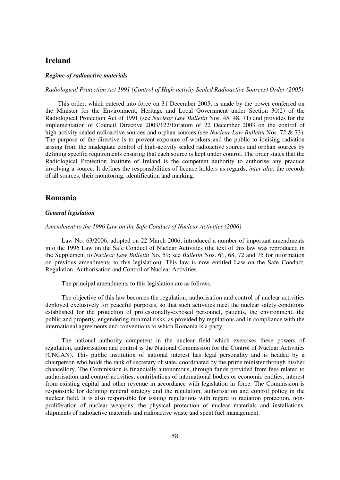## **Ireland**

#### *Regime of radioactive materials*

#### *Radiological Protection Act 1991 (Control of High-activity Sealed Radioactive Sources) Order (2005)*

This order, which entered into force on 31 December 2005, is made by the power conferred on the Minister for the Environment, Heritage and Local Government under Section 30(2) of the Radiological Protection Act of 1991 (see *Nuclear Law Bulletin* Nos. 45, 48, 71) and provides for the implementation of Council Directive 2003/122/Euratom of 22 December 2003 on the control of high-activity sealed radioactive sources and orphan sources (see *Nuclear Law Bulletin* Nos. 72 & 73). The purpose of the directive is to prevent exposure of workers and the public to ionising radiation arising from the inadequate control of high-activity sealed radioactive sources and orphan sources by defining specific requirements ensuring that each source is kept under control. The order states that the Radiological Protection Institute of Ireland is the competent authority to authorise any practice involving a source. It defines the responsibilities of licence holders as regards, *inter alia*, the records of all sources, their monitoring, identification and marking.

## **Romania**

#### *General legislation*

#### *Amendment to the 1996 Law on the Safe Conduct of Nuclear Activities (2006)*

Law No. 63/2006, adopted on 22 March 2006, introduced a number of important amendments into the 1996 Law on the Safe Conduct of Nuclear Activities (the text of this law was reproduced in the Supplement to *Nuclear Law Bulletin* No. 59; see *Bulletin* Nos. 61, 68, 72 and 75 for information on previous amendments to this legislation). This law is now entitled Law on the Safe Conduct, Regulation, Authorisation and Control of Nuclear Activities.

The principal amendments to this legislation are as follows.

The objective of this law becomes the regulation, authorisation and control of nuclear activities deployed exclusively for peaceful purposes, so that such activities meet the nuclear safety conditions established for the protection of professionally-exposed personnel, patients, the environment, the public and property, engendering minimal risks, as provided by regulations and in compliance with the international agreements and conventions to which Romania is a party.

The national authority competent in the nuclear field which exercises these powers of regulation, authorisation and control is the National Commission for the Control of Nuclear Activities (CNCAN). This public institution of national interest has legal personality and is headed by a chairperson who holds the rank of secretary of state, coordinated by the prime minister through his/her chancellory. The Commission is financially autonomous, through funds provided from fees related to authorisation and control activities, contributions of international bodies or economic entities, interest from existing capital and other revenue in accordance with legislation in force. The Commission is responsible for defining general strategy and the regulation, authorisation and control policy in the nuclear field. It is also responsible for issuing regulations with regard to radiation protection, nonproliferation of nuclear weapons, the physical protection of nuclear materials and installations, shipments of radioactive materials and radioactive waste and spent fuel management.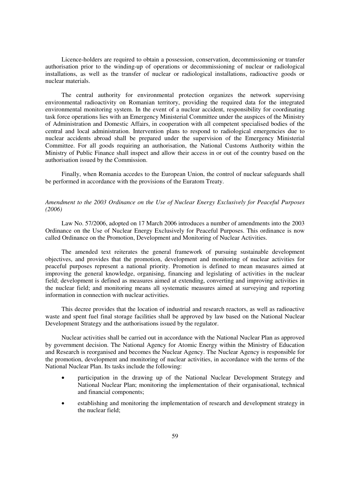Licence-holders are required to obtain a possession, conservation, decommissioning or transfer authorisation prior to the winding-up of operations or decommissioning of nuclear or radiological installations, as well as the transfer of nuclear or radiological installations, radioactive goods or nuclear materials.

The central authority for environmental protection organizes the network supervising environmental radioactivity on Romanian territory, providing the required data for the integrated environmental monitoring system. In the event of a nuclear accident, responsibility for coordinating task force operations lies with an Emergency Ministerial Committee under the auspices of the Ministry of Administration and Domestic Affairs, in cooperation with all competent specialised bodies of the central and local administration. Intervention plans to respond to radiological emergencies due to nuclear accidents abroad shall be prepared under the supervision of the Emergency Ministerial Committee. For all goods requiring an authorisation, the National Customs Authority within the Ministry of Public Finance shall inspect and allow their access in or out of the country based on the authorisation issued by the Commission.

Finally, when Romania accedes to the European Union, the control of nuclear safeguards shall be performed in accordance with the provisions of the Euratom Treaty.

## *Amendment to the 2003 Ordinance on the Use of Nuclear Energy Exclusively for Peaceful Purposes (2006)*

Law No. 57/2006, adopted on 17 March 2006 introduces a number of amendments into the 2003 Ordinance on the Use of Nuclear Energy Exclusively for Peaceful Purposes. This ordinance is now called Ordinance on the Promotion, Development and Monitoring of Nuclear Activities.

The amended text reiterates the general framework of pursuing sustainable development objectives, and provides that the promotion, development and monitoring of nuclear activities for peaceful purposes represent a national priority. Promotion is defined to mean measures aimed at improving the general knowledge, organising, financing and legislating of activities in the nuclear field; development is defined as measures aimed at extending, converting and improving activities in the nuclear field; and monitoring means all systematic measures aimed at surveying and reporting information in connection with nuclear activities.

This decree provides that the location of industrial and research reactors, as well as radioactive waste and spent fuel final storage facilities shall be approved by law based on the National Nuclear Development Strategy and the authorisations issued by the regulator.

Nuclear activities shall be carried out in accordance with the National Nuclear Plan as approved by government decision. The National Agency for Atomic Energy within the Ministry of Education and Research is reorganised and becomes the Nuclear Agency. The Nuclear Agency is responsible for the promotion, development and monitoring of nuclear activities, in accordance with the terms of the National Nuclear Plan. Its tasks include the following:

- $\bullet$  participation in the drawing up of the National Nuclear Development Strategy and National Nuclear Plan; monitoring the implementation of their organisational, technical and financial components;
- $\bullet$  establishing and monitoring the implementation of research and development strategy in the nuclear field;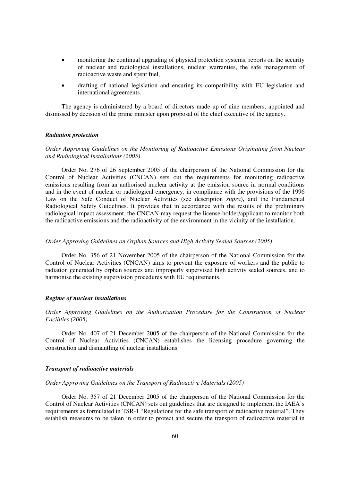- $\bullet$  monitoring the continual upgrading of physical protection systems, reports on the security of nuclear and radiological installations, nuclear warranties, the safe management of radioactive waste and spent fuel,
- drafting of national legislation and ensuring its compatibility with EU legislation and international agreements.

The agency is administered by a board of directors made up of nine members, appointed and dismissed by decision of the prime minister upon proposal of the chief executive of the agency.

#### *Radiation protection*

### *Order Approving Guidelines on the Monitoring of Radioactive Emissions Originating from Nuclear and Radiological Installations (2005)*

Order No. 276 of 26 September 2005 of the chairperson of the National Commission for the Control of Nuclear Activities (CNCAN) sets out the requirements for monitoring radioactive emissions resulting from an authorised nuclear activity at the emission source in normal conditions and in the event of nuclear or radiological emergency, in compliance with the provisions of the 1996 Law on the Safe Conduct of Nuclear Activities (see description *supra*), and the Fundamental Radiological Safety Guidelines. It provides that in accordance with the results of the preliminary radiological impact assessment, the CNCAN may request the license-holder/applicant to monitor both the radioactive emissions and the radioactivity of the environment in the vicinity of the installation.

#### *Order Approving Guidelines on Orphan Sources and High Activity Sealed Sources (2005)*

Order No. 356 of 21 November 2005 of the chairperson of the National Commission for the Control of Nuclear Activities (CNCAN) aims to prevent the exposure of workers and the public to radiation generated by orphan sources and improperly supervised high activity sealed sources, and to harmonise the existing supervision procedures with EU requirements.

#### *Regime of nuclear installations*

*Order Approving Guidelines on the Authorisation Procedure for the Construction of Nuclear Facilities (2005)* 

Order No. 407 of 21 December 2005 of the chairperson of the National Commission for the Control of Nuclear Activities (CNCAN) establishes the licensing procedure governing the construction and dismantling of nuclear installations.

#### *Transport of radioactive materials*

#### *Order Approving Guidelines on the Transport of Radioactive Materials (2005)*

Order No. 357 of 21 December 2005 of the chairperson of the National Commission for the Control of Nuclear Activities (CNCAN) sets out guidelines that are designed to implement the IAEA's requirements as formulated in TSR-1 "Regulations for the safe transport of radioactive material". They establish measures to be taken in order to protect and secure the transport of radioactive material in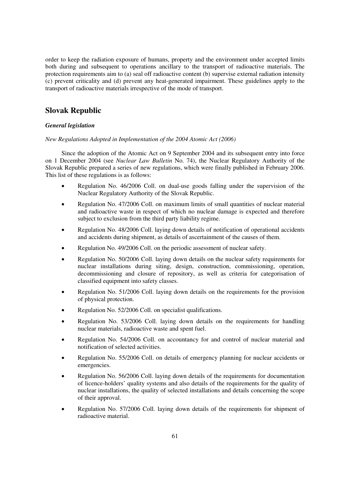order to keep the radiation exposure of humans, property and the environment under accepted limits both during and subsequent to operations ancillary to the transport of radioactive materials. The protection requirements aim to (a) seal off radioactive content (b) supervise external radiation intensity (c) prevent criticality and (d) prevent any heat-generated impairment. These guidelines apply to the transport of radioactive materials irrespective of the mode of transport.

## **Slovak Republic**

## *General legislation*

*New Regulations Adopted in Implementation of the 2004 Atomic Act (2006)* 

Since the adoption of the Atomic Act on 9 September 2004 and its subsequent entry into force on 1 December 2004 (see *Nuclear Law Bulletin* No. 74), the Nuclear Regulatory Authority of the Slovak Republic prepared a series of new regulations, which were finally published in February 2006. This list of these regulations is as follows:

- - Regulation No. 46/2006 Coll. on dual-use goods falling under the supervision of the Nuclear Regulatory Authority of the Slovak Republic.
- $\bullet$  Regulation No. 47/2006 Coll. on maximum limits of small quantities of nuclear material and radioactive waste in respect of which no nuclear damage is expected and therefore subject to exclusion from the third party liability regime.
- $\bullet$  Regulation No. 48/2006 Coll. laying down details of notification of operational accidents and accidents during shipment, as details of ascertainment of the causes of them.
- -Regulation No. 49/2006 Coll. on the periodic assessment of nuclear safety.
- - Regulation No. 50/2006 Coll. laying down details on the nuclear safety requirements for nuclear installations during siting, design, construction, commissioning, operation, decommissioning and closure of repository, as well as criteria for categorisation of classified equipment into safety classes.
- - Regulation No. 51/2006 Coll. laying down details on the requirements for the provision of physical protection.
- -Regulation No. 52/2006 Coll. on specialist qualifications.
- $\bullet$  Regulation No. 53/2006 Coll. laying down details on the requirements for handling nuclear materials, radioactive waste and spent fuel.
- - Regulation No. 54/2006 Coll. on accountancy for and control of nuclear material and notification of selected activities.
- - Regulation No. 55/2006 Coll. on details of emergency planning for nuclear accidents or emergencies.
- $\bullet$  Regulation No. 56/2006 Coll. laying down details of the requirements for documentation of licence-holders' quality systems and also details of the requirements for the quality of nuclear installations, the quality of selected installations and details concerning the scope of their approval.
- $\bullet$  Regulation No. 57/2006 Coll. laying down details of the requirements for shipment of radioactive material.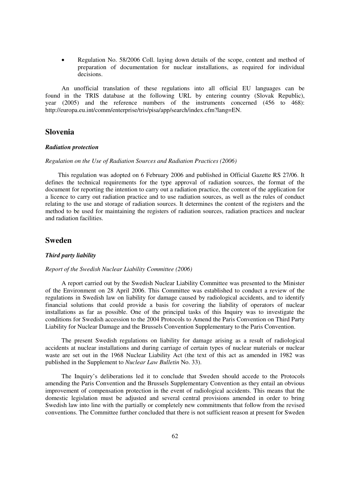$\bullet$  Regulation No. 58/2006 Coll. laying down details of the scope, content and method of preparation of documentation for nuclear installations, as required for individual decisions.

An unofficial translation of these regulations into all official EU languages can be found in the TRIS database at the following URL by entering country (Slovak Republic), year (2005) and the reference numbers of the instruments concerned (456 to 468): http://europa.eu.int/comm/enterprise/tris/pisa/app/search/index.cfm?lang=EN.

## **Slovenia**

#### *Radiation protection*

#### *Regulation on the Use of Radiation Sources and Radiation Practices (2006)*

This regulation was adopted on 6 February 2006 and published in Official Gazette RS 27/06. It defines the technical requirements for the type approval of radiation sources, the format of the document for reporting the intention to carry out a radiation practice, the content of the application for a licence to carry out radiation practice and to use radiation sources, as well as the rules of conduct relating to the use and storage of radiation sources. It determines the content of the registers and the method to be used for maintaining the registers of radiation sources, radiation practices and nuclear and radiation facilities.

## **Sweden**

#### *Third party liability*

#### *Report of the Swedish Nuclear Liability Committee (2006)*

A report carried out by the Swedish Nuclear Liability Committee was presented to the Minister of the Environment on 28 April 2006. This Committee was established to conduct a review of the regulations in Swedish law on liability for damage caused by radiological accidents, and to identify financial solutions that could provide a basis for covering the liability of operators of nuclear installations as far as possible. One of the principal tasks of this Inquiry was to investigate the conditions for Swedish accession to the 2004 Protocols to Amend the Paris Convention on Third Party Liability for Nuclear Damage and the Brussels Convention Supplementary to the Paris Convention.

The present Swedish regulations on liability for damage arising as a result of radiological accidents at nuclear installations and during carriage of certain types of nuclear materials or nuclear waste are set out in the 1968 Nuclear Liability Act (the text of this act as amended in 1982 was published in the Supplement to *Nuclear Law Bulletin* No. 33).

The Inquiry's deliberations led it to conclude that Sweden should accede to the Protocols amending the Paris Convention and the Brussels Supplementary Convention as they entail an obvious improvement of compensation protection in the event of radiological accidents. This means that the domestic legislation must be adjusted and several central provisions amended in order to bring Swedish law into line with the partially or completely new commitments that follow from the revised conventions. The Committee further concluded that there is not sufficient reason at present for Sweden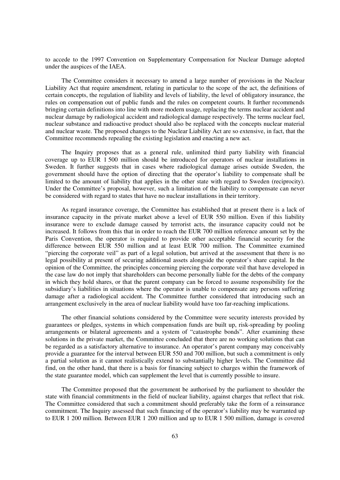to accede to the 1997 Convention on Supplementary Compensation for Nuclear Damage adopted under the auspices of the IAEA.

The Committee considers it necessary to amend a large number of provisions in the Nuclear Liability Act that require amendment, relating in particular to the scope of the act, the definitions of certain concepts, the regulation of liability and levels of liability, the level of obligatory insurance, the rules on compensation out of public funds and the rules on competent courts. It further recommends bringing certain definitions into line with more modern usage, replacing the terms nuclear accident and nuclear damage by radiological accident and radiological damage respectively. The terms nuclear fuel, nuclear substance and radioactive product should also be replaced with the concepts nuclear material and nuclear waste. The proposed changes to the Nuclear Liability Act are so extensive, in fact, that the Committee recommends repealing the existing legislation and enacting a new act.

The Inquiry proposes that as a general rule, unlimited third party liability with financial coverage up to EUR 1 500 million should be introduced for operators of nuclear installations in Sweden. It further suggests that in cases where radiological damage arises outside Sweden, the government should have the option of directing that the operator's liability to compensate shall be limited to the amount of liability that applies in the other state with regard to Sweden (reciprocity). Under the Committee's proposal, however, such a limitation of the liability to compensate can never be considered with regard to states that have no nuclear installations in their territory.

As regard insurance coverage, the Committee has established that at present there is a lack of insurance capacity in the private market above a level of EUR 550 million. Even if this liability insurance were to exclude damage caused by terrorist acts, the insurance capacity could not be increased. It follows from this that in order to reach the EUR 700 million reference amount set by the Paris Convention, the operator is required to provide other acceptable financial security for the difference between EUR 550 million and at least EUR 700 million. The Committee examined "piercing the corporate veil" as part of a legal solution, but arrived at the assessment that there is no legal possibility at present of securing additional assets alongside the operator's share capital. In the opinion of the Committee, the principles concerning piercing the corporate veil that have developed in the case law do not imply that shareholders can become personally liable for the debts of the company in which they hold shares, or that the parent company can be forced to assume responsibility for the subsidiary's liabilities in situations where the operator is unable to compensate any persons suffering damage after a radiological accident. The Committee further considered that introducing such an arrangement exclusively in the area of nuclear liability would have too far-reaching implications.

The other financial solutions considered by the Committee were security interests provided by guarantees or pledges, systems in which compensation funds are built up, risk-spreading by pooling arrangements or bilateral agreements and a system of "catastrophe bonds". After examining these solutions in the private market, the Committee concluded that there are no working solutions that can be regarded as a satisfactory alternative to insurance. An operator's parent company may conceivably provide a guarantee for the interval between EUR 550 and 700 million, but such a commitment is only a partial solution as it cannot realistically extend to substantially higher levels. The Committee did find, on the other hand, that there is a basis for financing subject to charges within the framework of the state guarantee model, which can supplement the level that is currently possible to insure.

The Committee proposed that the government be authorised by the parliament to shoulder the state with financial commitments in the field of nuclear liability, against charges that reflect that risk. The Committee considered that such a commitment should preferably take the form of a reinsurance commitment. The Inquiry assessed that such financing of the operator's liability may be warranted up to EUR 1 200 million. Between EUR 1 200 million and up to EUR 1 500 million, damage is covered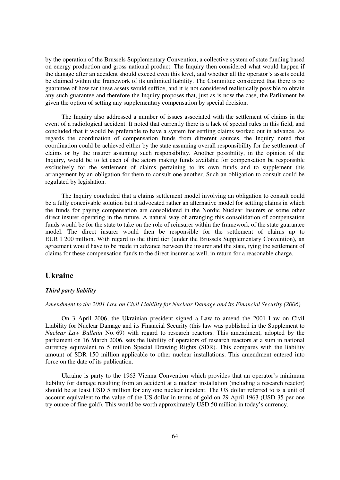by the operation of the Brussels Supplementary Convention, a collective system of state funding based on energy production and gross national product. The Inquiry then considered what would happen if the damage after an accident should exceed even this level, and whether all the operator's assets could be claimed within the framework of its unlimited liability. The Committee considered that there is no guarantee of how far these assets would suffice, and it is not considered realistically possible to obtain any such guarantee and therefore the Inquiry proposes that, just as is now the case, the Parliament be given the option of setting any supplementary compensation by special decision.

The Inquiry also addressed a number of issues associated with the settlement of claims in the event of a radiological accident. It noted that currently there is a lack of special rules in this field, and concluded that it would be preferable to have a system for settling claims worked out in advance. As regards the coordination of compensation funds from different sources, the Inquiry noted that coordination could be achieved either by the state assuming overall responsibility for the settlement of claims or by the insurer assuming such responsibility. Another possibility, in the opinion of the Inquiry, would be to let each of the actors making funds available for compensation be responsible exclusively for the settlement of claims pertaining to its own funds and to supplement this arrangement by an obligation for them to consult one another. Such an obligation to consult could be regulated by legislation.

The Inquiry concluded that a claims settlement model involving an obligation to consult could be a fully conceivable solution but it advocated rather an alternative model for settling claims in which the funds for paying compensation are consolidated in the Nordic Nuclear Insurers or some other direct insurer operating in the future. A natural way of arranging this consolidation of compensation funds would be for the state to take on the role of reinsurer within the framework of the state guarantee model. The direct insurer would then be responsible for the settlement of claims up to EUR 1 200 million. With regard to the third tier (under the Brussels Supplementary Convention), an agreement would have to be made in advance between the insurer and the state, tying the settlement of claims for these compensation funds to the direct insurer as well, in return for a reasonable charge.

## **Ukraine**

### *Third party liability*

### *Amendment to the 2001 Law on Civil Liability for Nuclear Damage and its Financial Security (2006)*

On 3 April 2006, the Ukrainian president signed a Law to amend the 2001 Law on Civil Liability for Nuclear Damage and its Financial Security (this law was published in the Supplement to *Nuclear Law Bulletin* No. 69) with regard to research reactors. This amendment, adopted by the parliament on 16 March 2006, sets the liability of operators of research reactors at a sum in national currency equivalent to 5 million Special Drawing Rights (SDR). This compares with the liability amount of SDR 150 million applicable to other nuclear installations. This amendment entered into force on the date of its publication.

Ukraine is party to the 1963 Vienna Convention which provides that an operator's minimum liability for damage resulting from an accident at a nuclear installation (including a research reactor) should be at least USD 5 million for any one nuclear incident. The US dollar referred to is a unit of account equivalent to the value of the US dollar in terms of gold on 29 April 1963 (USD 35 per one try ounce of fine gold). This would be worth approximately USD 50 million in today's currency.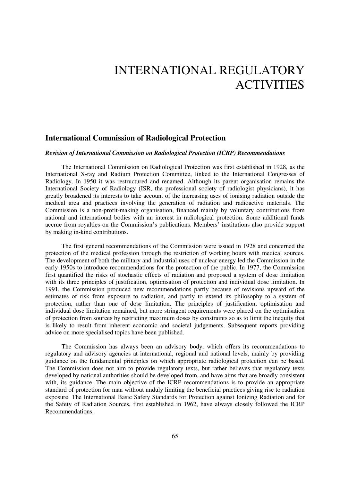# INTERNATIONAL REGULATORY **ACTIVITIES**

## **International Commission of Radiological Protection**

#### *Revision of International Commission on Radiological Protection (ICRP) Recommendations*

The International Commission on Radiological Protection was first established in 1928, as the International X-ray and Radium Protection Committee, linked to the International Congresses of Radiology. In 1950 it was restructured and renamed. Although its parent organisation remains the International Society of Radiology (ISR, the professional society of radiologist physicians), it has greatly broadened its interests to take account of the increasing uses of ionising radiation outside the medical area and practices involving the generation of radiation and radioactive materials. The Commission is a non-profit-making organisation, financed mainly by voluntary contributions from national and international bodies with an interest in radiological protection. Some additional funds accrue from royalties on the Commission's publications. Members' institutions also provide support by making in-kind contributions.

The first general recommendations of the Commission were issued in 1928 and concerned the protection of the medical profession through the restriction of working hours with medical sources. The development of both the military and industrial uses of nuclear energy led the Commission in the early 1950s to introduce recommendations for the protection of the public. In 1977, the Commission first quantified the risks of stochastic effects of radiation and proposed a system of dose limitation with its three principles of justification, optimisation of protection and individual dose limitation. In 1991, the Commission produced new recommendations partly because of revisions upward of the estimates of risk from exposure to radiation, and partly to extend its philosophy to a system of protection, rather than one of dose limitation. The principles of justification, optimisation and individual dose limitation remained, but more stringent requirements were placed on the optimisation of protection from sources by restricting maximum doses by constraints so as to limit the inequity that is likely to result from inherent economic and societal judgements. Subsequent reports providing advice on more specialised topics have been published.

The Commission has always been an advisory body, which offers its recommendations to regulatory and advisory agencies at international, regional and national levels, mainly by providing guidance on the fundamental principles on which appropriate radiological protection can be based. The Commission does not aim to provide regulatory texts, but rather believes that regulatory texts developed by national authorities should be developed from, and have aims that are broadly consistent with, its guidance. The main objective of the ICRP recommendations is to provide an appropriate standard of protection for man without unduly limiting the beneficial practices giving rise to radiation exposure. The International Basic Safety Standards for Protection against Ionizing Radiation and for the Safety of Radiation Sources, first established in 1962, have always closely followed the ICRP Recommendations.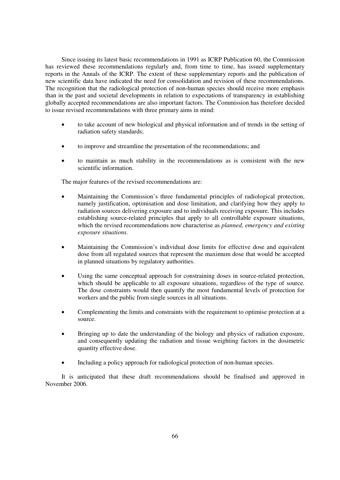Since issuing its latest basic recommendations in 1991 as ICRP Publication 60, the Commission has reviewed these recommendations regularly and, from time to time, has issued supplementary reports in the Annals of the ICRP. The extent of these supplementary reports and the publication of new scientific data have indicated the need for consolidation and revision of these recommendations. The recognition that the radiological protection of non-human species should receive more emphasis than in the past and societal developments in relation to expectations of transparency in establishing globally accepted recommendations are also important factors. The Commission has therefore decided to issue revised recommendations with three primary aims in mind:

- $\bullet$  to take account of new biological and physical information and of trends in the setting of radiation safety standards;
- $\bullet$ to improve and streamline the presentation of the recommendations; and
- to maintain as much stability in the recommendations as is consistent with the new scientific information.

The major features of the revised recommendations are:

- $\bullet$  Maintaining the Commission's three fundamental principles of radiological protection, namely justification, optimisation and dose limitation, and clarifying how they apply to radiation sources delivering exposure and to individuals receiving exposure. This includes establishing source-related principles that apply to all controllable exposure situations, which the revised recommendations now characterise as *planned, emergency and existing exposure situations*.
- $\bullet$  Maintaining the Commission's individual dose limits for effective dose and equivalent dose from all regulated sources that represent the maximum dose that would be accepted in planned situations by regulatory authorities.
- - Using the same conceptual approach for constraining doses in source-related protection, which should be applicable to all exposure situations, regardless of the type of source. The dose constraints would then quantify the most fundamental levels of protection for workers and the public from single sources in all situations.
- - Complementing the limits and constraints with the requirement to optimise protection at a source.
- - Bringing up to date the understanding of the biology and physics of radiation exposure, and consequently updating the radiation and tissue weighting factors in the dosimetric quantity effective dose.
- $\bullet$ Including a policy approach for radiological protection of non-human species.

It is anticipated that these draft recommendations should be finalised and approved in November 2006.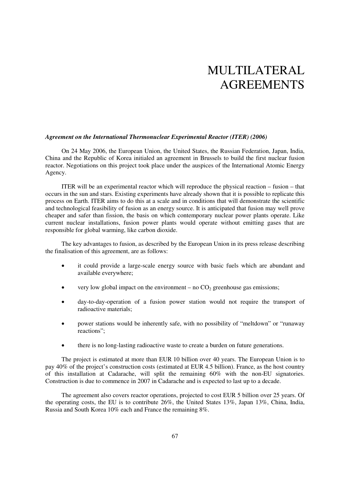# MULTILATERAL AGREEMENTS

#### *Agreement on the International Thermonuclear Experimental Reactor (ITER) (2006)*

On 24 May 2006, the European Union, the United States, the Russian Federation, Japan, India, China and the Republic of Korea initialed an agreement in Brussels to build the first nuclear fusion reactor. Negotiations on this project took place under the auspices of the International Atomic Energy Agency.

ITER will be an experimental reactor which will reproduce the physical reaction – fusion – that occurs in the sun and stars. Existing experiments have already shown that it is possible to replicate this process on Earth. ITER aims to do this at a scale and in conditions that will demonstrate the scientific and technological feasibility of fusion as an energy source. It is anticipated that fusion may well prove cheaper and safer than fission, the basis on which contemporary nuclear power plants operate. Like current nuclear installations, fusion power plants would operate without emitting gases that are responsible for global warming, like carbon dioxide.

The key advantages to fusion, as described by the European Union in its press release describing the finalisation of this agreement, are as follows:

- $\bullet$  it could provide a large-scale energy source with basic fuels which are abundant and available everywhere;
- $\bullet$ very low global impact on the environment – no  $CO<sub>2</sub>$  greenhouse gas emissions;
- day-to-day-operation of a fusion power station would not require the transport of radioactive materials;
- $\bullet$  power stations would be inherently safe, with no possibility of "meltdown" or "runaway reactions";
- $\bullet$ there is no long-lasting radioactive waste to create a burden on future generations.

The project is estimated at more than EUR 10 billion over 40 years. The European Union is to pay 40% of the project's construction costs (estimated at EUR 4.5 billion). France, as the host country of this installation at Cadarache, will split the remaining 60% with the non-EU signatories. Construction is due to commence in 2007 in Cadarache and is expected to last up to a decade.

The agreement also covers reactor operations, projected to cost EUR 5 billion over 25 years. Of the operating costs, the EU is to contribute 26%, the United States 13%, Japan 13%, China, India, Russia and South Korea 10% each and France the remaining 8%.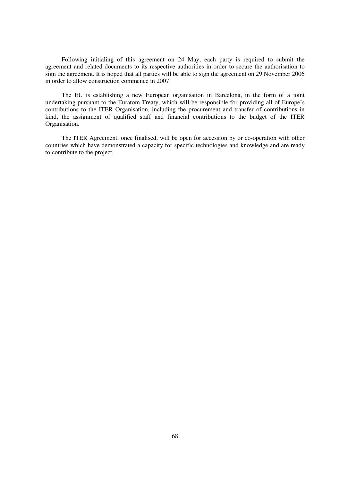Following initialing of this agreement on 24 May, each party is required to submit the agreement and related documents to its respective authorities in order to secure the authorisation to sign the agreement. It is hoped that all parties will be able to sign the agreement on 29 November 2006 in order to allow construction commence in 2007.

The EU is establishing a new European organisation in Barcelona, in the form of a joint undertaking pursuant to the Euratom Treaty, which will be responsible for providing all of Europe's contributions to the ITER Organisation, including the procurement and transfer of contributions in kind, the assignment of qualified staff and financial contributions to the budget of the ITER Organisation.

The ITER Agreement, once finalised, will be open for accession by or co-operation with other countries which have demonstrated a capacity for specific technologies and knowledge and are ready to contribute to the project.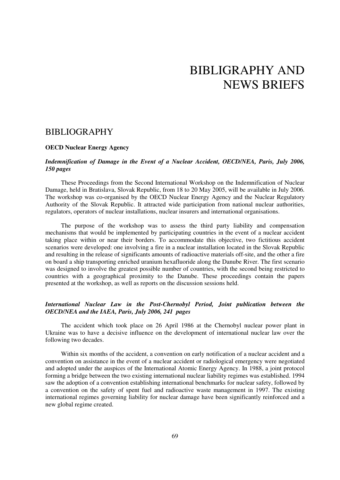# BIBLIGRAPHY AND NEWS BRIEFS

## BIBLIOGRAPHY

## **OECD Nuclear Energy Agency**

### *Indemnification of Damage in the Event of a Nuclear Accident, OECD/NEA, Paris, July 2006, 150 pages*

These Proceedings from the Second International Workshop on the Indemnification of Nuclear Damage, held in Bratislava, Slovak Republic, from 18 to 20 May 2005, will be available in July 2006. The workshop was co-organised by the OECD Nuclear Energy Agency and the Nuclear Regulatory Authority of the Slovak Republic. It attracted wide participation from national nuclear authorities, regulators, operators of nuclear installations, nuclear insurers and international organisations.

The purpose of the workshop was to assess the third party liability and compensation mechanisms that would be implemented by participating countries in the event of a nuclear accident taking place within or near their borders. To accommodate this objective, two fictitious accident scenarios were developed: one involving a fire in a nuclear installation located in the Slovak Republic and resulting in the release of significants amounts of radioactive materials off-site, and the other a fire on board a ship transporting enriched uranium hexafluoride along the Danube River. The first scenario was designed to involve the greatest possible number of countries, with the second being restricted to countries with a geographical proximity to the Danube. These proceedings contain the papers presented at the workshop, as well as reports on the discussion sessions held.

## *International Nuclear Law in the Post-Chernobyl Period, Joint publication between the OECD/NEA and the IAEA, Paris, July 2006, 241 pages*

The accident which took place on 26 April 1986 at the Chernobyl nuclear power plant in Ukraine was to have a decisive influence on the development of international nuclear law over the following two decades.

Within six months of the accident, a convention on early notification of a nuclear accident and a convention on assistance in the event of a nuclear accident or radiological emergency were negotiated and adopted under the auspices of the International Atomic Energy Agency. In 1988, a joint protocol forming a bridge between the two existing international nuclear liability regimes was established. 1994 saw the adoption of a convention establishing international benchmarks for nuclear safety, followed by a convention on the safety of spent fuel and radioactive waste management in 1997. The existing international regimes governing liability for nuclear damage have been significantly reinforced and a new global regime created.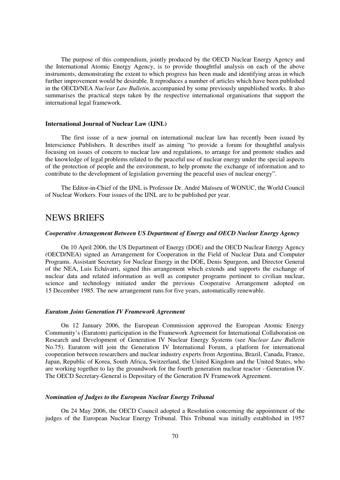The purpose of this compendium, jointly produced by the OECD Nuclear Energy Agency and the International Atomic Energy Agency, is to provide thoughtful analysis on each of the above instruments, demonstrating the extent to which progress has been made and identifying areas in which further improvement would be desirable. It reproduces a number of articles which have been published in the OECD/NEA *Nuclear Law Bulletin*, accompanied by some previously unpublished works. It also summarises the practical steps taken by the respective international organisations that support the international legal framework.

#### **International Journal of Nuclear Law (IJNL)**

The first issue of a new journal on international nuclear law has recently been issued by Interscience Publishers. It describes itself as aiming "to provide a forum for thoughtful analysis focusing on issues of concern to nuclear law and regulations, to arrange for and promote studies and the knowledge of legal problems related to the peaceful use of nuclear energy under the special aspects of the protection of people and the environment, to help promote the exchange of information and to contribute to the development of legislation governing the peaceful uses of nuclear energy".

The Editor-in-Chief of the IJNL is Professor Dr. André Maïsseu of WONUC, the World Council of Nuclear Workers. Four issues of the IJNL are to be published per year.

## NEWS BRIEFS

#### *Cooperative Arrangement Between US Department of Energy and OECD Nuclear Energy Agency*

On 10 April 2006, the US Department of Energy (DOE) and the OECD Nuclear Energy Agency (OECD/NEA) signed an Arrangement for Cooperation in the Field of Nuclear Data and Computer Programs. Assistant Secretary for Nuclear Energy in the DOE, Denis Spurgeon, and Director General of the NEA, Luis Echávarri, signed this arrangement which extends and supports the exchange of nuclear data and related information as well as computer programs pertinent to civilian nuclear, science and technology initiated under the previous Cooperative Arrangement adopted on 15 December 1985. The new arrangement runs for five years, automatically renewable.

#### *Euratom Joins Generation IV Framework Agreement*

On 12 January 2006, the European Commission approved the European Atomic Energy Community's (Euratom) participation in the Framework Agreement for International Collaboration on Research and Development of Generation IV Nuclear Energy Systems (see *Nuclear Law Bulletin* No.75). Euratom will join the Generation IV International Forum, a platform for international cooperation between researchers and nuclear industry experts from Argentina, Brazil, Canada, France, Japan, Republic of Korea, South Africa, Switzerland, the United Kingdom and the United States, who are working together to lay the groundwork for the fourth generation nuclear reactor - Generation IV. The OECD Secretary-General is Depositary of the Generation IV Framework Agreement.

### *Nomination of Judges to the European Nuclear Energy Tribunal*

On 24 May 2006, the OECD Council adopted a Resolution concerning the appointment of the judges of the European Nuclear Energy Tribunal. This Tribunal was initially established in 1957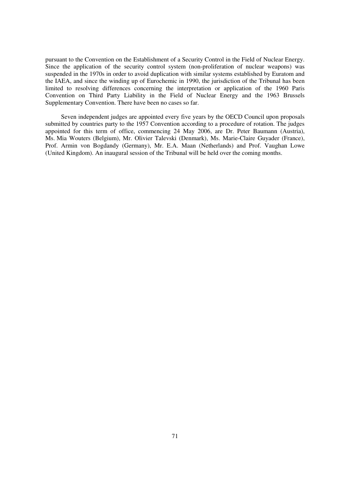pursuant to the Convention on the Establishment of a Security Control in the Field of Nuclear Energy. Since the application of the security control system (non-proliferation of nuclear weapons) was suspended in the 1970s in order to avoid duplication with similar systems established by Euratom and the IAEA, and since the winding up of Eurochemic in 1990, the jurisdiction of the Tribunal has been limited to resolving differences concerning the interpretation or application of the 1960 Paris Convention on Third Party Liability in the Field of Nuclear Energy and the 1963 Brussels Supplementary Convention. There have been no cases so far.

Seven independent judges are appointed every five years by the OECD Council upon proposals submitted by countries party to the 1957 Convention according to a procedure of rotation. The judges appointed for this term of office, commencing 24 May 2006, are Dr. Peter Baumann (Austria), Ms. Mia Wouters (Belgium), Mr. Olivier Talevski (Denmark), Ms. Marie-Claire Guyader (France), Prof. Armin von Bogdandy (Germany), Mr. E.A. Maan (Netherlands) and Prof. Vaughan Lowe (United Kingdom). An inaugural session of the Tribunal will be held over the coming months.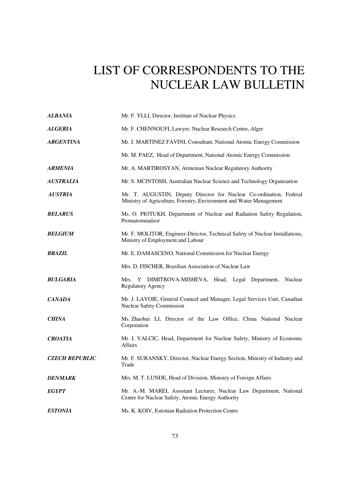# LIST OF CORRESPONDENTS TO THE NUCLEAR LAW BULLETIN

| <b>ALBANIA</b>        | Mr. F. YLLI, Director, Institute of Nuclear Physics                                                                                        |
|-----------------------|--------------------------------------------------------------------------------------------------------------------------------------------|
| <b>ALGERIA</b>        | Mr. F. CHENNOUFI, Lawyer, Nuclear Research Centre, Alger                                                                                   |
| <b>ARGENTINA</b>      | Mr. J. MARTINEZ FAVINI, Consultant, National Atomic Energy Commission                                                                      |
|                       | Mr. M. PAEZ, Head of Department, National Atomic Energy Commission                                                                         |
| <b>ARMENIA</b>        | Mr. A. MARTIROSYAN, Armenian Nuclear Regulatory Authority                                                                                  |
| <b>AUSTRALIA</b>      | Mr. S. MCINTOSH, Australian Nuclear Science and Technology Organisation                                                                    |
| <b>AUSTRIA</b>        | Mr. T. AUGUSTIN, Deputy Director for Nuclear Co-ordination, Federal<br>Ministry of Agriculture, Forestry, Environment and Water Management |
| <b>BELARUS</b>        | Ms. O. PIOTUKH, Department of Nuclear and Radiation Safety Regulation,<br>Promatomnadzor                                                   |
| <b>BELGIUM</b>        | Mr. F. MOLITOR, Engineer-Director, Technical Safety of Nuclear Installations,<br>Ministry of Employment and Labour                         |
| <b>BRAZIL</b>         | Mr. E. DAMASCENO, National Commission for Nuclear Energy                                                                                   |
|                       | Mrs. D. FISCHER, Brazilian Association of Nuclear Law                                                                                      |
| <b>BULGARIA</b>       | Mrs. Y DIMITROVA-MISHEVA, Head, Legal Department, Nuclear<br><b>Regulatory Agency</b>                                                      |
| <b>CANADA</b>         | Mr. J. LAVOIE, General Councel and Manager, Legal Services Unit, Canadian<br>Nuclear Safety Commission                                     |
| <b>CHINA</b>          | Ms. Zhaohui LI, Director of the Law Office, China National Nuclear<br>Corporation                                                          |
| <b>CROATIA</b>        | Mr. I. VALCIC, Head, Department for Nuclear Safety, Ministry of Economic<br>Affairs                                                        |
| <b>CZECH REPUBLIC</b> | Mr. F. SURANSKY, Director, Nuclear Energy Section, Ministry of Industry and<br>Trade                                                       |
| <b>DENMARK</b>        | Mrs. M. T. LUNDE, Head of Division, Ministry of Foreign Affairs                                                                            |
| <b>EGYPT</b>          | Mr. A.-M. MAREI, Assistant Lecturer, Nuclear Law Department, National<br>Centre for Nuclear Safety, Atomic Energy Authority                |
| <b>ESTONIA</b>        | Ms. K. KOIV, Estonian Radiation Protection Centre                                                                                          |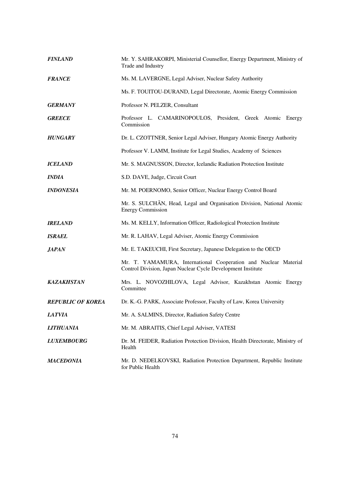| <b>FINLAND</b>           | Mr. Y. SAHRAKORPI, Ministerial Counsellor, Energy Department, Ministry of<br>Trade and Industry                                |
|--------------------------|--------------------------------------------------------------------------------------------------------------------------------|
| <b>FRANCE</b>            | Ms. M. LAVERGNE, Legal Adviser, Nuclear Safety Authority                                                                       |
|                          | Ms. F. TOUITOU-DURAND, Legal Directorate, Atomic Energy Commission                                                             |
| <b>GERMANY</b>           | Professor N. PELZER, Consultant                                                                                                |
| <b>GREECE</b>            | Professor L. CAMARINOPOULOS, President, Greek Atomic Energy<br>Commission                                                      |
| <b>HUNGARY</b>           | Dr. L. CZOTTNER, Senior Legal Adviser, Hungary Atomic Energy Authority                                                         |
|                          | Professor V. LAMM, Institute for Legal Studies, Academy of Sciences                                                            |
| <b>ICELAND</b>           | Mr. S. MAGNUSSON, Director, Icelandic Radiation Protection Institute                                                           |
| <i><b>INDIA</b></i>      | S.D. DAVE, Judge, Circuit Court                                                                                                |
| <b>INDONESIA</b>         | Mr. M. POERNOMO, Senior Officer, Nuclear Energy Control Board                                                                  |
|                          | Mr. S. SULCHÃN, Head, Legal and Organisation Division, National Atomic<br><b>Energy Commission</b>                             |
| <b>IRELAND</b>           | Ms. M. KELLY, Information Officer, Radiological Protection Institute                                                           |
| <b>ISRAEL</b>            | Mr. R. LAHAV, Legal Adviser, Atomic Energy Commission                                                                          |
| <i><b>JAPAN</b></i>      | Mr. E. TAKEUCHI, First Secretary, Japanese Delegation to the OECD                                                              |
|                          | Mr. T. YAMAMURA, International Cooperation and Nuclear Material<br>Control Division, Japan Nuclear Cycle Development Institute |
| <b>KAZAKHSTAN</b>        | Mrs. L. NOVOZHILOVA, Legal Advisor, Kazakhstan Atomic Energy<br>Committee                                                      |
| <b>REPUBLIC OF KOREA</b> | Dr. K.-G. PARK, Associate Professor, Faculty of Law, Korea University                                                          |
| <b>LATVIA</b>            | Mr. A. SALMINS, Director, Radiation Safety Centre                                                                              |
| <b>LITHUANIA</b>         | Mr. M. ABRAITIS, Chief Legal Adviser, VATESI                                                                                   |
| <b>LUXEMBOURG</b>        | Dr. M. FEIDER, Radiation Protection Division, Health Directorate, Ministry of<br>Health                                        |
| <b>MACEDONIA</b>         | Mr. D. NEDELKOVSKI, Radiation Protection Department, Republic Institute<br>for Public Health                                   |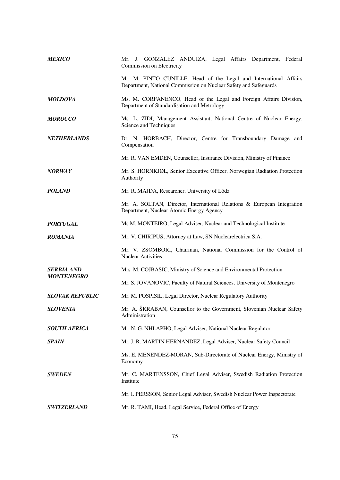| <b>MEXICO</b>                          | Mr. J. GONZALEZ ANDUIZA, Legal Affairs Department, Federal<br>Commission on Electricity                                               |
|----------------------------------------|---------------------------------------------------------------------------------------------------------------------------------------|
|                                        | Mr. M. PINTO CUNILLE, Head of the Legal and International Affairs<br>Department, National Commission on Nuclear Safety and Safeguards |
| <b>MOLDOVA</b>                         | Ms. M. CORFANENCO, Head of the Legal and Foreign Affairs Division,<br>Department of Standardisation and Metrology                     |
| <b>MOROCCO</b>                         | Ms. L. ZIDI, Management Assistant, National Centre of Nuclear Energy,<br>Science and Techniques                                       |
| <b>NETHERLANDS</b>                     | Dr. N. HORBACH, Director, Centre for Transboundary Damage and<br>Compensation                                                         |
|                                        | Mr. R. VAN EMDEN, Counsellor, Insurance Division, Ministry of Finance                                                                 |
| <b>NORWAY</b>                          | Mr. S. HORNKJØL, Senior Executive Officer, Norwegian Radiation Protection<br>Authority                                                |
| <b>POLAND</b>                          | Mr. R. MAJDA, Researcher, University of Lódz                                                                                          |
|                                        | Mr. A. SOLTAN, Director, International Relations & European Integration<br>Department, Nuclear Atomic Energy Agency                   |
| <b>PORTUGAL</b>                        | Ms M. MONTEIRO, Legal Adviser, Nuclear and Technological Institute                                                                    |
| <b>ROMANIA</b>                         | Mr. V. CHIRIPUS, Attorney at Law, SN Nuclearelectrica S.A.                                                                            |
|                                        | Mr. V. ZSOMBORI, Chairman, National Commission for the Control of<br><b>Nuclear Activities</b>                                        |
| <b>SERBIA AND</b><br><b>MONTENEGRO</b> | Mrs. M. COJBASIC, Ministry of Science and Environmental Protection                                                                    |
|                                        | Mr. S. JOVANOVIC, Faculty of Natural Sciences, University of Montenegro                                                               |
| <b>SLOVAK REPUBLIC</b>                 | Mr. M. POSPISIL, Legal Director, Nuclear Regulatory Authority                                                                         |
| SLOVENIA                               | Mr. A. ŠKRABAN, Counsellor to the Government, Slovenian Nuclear Safety<br>Administration                                              |
| <b>SOUTH AFRICA</b>                    | Mr. N. G. NHLAPHO, Legal Adviser, National Nuclear Regulator                                                                          |
| <b>SPAIN</b>                           | Mr. J. R. MARTIN HERNANDEZ, Legal Adviser, Nuclear Safety Council                                                                     |
|                                        | Ms. E. MENENDEZ-MORAN, Sub-Directorate of Nuclear Energy, Ministry of<br>Economy                                                      |
| <b>SWEDEN</b>                          | Mr. C. MARTENSSON, Chief Legal Adviser, Swedish Radiation Protection<br>Institute                                                     |
|                                        | Mr. I. PERSSON, Senior Legal Adviser, Swedish Nuclear Power Inspectorate                                                              |
| <b>SWITZERLAND</b>                     | Mr. R. TAMI, Head, Legal Service, Federal Office of Energy                                                                            |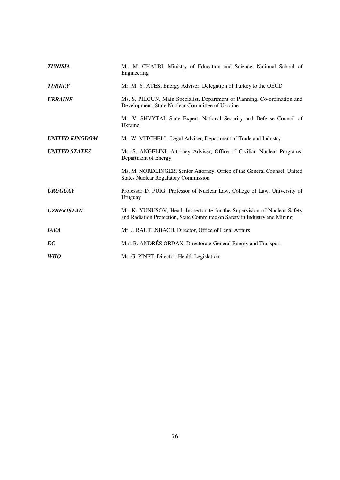| <b>TUNISIA</b>        | Mr. M. CHALBI, Ministry of Education and Science, National School of<br>Engineering                                                                    |
|-----------------------|--------------------------------------------------------------------------------------------------------------------------------------------------------|
| <b>TURKEY</b>         | Mr. M. Y. ATES, Energy Adviser, Delegation of Turkey to the OECD                                                                                       |
| <b>UKRAINE</b>        | Ms. S. PILGUN, Main Specialist, Department of Planning, Co-ordination and<br>Development, State Nuclear Committee of Ukraine                           |
|                       | Mr. V. SHVYTAI, State Expert, National Security and Defense Council of<br>Ukraine                                                                      |
| <b>UNITED KINGDOM</b> | Mr. W. MITCHELL, Legal Adviser, Department of Trade and Industry                                                                                       |
| <b>UNITED STATES</b>  | Ms. S. ANGELINI, Attorney Adviser, Office of Civilian Nuclear Programs,<br>Department of Energy                                                        |
|                       | Ms. M. NORDLINGER, Senior Attorney, Office of the General Counsel, United<br><b>States Nuclear Regulatory Commission</b>                               |
| <b>URUGUAY</b>        | Professor D. PUIG, Professor of Nuclear Law, College of Law, University of<br>Uruguay                                                                  |
| <b>UZBEKISTAN</b>     | Mr. K. YUNUSOV, Head, Inspectorate for the Supervision of Nuclear Safety<br>and Radiation Protection, State Committee on Safety in Industry and Mining |
| <b>IAEA</b>           | Mr. J. RAUTENBACH, Director, Office of Legal Affairs                                                                                                   |
| EC                    | Mrs. B. ANDRÉS ORDAX, Directorate-General Energy and Transport                                                                                         |
| <b>WHO</b>            | Ms. G. PINET, Director, Health Legislation                                                                                                             |